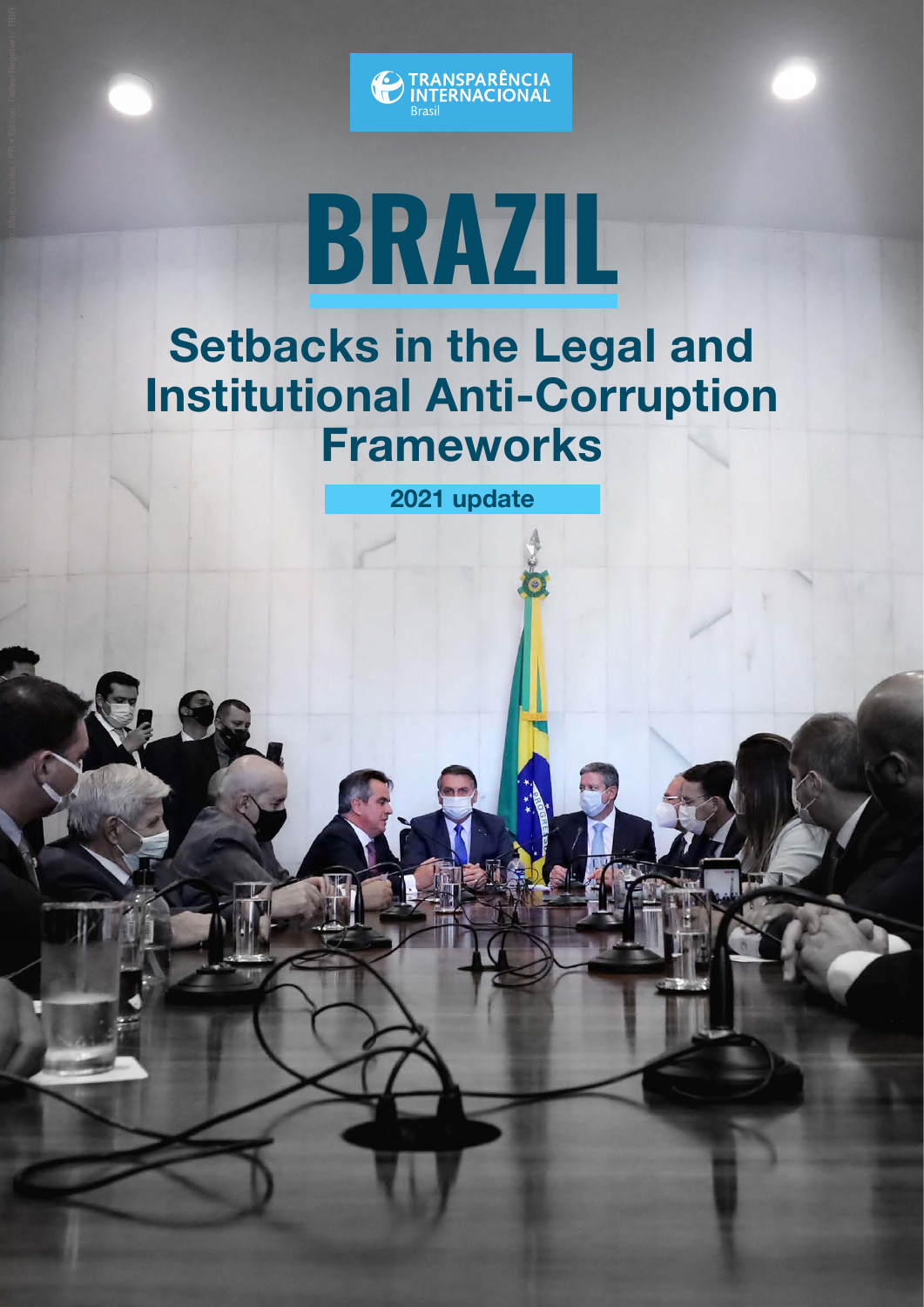

# **BRAZIL**

### Setbacks in the Legal and Institutional Anti-Corruption Frameworks

2021 update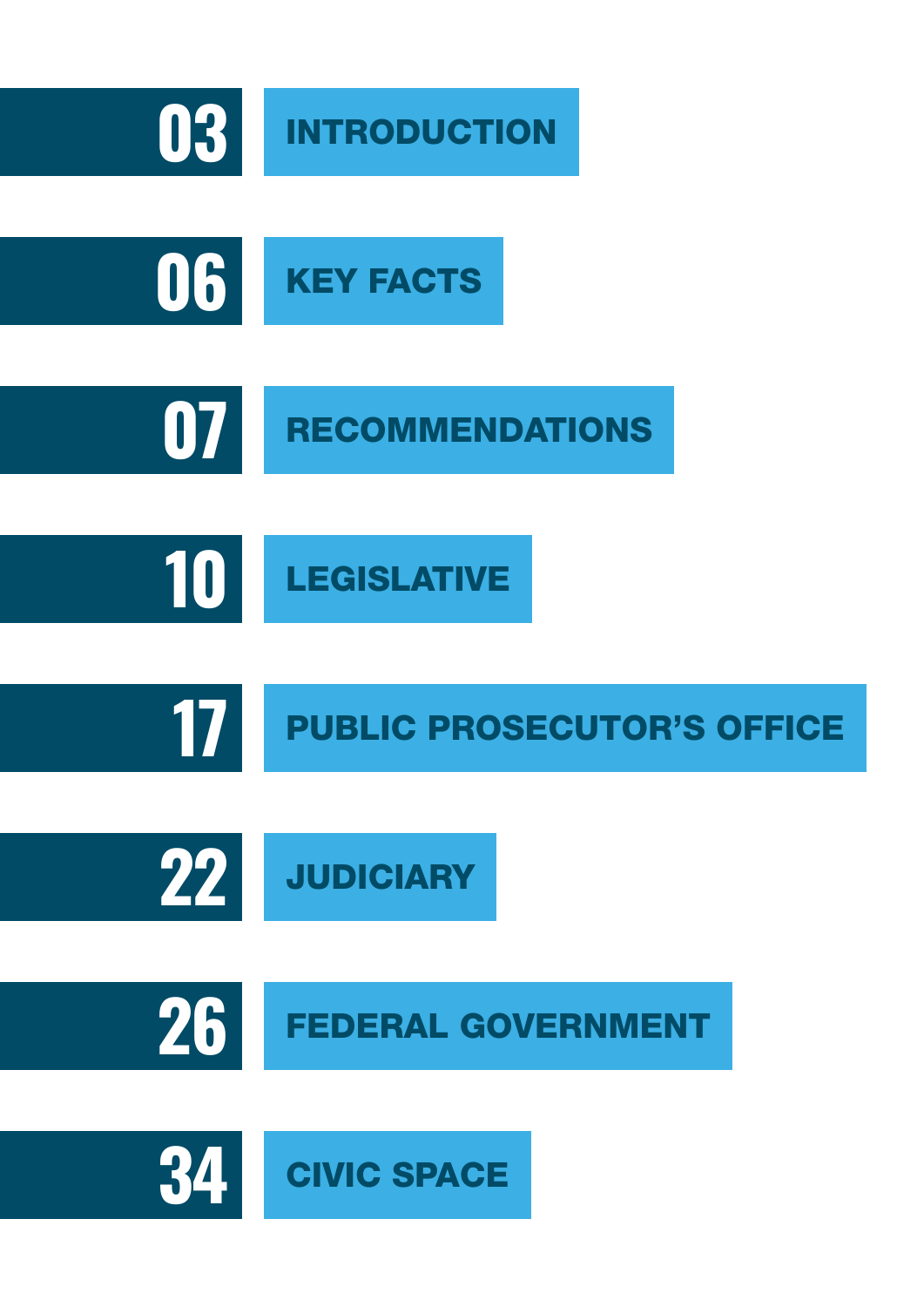<span id="page-1-0"></span>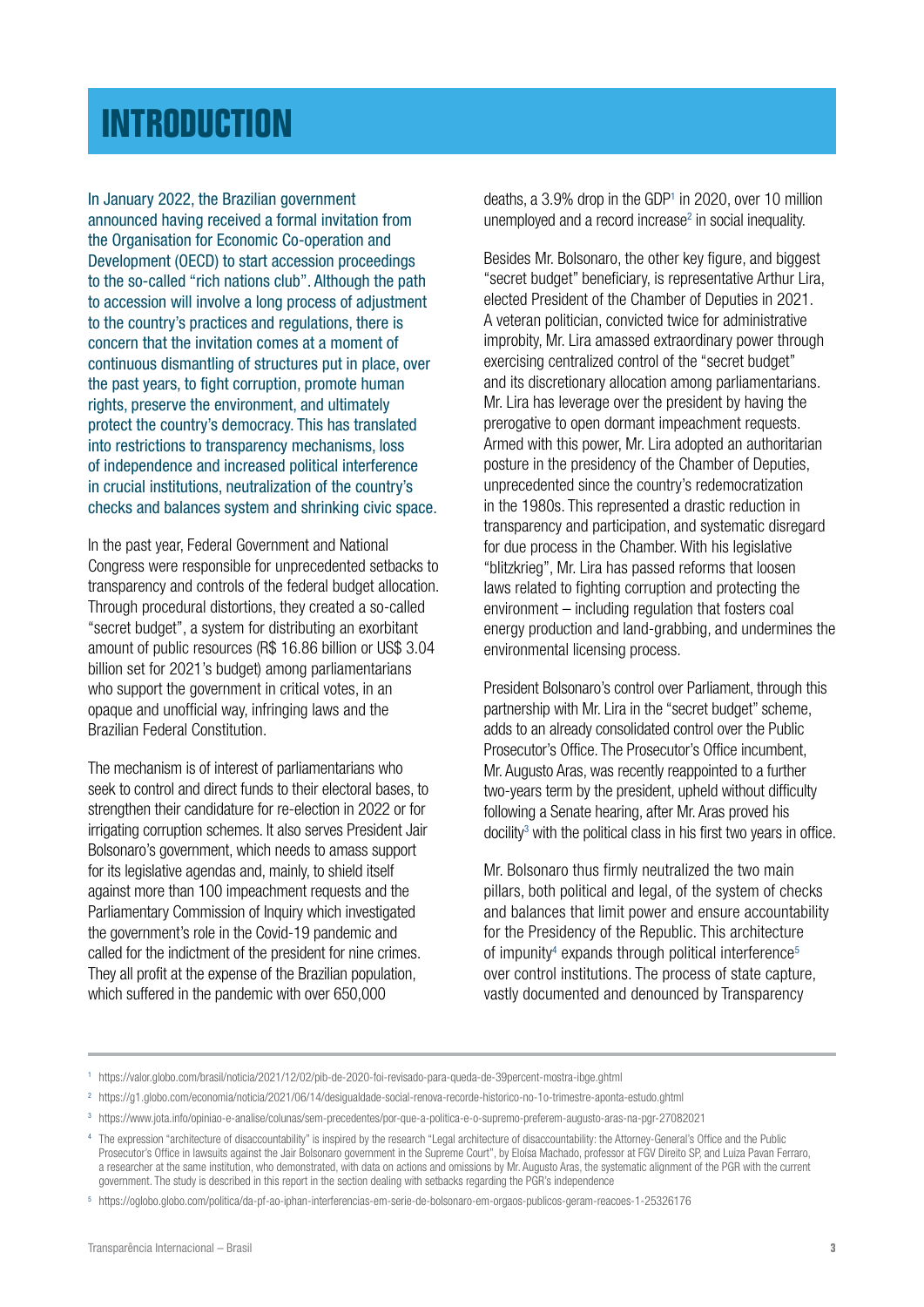### <span id="page-2-0"></span>**[INTRODUCTION](#page-1-0)**

In January 2022, the Brazilian government announced having received a formal invitation from the Organisation for Economic Co-operation and Development (OECD) to start accession proceedings to the so-called "rich nations club". Although the path to accession will involve a long process of adjustment to the country's practices and regulations, there is concern that the invitation comes at a moment of continuous dismantling of structures put in place, over the past years, to fight corruption, promote human rights, preserve the environment, and ultimately protect the country's democracy. This has translated into restrictions to transparency mechanisms, loss of independence and increased political interference in crucial institutions, neutralization of the country's checks and balances system and shrinking civic space.

In the past year, Federal Government and National Congress were responsible for unprecedented setbacks to transparency and controls of the federal budget allocation. Through procedural distortions, they created a so-called "secret budget", a system for distributing an exorbitant amount of public resources (R\$ 16.86 billion or US\$ 3.04 billion set for 2021's budget) among parliamentarians who support the government in critical votes, in an opaque and unofficial way, infringing laws and the Brazilian Federal Constitution.

The mechanism is of interest of parliamentarians who seek to control and direct funds to their electoral bases, to strengthen their candidature for re-election in 2022 or for irrigating corruption schemes. It also serves President Jair Bolsonaro's government, which needs to amass support for its legislative agendas and, mainly, to shield itself against more than 100 impeachment requests and the Parliamentary Commission of Inquiry which investigated the government's role in the Covid-19 pandemic and called for the indictment of the president for nine crimes. They all profit at the expense of the Brazilian population, which suffered in the pandemic with over 650,000

deaths, a 3.9% drop in the GDP<sup>1</sup> in 2020, over 10 million unemployed and a record increase<sup>2</sup> in social inequality.

Besides Mr. Bolsonaro, the other key figure, and biggest "secret budget" beneficiary, is representative Arthur Lira, elected President of the Chamber of Deputies in 2021. A veteran politician, convicted twice for administrative improbity, Mr. Lira amassed extraordinary power through exercising centralized control of the "secret budget" and its discretionary allocation among parliamentarians. Mr. Lira has leverage over the president by having the prerogative to open dormant impeachment requests. Armed with this power, Mr. Lira adopted an authoritarian posture in the presidency of the Chamber of Deputies, unprecedented since the country's redemocratization in the 1980s. This represented a drastic reduction in transparency and participation, and systematic disregard for due process in the Chamber. With his legislative "blitzkrieg", Mr. Lira has passed reforms that loosen laws related to fighting corruption and protecting the environment – including regulation that fosters coal energy production and land-grabbing, and undermines the environmental licensing process.

President Bolsonaro's control over Parliament, through this partnership with Mr. Lira in the "secret budget" scheme, adds to an already consolidated control over the Public Prosecutor's Office. The Prosecutor's Office incumbent, Mr. Augusto Aras, was recently reappointed to a further two-years term by the president, upheld without difficulty following a Senate hearing, after Mr. Aras proved his  $\alpha$  docility<sup>3</sup> with the political class in his first two years in office.

Mr. Bolsonaro thus firmly neutralized the two main pillars, both political and legal, of the system of checks and balances that limit power and ensure accountability for the Presidency of the Republic. This architecture of impunity<sup>4</sup> expands through political interference<sup>5</sup> over control institutions. The process of state capture, vastly documented and denounced by Transparency

<sup>1</sup> https://valor.globo.com/brasil/noticia/2021/12/02/pib-de-2020-foi-revisado-para-queda-de-39percent-mostra-ibge.ghtml

<sup>2</sup> https://g1.globo.com/economia/noticia/2021/06/14/desigualdade-social-renova-recorde-historico-no-1o-trimestre-aponta-estudo.ghtml

<sup>3</sup> https://www.jota.info/opiniao-e-analise/colunas/sem-precedentes/por-que-a-politica-e-o-supremo-preferem-augusto-aras-na-pgr-27082021

<sup>4</sup> The expression "architecture of disaccountability" is inspired by the research "Legal architecture of disaccountability: the Attorney-General's Office and the Public Prosecutor's Office in lawsuits against the Jair Bolsonaro government in the Supreme Court", by Eloísa Machado, professor at FGV Direito SP, and Luiza Pavan Ferraro, a researcher at the same institution, who demonstrated, with data on actions and omissions by Mr. Augusto Aras, the systematic alignment of the PGR with the current government. The study is described in this report in the section dealing with setbacks regarding the PGR's independence

<sup>5</sup> https://oglobo.globo.com/politica/da-pf-ao-iphan-interferencias-em-serie-de-bolsonaro-em-orgaos-publicos-geram-reacoes-1-25326176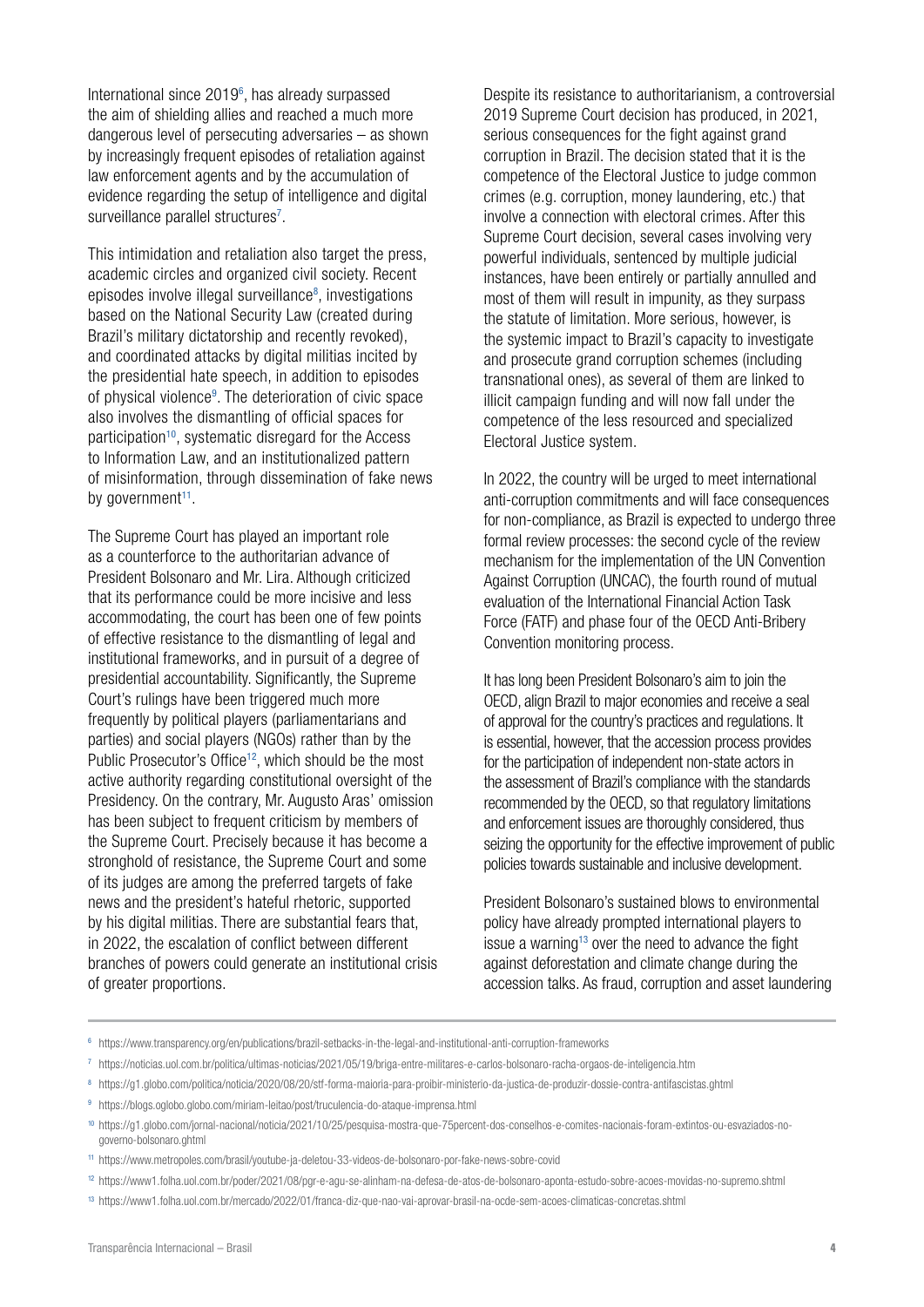International since 2019<sup>6</sup>, has already surpassed the aim of shielding allies and reached a much more dangerous level of persecuting adversaries – as shown by increasingly frequent episodes of retaliation against law enforcement agents and by the accumulation of evidence regarding the setup of intelligence and digital surveillance parallel structures<sup>7</sup>.

This intimidation and retaliation also target the press, academic circles and organized civil society. Recent episodes involve illegal surveillance<sup>8</sup>, investigations based on the National Security Law (created during Brazil's military dictatorship and recently revoked), and coordinated attacks by digital militias incited by the presidential hate speech, in addition to episodes of physical violence<sup>9</sup>. The deterioration of civic space also involves the dismantling of official spaces for participation<sup>10</sup>, systematic disregard for the Access to Information Law, and an institutionalized pattern of misinformation, through dissemination of fake news by government $11$ .

The Supreme Court has played an important role as a counterforce to the authoritarian advance of President Bolsonaro and Mr. Lira. Although criticized that its performance could be more incisive and less accommodating, the court has been one of few points of effective resistance to the dismantling of legal and institutional frameworks, and in pursuit of a degree of presidential accountability. Significantly, the Supreme Court's rulings have been triggered much more frequently by political players (parliamentarians and parties) and social players (NGOs) rather than by the Public Prosecutor's Office<sup>12</sup>, which should be the most active authority regarding constitutional oversight of the Presidency. On the contrary, Mr. Augusto Aras' omission has been subject to frequent criticism by members of the Supreme Court. Precisely because it has become a stronghold of resistance, the Supreme Court and some of its judges are among the preferred targets of fake news and the president's hateful rhetoric, supported by his digital militias. There are substantial fears that, in 2022, the escalation of conflict between different branches of powers could generate an institutional crisis of greater proportions.

Despite its resistance to authoritarianism, a controversial 2019 Supreme Court decision has produced, in 2021, serious consequences for the fight against grand corruption in Brazil. The decision stated that it is the competence of the Electoral Justice to judge common crimes (e.g. corruption, money laundering, etc.) that involve a connection with electoral crimes. After this Supreme Court decision, several cases involving very powerful individuals, sentenced by multiple judicial instances, have been entirely or partially annulled and most of them will result in impunity, as they surpass the statute of limitation. More serious, however, is the systemic impact to Brazil's capacity to investigate and prosecute grand corruption schemes (including transnational ones), as several of them are linked to illicit campaign funding and will now fall under the competence of the less resourced and specialized Electoral Justice system.

In 2022, the country will be urged to meet international anti-corruption commitments and will face consequences for non-compliance, as Brazil is expected to undergo three formal review processes: the second cycle of the review mechanism for the implementation of the UN Convention Against Corruption (UNCAC), the fourth round of mutual evaluation of the International Financial Action Task Force (FATF) and phase four of the OECD Anti-Bribery Convention monitoring process.

It has long been President Bolsonaro's aim to join the OECD, align Brazil to major economies and receive a seal of approval for the country's practices and regulations. It is essential, however, that the accession process provides for the participation of independent non-state actors in the assessment of Brazil's compliance with the standards recommended by the OECD, so that regulatory limitations and enforcement issues are thoroughly considered, thus seizing the opportunity for the effective improvement of public policies towards sustainable and inclusive development.

President Bolsonaro's sustained blows to environmental policy have already prompted international players to issue a warning<sup>13</sup> over the need to advance the fight against deforestation and climate change during the accession talks. As fraud, corruption and asset laundering

- <sup>6</sup> https://www.transparency.org/en/publications/brazil-setbacks-in-the-legal-and-institutional-anti-corruption-frameworks
- <sup>7</sup> https://noticias.uol.com.br/politica/ultimas-noticias/2021/05/19/briga-entre-militares-e-carlos-bolsonaro-racha-orgaos-de-inteligencia.htm
- <sup>8</sup> https://g1.globo.com/politica/noticia/2020/08/20/stf-forma-maioria-para-proibir-ministerio-da-justica-de-produzir-dossie-contra-antifascistas.ghtml
- <sup>9</sup> https://blogs.oglobo.globo.com/miriam-leitao/post/truculencia-do-ataque-imprensa.html
- <sup>10</sup> https://g1.globo.com/jornal-nacional/noticia/2021/10/25/pesquisa-mostra-que-75percent-dos-conselhos-e-comites-nacionais-foram-extintos-ou-esvaziados-nogoverno-bolsonaro.ghtml
- <sup>11</sup> https://www.metropoles.com/brasil/youtube-ja-deletou-33-videos-de-bolsonaro-por-fake-news-sobre-covid
- <sup>12</sup> https://www1.folha.uol.com.br/poder/2021/08/pgr-e-agu-se-alinham-na-defesa-de-atos-de-bolsonaro-aponta-estudo-sobre-acoes-movidas-no-supremo.shtml
- <sup>13</sup> https://www1.folha.uol.com.br/mercado/2022/01/franca-diz-que-nao-vai-aprovar-brasil-na-ocde-sem-acoes-climaticas-concretas.shtml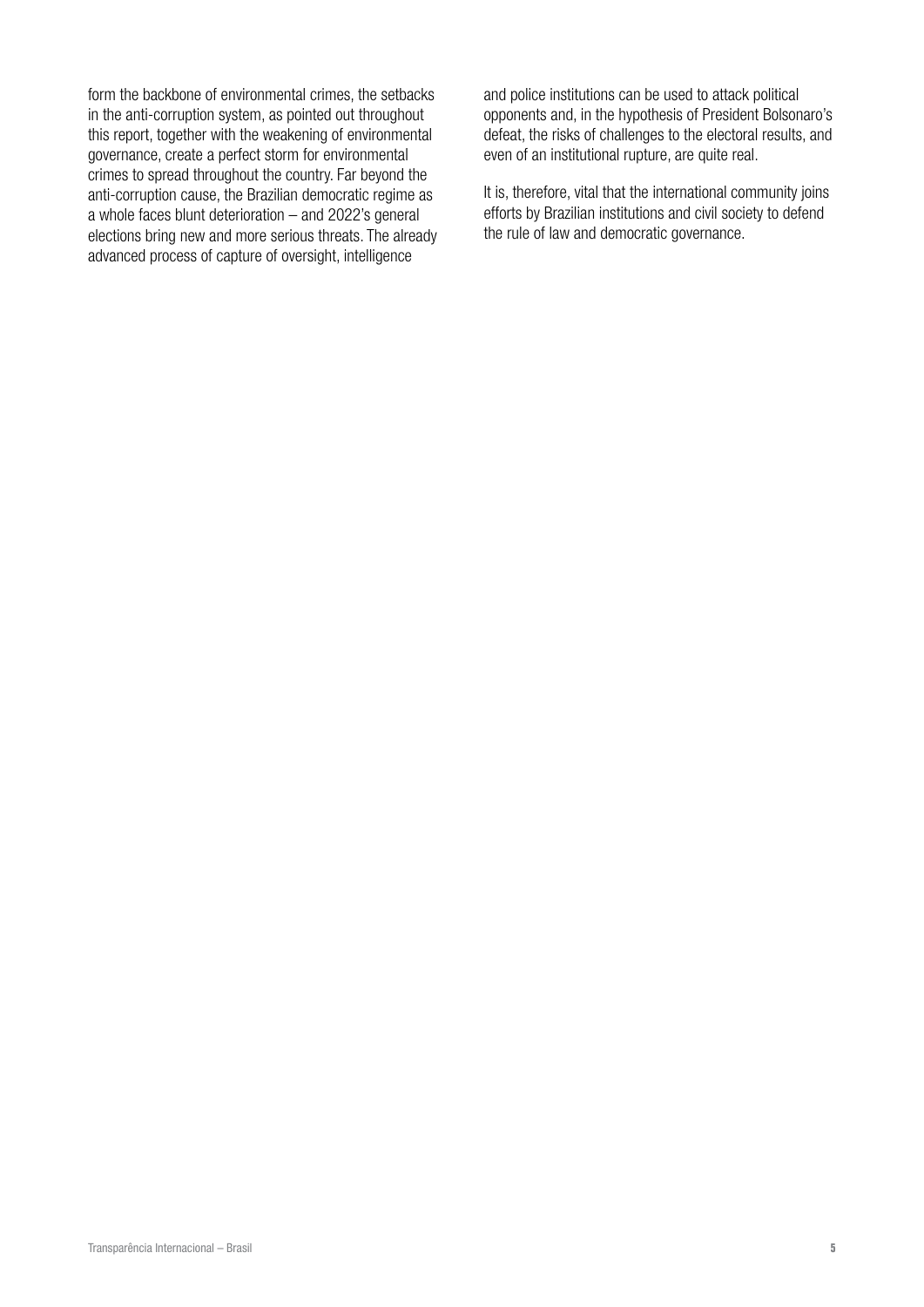form the backbone of environmental crimes, the setbacks in the anti-corruption system, as pointed out throughout this report, together with the weakening of environmental governance, create a perfect storm for environmental crimes to spread throughout the country. Far beyond the anti-corruption cause, the Brazilian democratic regime as a whole faces blunt deterioration – and 2022's general elections bring new and more serious threats. The already advanced process of capture of oversight, intelligence

and police institutions can be used to attack political opponents and, in the hypothesis of President Bolsonaro's defeat, the risks of challenges to the electoral results, and even of an institutional rupture, are quite real.

It is, therefore, vital that the international community joins efforts by Brazilian institutions and civil society to defend the rule of law and democratic governance.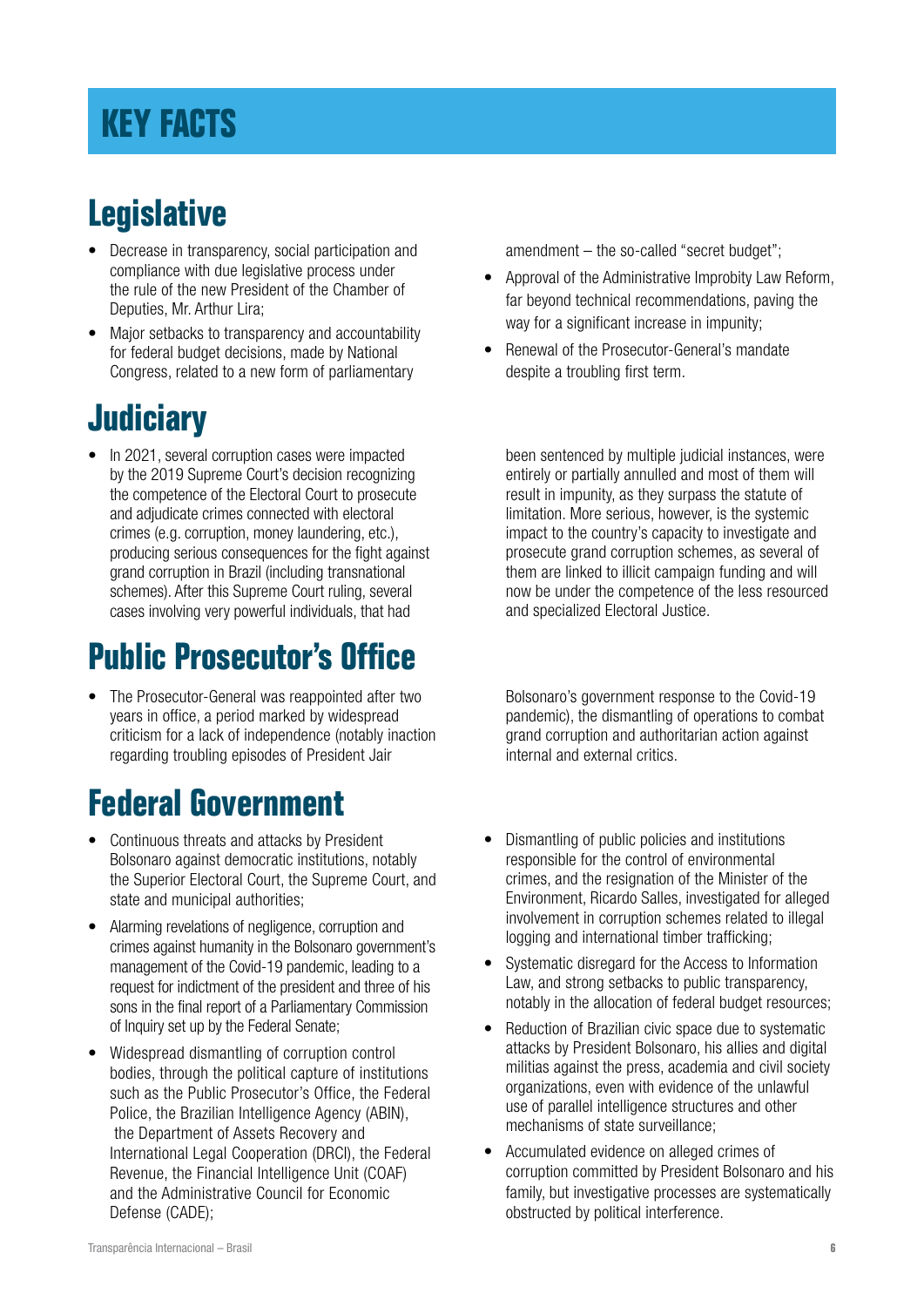### <span id="page-5-0"></span>**[KEY FACTS](#page-1-0)**

### **Legislative**

- Decrease in transparency, social participation and compliance with due legislative process under the rule of the new President of the Chamber of Deputies, Mr. Arthur Lira;
- Major setbacks to transparency and accountability for federal budget decisions, made by National Congress, related to a new form of parliamentary

### **Judiciary**

• In 2021, several corruption cases were impacted by the 2019 Supreme Court's decision recognizing the competence of the Electoral Court to prosecute and adjudicate crimes connected with electoral crimes (e.g. corruption, money laundering, etc.), producing serious consequences for the fight against grand corruption in Brazil (including transnational schemes). After this Supreme Court ruling, several cases involving very powerful individuals, that had

### **Public Prosecutor's Office**

• The Prosecutor-General was reappointed after two years in office, a period marked by widespread criticism for a lack of independence (notably inaction regarding troubling episodes of President Jair

### **Federal Government**

- Continuous threats and attacks by President Bolsonaro against democratic institutions, notably the Superior Electoral Court, the Supreme Court, and state and municipal authorities;
- Alarming revelations of negligence, corruption and crimes against humanity in the Bolsonaro government's management of the Covid-19 pandemic, leading to a request for indictment of the president and three of his sons in the final report of a Parliamentary Commission of Inquiry set up by the Federal Senate;
- Widespread dismantling of corruption control bodies, through the political capture of institutions such as the Public Prosecutor's Office, the Federal Police, the Brazilian Intelligence Agency (ABIN), the Department of Assets Recovery and International Legal Cooperation (DRCI), the Federal Revenue, the Financial Intelligence Unit (COAF) and the Administrative Council for Economic Defense (CADE);

amendment – the so-called "secret budget";

- Approval of the Administrative Improbity Law Reform, far beyond technical recommendations, paving the way for a significant increase in impunity:
- Renewal of the Prosecutor-General's mandate despite a troubling first term.

been sentenced by multiple judicial instances, were entirely or partially annulled and most of them will result in impunity, as they surpass the statute of limitation. More serious, however, is the systemic impact to the country's capacity to investigate and prosecute grand corruption schemes, as several of them are linked to illicit campaign funding and will now be under the competence of the less resourced and specialized Electoral Justice.

Bolsonaro's government response to the Covid-19 pandemic), the dismantling of operations to combat grand corruption and authoritarian action against internal and external critics.

- Dismantling of public policies and institutions responsible for the control of environmental crimes, and the resignation of the Minister of the Environment, Ricardo Salles, investigated for alleged involvement in corruption schemes related to illegal logging and international timber trafficking;
- Systematic disregard for the Access to Information Law, and strong setbacks to public transparency, notably in the allocation of federal budget resources;
- Reduction of Brazilian civic space due to systematic attacks by President Bolsonaro, his allies and digital militias against the press, academia and civil society organizations, even with evidence of the unlawful use of parallel intelligence structures and other mechanisms of state surveillance;
- Accumulated evidence on alleged crimes of corruption committed by President Bolsonaro and his family, but investigative processes are systematically obstructed by political interference.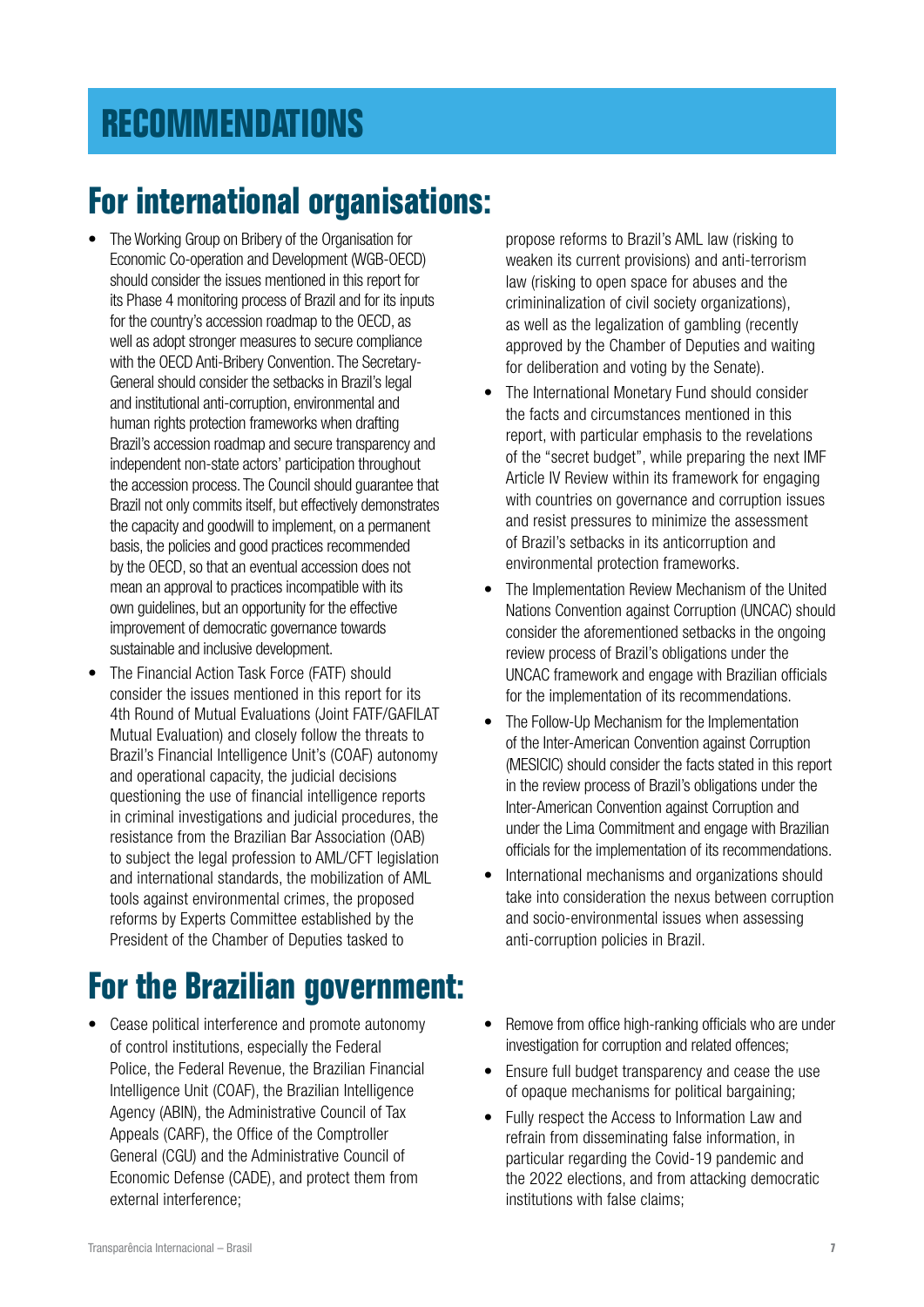### <span id="page-6-0"></span>**[RECOMMENDATIONS](#page-1-0)**

### **For international organisations:**

- The Working Group on Bribery of the Organisation for Economic Co-operation and Development (WGB-OECD) should consider the issues mentioned in this report for its Phase 4 monitoring process of Brazil and for its inputs for the country's accession roadmap to the OECD, as well as adopt stronger measures to secure compliance with the OECD Anti-Bribery Convention. The Secretary-General should consider the setbacks in Brazil's legal and institutional anti-corruption, environmental and human rights protection frameworks when drafting Brazil's accession roadmap and secure transparency and independent non-state actors' participation throughout the accession process. The Council should guarantee that Brazil not only commits itself, but effectively demonstrates the capacity and goodwill to implement, on a permanent basis, the policies and good practices recommended by the OECD, so that an eventual accession does not mean an approval to practices incompatible with its own guidelines, but an opportunity for the effective improvement of democratic governance towards sustainable and inclusive development.
- The Financial Action Task Force (FATF) should consider the issues mentioned in this report for its 4th Round of Mutual Evaluations (Joint FATF/GAFILAT Mutual Evaluation) and closely follow the threats to Brazil's Financial Intelligence Unit's (COAF) autonomy and operational capacity, the judicial decisions questioning the use of financial intelligence reports in criminal investigations and judicial procedures, the resistance from the Brazilian Bar Association (OAB) to subject the legal profession to AML/CFT legislation and international standards, the mobilization of AML tools against environmental crimes, the proposed reforms by Experts Committee established by the President of the Chamber of Deputies tasked to

### **For the Brazilian government:**

• Cease political interference and promote autonomy of control institutions, especially the Federal Police, the Federal Revenue, the Brazilian Financial Intelligence Unit (COAF), the Brazilian Intelligence Agency (ABIN), the Administrative Council of Tax Appeals (CARF), the Office of the Comptroller General (CGU) and the Administrative Council of Economic Defense (CADE), and protect them from external interference;

propose reforms to Brazil's AML law (risking to weaken its current provisions) and anti-terrorism law (risking to open space for abuses and the crimininalization of civil society organizations), as well as the legalization of gambling (recently approved by the Chamber of Deputies and waiting for deliberation and voting by the Senate).

- The International Monetary Fund should consider the facts and circumstances mentioned in this report, with particular emphasis to the revelations of the "secret budget", while preparing the next IMF Article IV Review within its framework for engaging with countries on governance and corruption issues and resist pressures to minimize the assessment of Brazil's setbacks in its anticorruption and environmental protection frameworks.
- The Implementation Review Mechanism of the United Nations Convention against Corruption (UNCAC) should consider the aforementioned setbacks in the ongoing review process of Brazil's obligations under the UNCAC framework and engage with Brazilian officials for the implementation of its recommendations.
- The Follow-Up Mechanism for the Implementation of the Inter-American Convention against Corruption (MESICIC) should consider the facts stated in this report in the review process of Brazil's obligations under the Inter-American Convention against Corruption and under the Lima Commitment and engage with Brazilian officials for the implementation of its recommendations.
- International mechanisms and organizations should take into consideration the nexus between corruption and socio-environmental issues when assessing anti-corruption policies in Brazil.
- Remove from office high-ranking officials who are under investigation for corruption and related offences;
- Ensure full budget transparency and cease the use of opaque mechanisms for political bargaining;
- Fully respect the Access to Information Law and refrain from disseminating false information, in particular regarding the Covid-19 pandemic and the 2022 elections, and from attacking democratic institutions with false claims;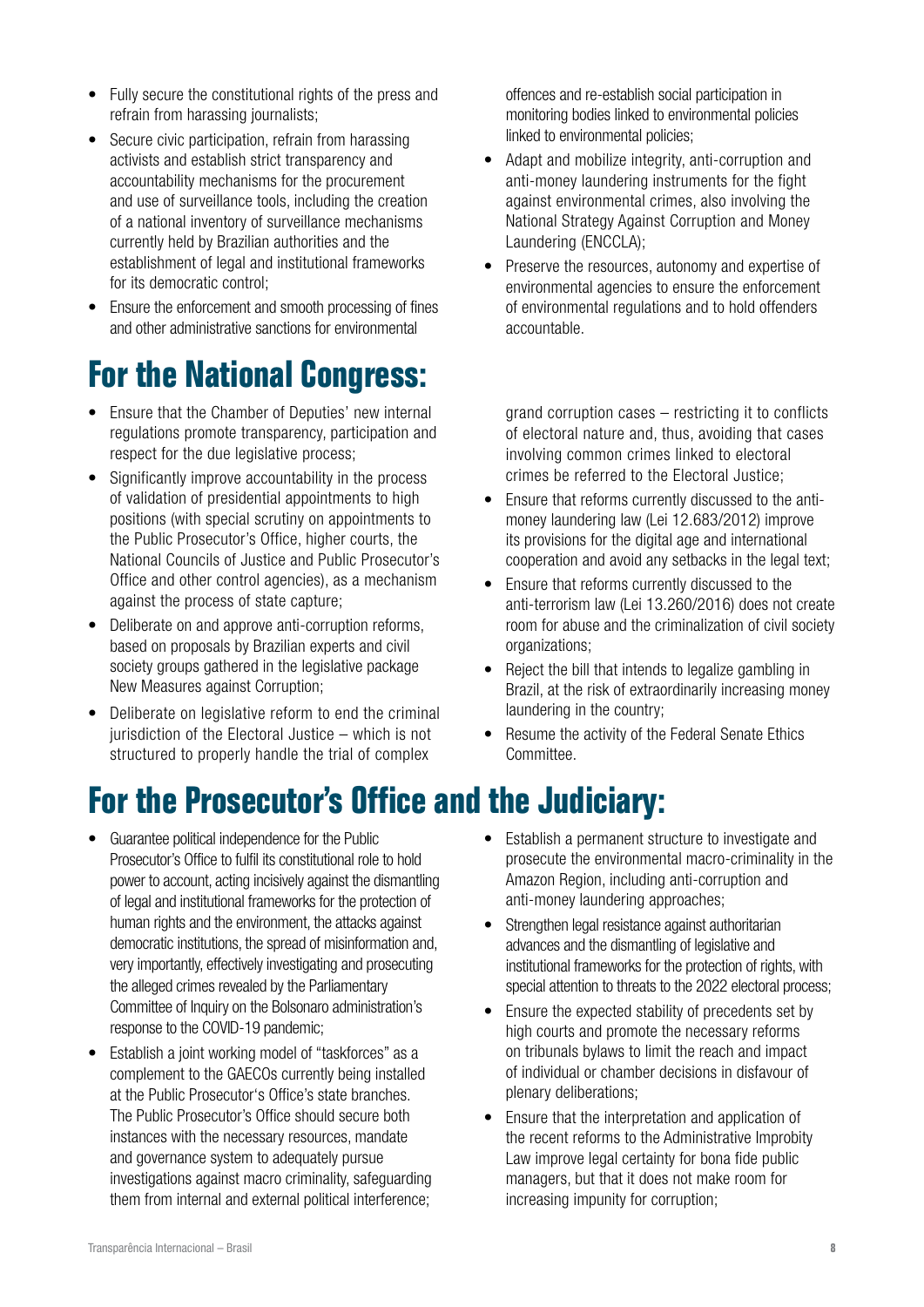- Fully secure the constitutional rights of the press and refrain from harassing journalists;
- Secure civic participation, refrain from harassing activists and establish strict transparency and accountability mechanisms for the procurement and use of surveillance tools, including the creation of a national inventory of surveillance mechanisms currently held by Brazilian authorities and the establishment of legal and institutional frameworks for its democratic control;
- Ensure the enforcement and smooth processing of fines and other administrative sanctions for environmental

### **For the National Congress:**

- Ensure that the Chamber of Deputies' new internal regulations promote transparency, participation and respect for the due legislative process;
- Significantly improve accountability in the process of validation of presidential appointments to high positions (with special scrutiny on appointments to the Public Prosecutor's Office, higher courts, the National Councils of Justice and Public Prosecutor's Office and other control agencies), as a mechanism against the process of state capture;
- Deliberate on and approve anti-corruption reforms, based on proposals by Brazilian experts and civil society groups gathered in the legislative package New Measures against Corruption;
- Deliberate on legislative reform to end the criminal jurisdiction of the Electoral Justice – which is not structured to properly handle the trial of complex

### **For the Prosecutor's Office and the Judiciary:**

- Guarantee political independence for the Public Prosecutor's Office to fulfil its constitutional role to hold power to account, acting incisively against the dismantling of legal and institutional frameworks for the protection of human rights and the environment, the attacks against democratic institutions, the spread of misinformation and, very importantly, effectively investigating and prosecuting the alleged crimes revealed by the Parliamentary Committee of Inquiry on the Bolsonaro administration's response to the COVID-19 pandemic;
- Establish a joint working model of "taskforces" as a complement to the GAECOs currently being installed at the Public Prosecutor's Office's state branches. The Public Prosecutor's Office should secure both instances with the necessary resources, mandate and governance system to adequately pursue investigations against macro criminality, safeguarding them from internal and external political interference;

offences and re-establish social participation in monitoring bodies linked to environmental policies linked to environmental policies;

- Adapt and mobilize integrity, anti-corruption and anti-money laundering instruments for the fight against environmental crimes, also involving the National Strategy Against Corruption and Money Laundering (ENCCLA);
- Preserve the resources, autonomy and expertise of environmental agencies to ensure the enforcement of environmental regulations and to hold offenders accountable.

grand corruption cases – restricting it to conflicts of electoral nature and, thus, avoiding that cases involving common crimes linked to electoral crimes be referred to the Electoral Justice;

- Ensure that reforms currently discussed to the antimoney laundering law (Lei 12.683/2012) improve its provisions for the digital age and international cooperation and avoid any setbacks in the legal text;
- Ensure that reforms currently discussed to the anti-terrorism law (Lei 13.260/2016) does not create room for abuse and the criminalization of civil society organizations;
- Reject the bill that intends to legalize gambling in Brazil, at the risk of extraordinarily increasing money laundering in the country;
- Resume the activity of the Federal Senate Ethics Committee.
- Establish a permanent structure to investigate and prosecute the environmental macro-criminality in the Amazon Region, including anti-corruption and anti-money laundering approaches;
- Strengthen legal resistance against authoritarian advances and the dismantling of legislative and institutional frameworks for the protection of rights, with special attention to threats to the 2022 electoral process;
- Ensure the expected stability of precedents set by high courts and promote the necessary reforms on tribunals bylaws to limit the reach and impact of individual or chamber decisions in disfavour of plenary deliberations;
- Ensure that the interpretation and application of the recent reforms to the Administrative Improbity Law improve legal certainty for bona fide public managers, but that it does not make room for increasing impunity for corruption;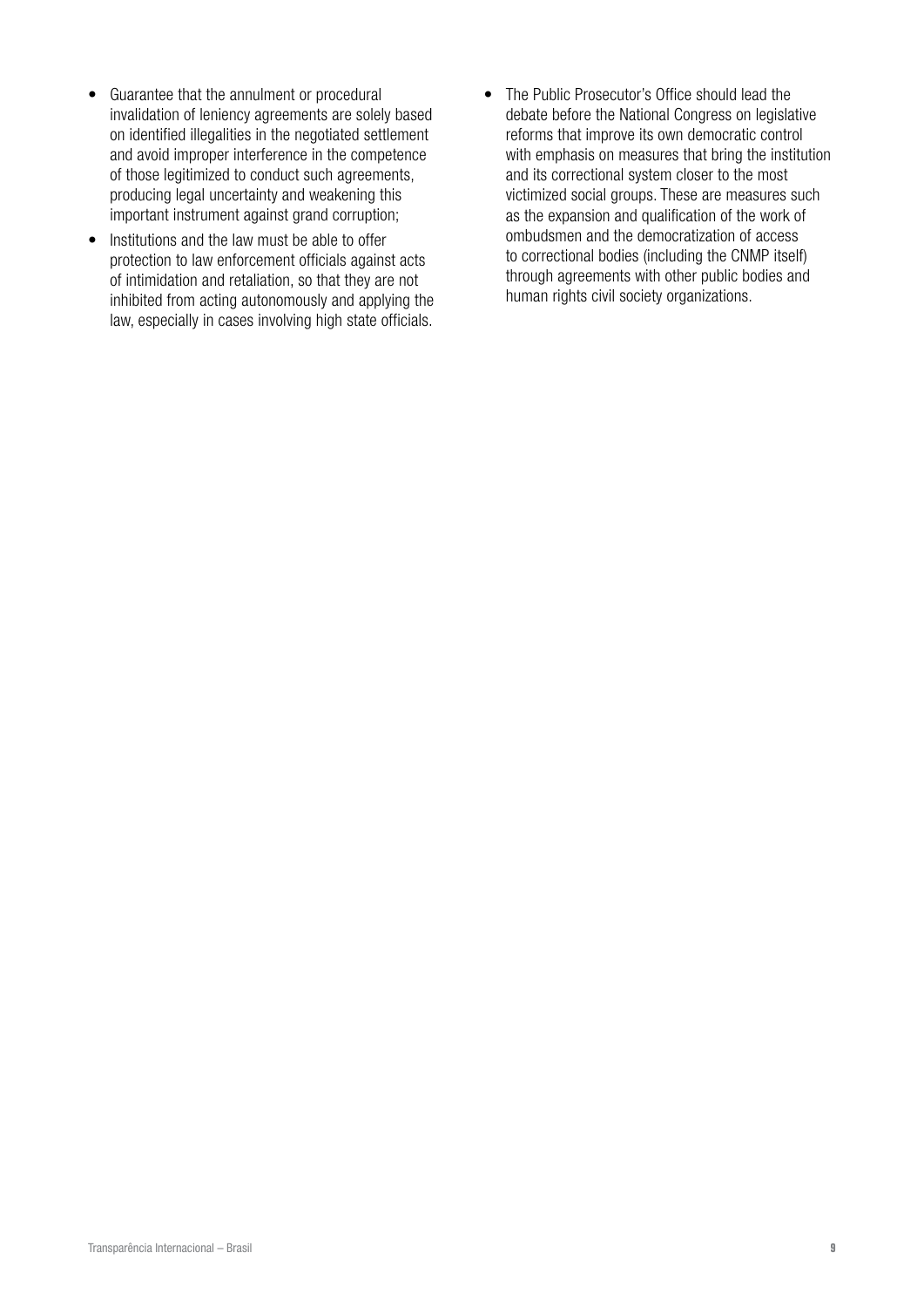- Guarantee that the annulment or procedural invalidation of leniency agreements are solely based on identified illegalities in the negotiated settlement and avoid improper interference in the competence of those legitimized to conduct such agreements, producing legal uncertainty and weakening this important instrument against grand corruption;
- Institutions and the law must be able to offer protection to law enforcement officials against acts of intimidation and retaliation, so that they are not inhibited from acting autonomously and applying the law, especially in cases involving high state officials.
- The Public Prosecutor's Office should lead the debate before the National Congress on legislative reforms that improve its own democratic control with emphasis on measures that bring the institution and its correctional system closer to the most victimized social groups. These are measures such as the expansion and qualification of the work of ombudsmen and the democratization of access to correctional bodies (including the CNMP itself) through agreements with other public bodies and human rights civil society organizations.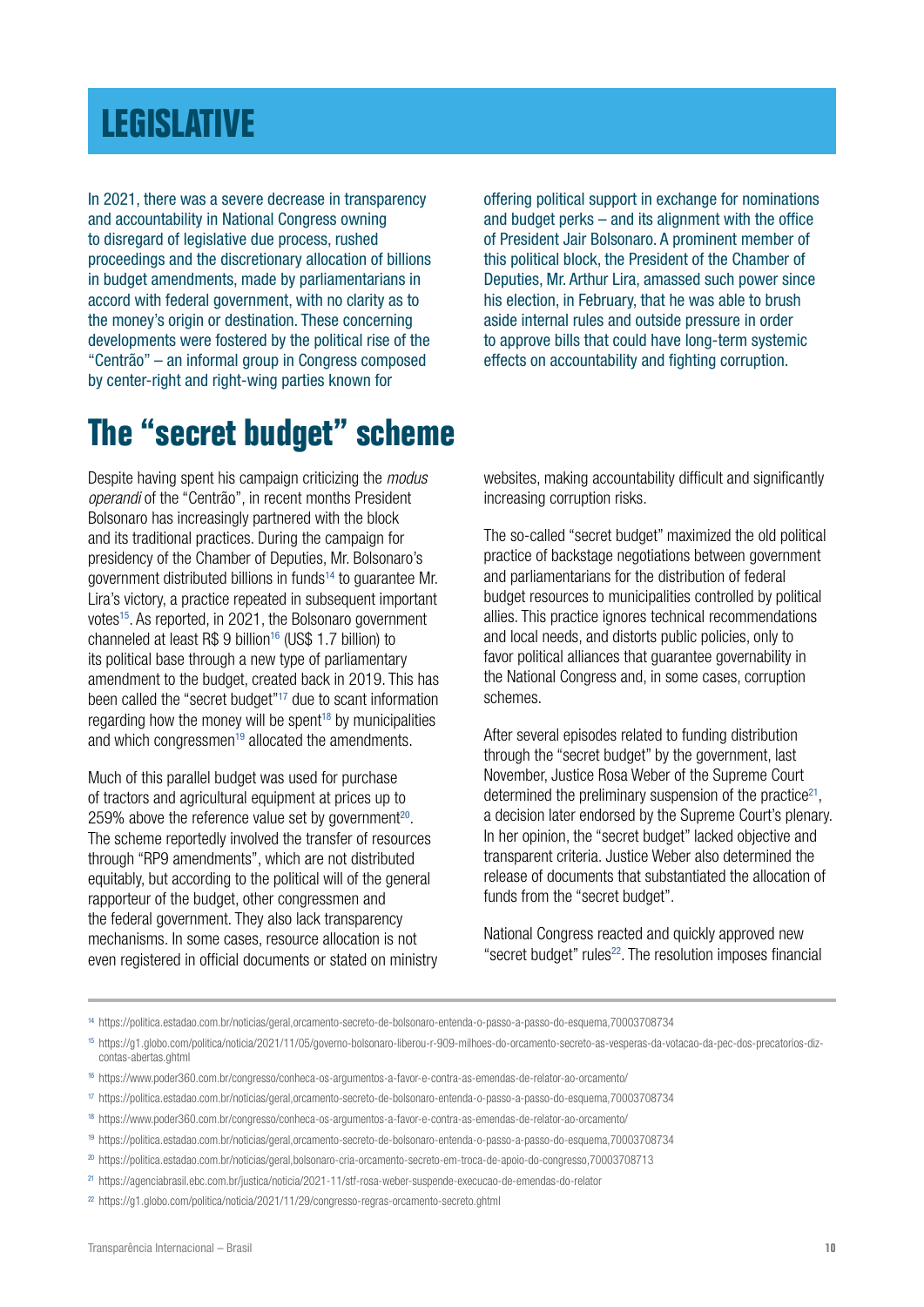### <span id="page-9-0"></span>**[LEGISLATIVE](#page-1-0)**

In 2021, there was a severe decrease in transparency and accountability in National Congress owning to disregard of legislative due process, rushed proceedings and the discretionary allocation of billions in budget amendments, made by parliamentarians in accord with federal government, with no clarity as to the money's origin or destination. These concerning developments were fostered by the political rise of the "Centrão" – an informal group in Congress composed by center-right and right-wing parties known for

offering political support in exchange for nominations and budget perks – and its alignment with the office of President Jair Bolsonaro. A prominent member of this political block, the President of the Chamber of Deputies, Mr. Arthur Lira, amassed such power since his election, in February, that he was able to brush aside internal rules and outside pressure in order to approve bills that could have long-term systemic effects on accountability and fighting corruption.

### **The "secret budget" scheme**

Despite having spent his campaign criticizing the *modus operandi* of the "Centrão", in recent months President Bolsonaro has increasingly partnered with the block and its traditional practices. During the campaign for presidency of the Chamber of Deputies, Mr. Bolsonaro's government distributed billions in funds14 to guarantee Mr. Lira's victory, a practice repeated in subsequent important votes<sup>15</sup>. As reported, in 2021, the Bolsonaro government channeled at least R\$ 9 billion<sup>16</sup> (US\$ 1.7 billion) to its political base through a new type of parliamentary amendment to the budget, created back in 2019. This has been called the "secret budget"17 due to scant information regarding how the money will be spent<sup>18</sup> by municipalities and which congressmen<sup>19</sup> allocated the amendments.

Much of this parallel budget was used for purchase of tractors and agricultural equipment at prices up to 259% above the reference value set by government<sup>20</sup>. The scheme reportedly involved the transfer of resources through "RP9 amendments", which are not distributed equitably, but according to the political will of the general rapporteur of the budget, other congressmen and the federal government. They also lack transparency mechanisms. In some cases, resource allocation is not even registered in official documents or stated on ministry websites, making accountability difficult and significantly increasing corruption risks.

The so-called "secret budget" maximized the old political practice of backstage negotiations between government and parliamentarians for the distribution of federal budget resources to municipalities controlled by political allies. This practice ignores technical recommendations and local needs, and distorts public policies, only to favor political alliances that guarantee governability in the National Congress and, in some cases, corruption schemes.

After several episodes related to funding distribution through the "secret budget" by the government, last November, Justice Rosa Weber of the Supreme Court determined the preliminary suspension of the practice<sup>21</sup>, a decision later endorsed by the Supreme Court's plenary. In her opinion, the "secret budget" lacked objective and transparent criteria. Justice Weber also determined the release of documents that substantiated the allocation of funds from the "secret budget".

National Congress reacted and quickly approved new "secret budget" rules<sup>22</sup>. The resolution imposes financial

<sup>14</sup> https://politica.estadao.com.br/noticias/geral,orcamento-secreto-de-bolsonaro-entenda-o-passo-a-passo-do-esquema,70003708734

<sup>15</sup> https://g1.globo.com/politica/noticia/2021/11/05/governo-bolsonaro-liberou-r-909-milhoes-do-orcamento-secreto-as-vesperas-da-votacao-da-pec-dos-precatorios-dizcontas-abertas.ghtml

<sup>16</sup> https://www.poder360.com.br/congresso/conheca-os-argumentos-a-favor-e-contra-as-emendas-de-relator-ao-orcamento/

<sup>17</sup> https://politica.estadao.com.br/noticias/geral,orcamento-secreto-de-bolsonaro-entenda-o-passo-a-passo-do-esquema,70003708734

<sup>18</sup> https://www.poder360.com.br/congresso/conheca-os-argumentos-a-favor-e-contra-as-emendas-de-relator-ao-orcamento/

<sup>19</sup> https://politica.estadao.com.br/noticias/geral,orcamento-secreto-de-bolsonaro-entenda-o-passo-a-passo-do-esquema,70003708734

<sup>20</sup> https://politica.estadao.com.br/noticias/geral,bolsonaro-cria-orcamento-secreto-em-troca-de-apoio-do-congresso,70003708713

<sup>21</sup> https://agenciabrasil.ebc.com.br/justica/noticia/2021-11/stf-rosa-weber-suspende-execucao-de-emendas-do-relator

<sup>22</sup> https://g1.globo.com/politica/noticia/2021/11/29/congresso-regras-orcamento-secreto.ghtml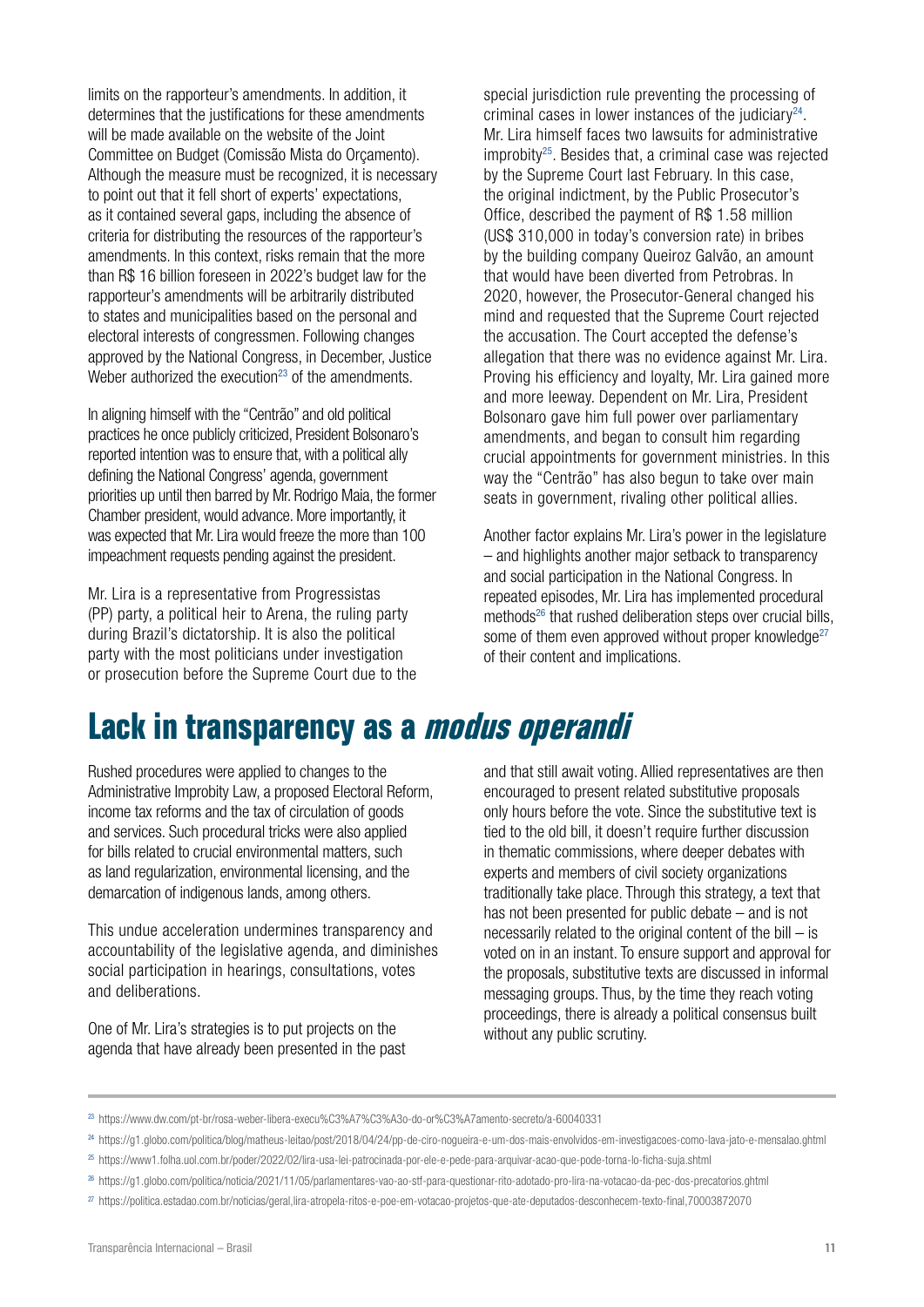limits on the rapporteur's amendments. In addition, it determines that the justifications for these amendments will be made available on the website of the Joint Committee on Budget (Comissão Mista do Orçamento). Although the measure must be recognized, it is necessary to point out that it fell short of experts' expectations, as it contained several gaps, including the absence of criteria for distributing the resources of the rapporteur's amendments. In this context, risks remain that the more than R\$ 16 billion foreseen in 2022's budget law for the rapporteur's amendments will be arbitrarily distributed to states and municipalities based on the personal and electoral interests of congressmen. Following changes approved by the National Congress, in December, Justice Weber authorized the execution<sup>23</sup> of the amendments.

In aligning himself with the "Centrão" and old political practices he once publicly criticized, President Bolsonaro's reported intention was to ensure that, with a political ally defining the National Congress' agenda, government priorities up until then barred by Mr. Rodrigo Maia, the former Chamber president, would advance. More importantly, it was expected that Mr. Lira would freeze the more than 100 impeachment requests pending against the president.

Mr. Lira is a representative from Progressistas (PP) party, a political heir to Arena, the ruling party during Brazil's dictatorship. It is also the political party with the most politicians under investigation or prosecution before the Supreme Court due to the special jurisdiction rule preventing the processing of criminal cases in lower instances of the judiciary $24$ . Mr. Lira himself faces two lawsuits for administrative improbity25. Besides that, a criminal case was rejected by the Supreme Court last February. In this case, the original indictment, by the Public Prosecutor's Office, described the payment of R\$ 1.58 million (US\$ 310,000 in today's conversion rate) in bribes by the building company Queiroz Galvão, an amount that would have been diverted from Petrobras. In 2020, however, the Prosecutor-General changed his mind and requested that the Supreme Court rejected the accusation. The Court accepted the defense's allegation that there was no evidence against Mr. Lira. Proving his efficiency and loyalty, Mr. Lira gained more and more leeway. Dependent on Mr. Lira, President Bolsonaro gave him full power over parliamentary amendments, and began to consult him regarding crucial appointments for government ministries. In this way the "Centrão" has also begun to take over main seats in government, rivaling other political allies.

Another factor explains Mr. Lira's power in the legislature – and highlights another major setback to transparency and social participation in the National Congress. In repeated episodes, Mr. Lira has implemented procedural methods<sup>26</sup> that rushed deliberation steps over crucial bills, some of them even approved without proper knowledge<sup>27</sup> of their content and implications.

### **Lack in transparency as a modus operandi**

Rushed procedures were applied to changes to the Administrative Improbity Law, a proposed Electoral Reform, income tax reforms and the tax of circulation of goods and services. Such procedural tricks were also applied for bills related to crucial environmental matters, such as land regularization, environmental licensing, and the demarcation of indigenous lands, among others.

This undue acceleration undermines transparency and accountability of the legislative agenda, and diminishes social participation in hearings, consultations, votes and deliberations.

One of Mr. Lira's strategies is to put projects on the agenda that have already been presented in the past and that still await voting. Allied representatives are then encouraged to present related substitutive proposals only hours before the vote. Since the substitutive text is tied to the old bill, it doesn't require further discussion in thematic commissions, where deeper debates with experts and members of civil society organizations traditionally take place. Through this strategy, a text that has not been presented for public debate – and is not necessarily related to the original content of the bill  $-$  is voted on in an instant. To ensure support and approval for the proposals, substitutive texts are discussed in informal messaging groups. Thus, by the time they reach voting proceedings, there is already a political consensus built without any public scrutiny.

<sup>23</sup> https://www.dw.com/pt-br/rosa-weber-libera-execu%C3%A7%C3%A3o-do-or%C3%A7amento-secreto/a-60040331

<sup>24</sup> https://g1.globo.com/politica/blog/matheus-leitao/post/2018/04/24/pp-de-ciro-nogueira-e-um-dos-mais-envolvidos-em-investigacoes-como-lava-jato-e-mensalao.ghtml

<sup>25</sup> https://www1.folha.uol.com.br/poder/2022/02/lira-usa-lei-patrocinada-por-ele-e-pede-para-arquivar-acao-que-pode-torna-lo-ficha-suja.shtml

<sup>26</sup> https://g1.globo.com/politica/noticia/2021/11/05/parlamentares-vao-ao-stf-para-questionar-rito-adotado-pro-lira-na-votacao-da-pec-dos-precatorios.ghtml

<sup>27</sup> <https://politica.estadao.com.br/noticias/geral,lira-atropela-ritos-e-poe-em-votacao-projetos-que-ate-deputados-desconhecem-texto-final,70003872070>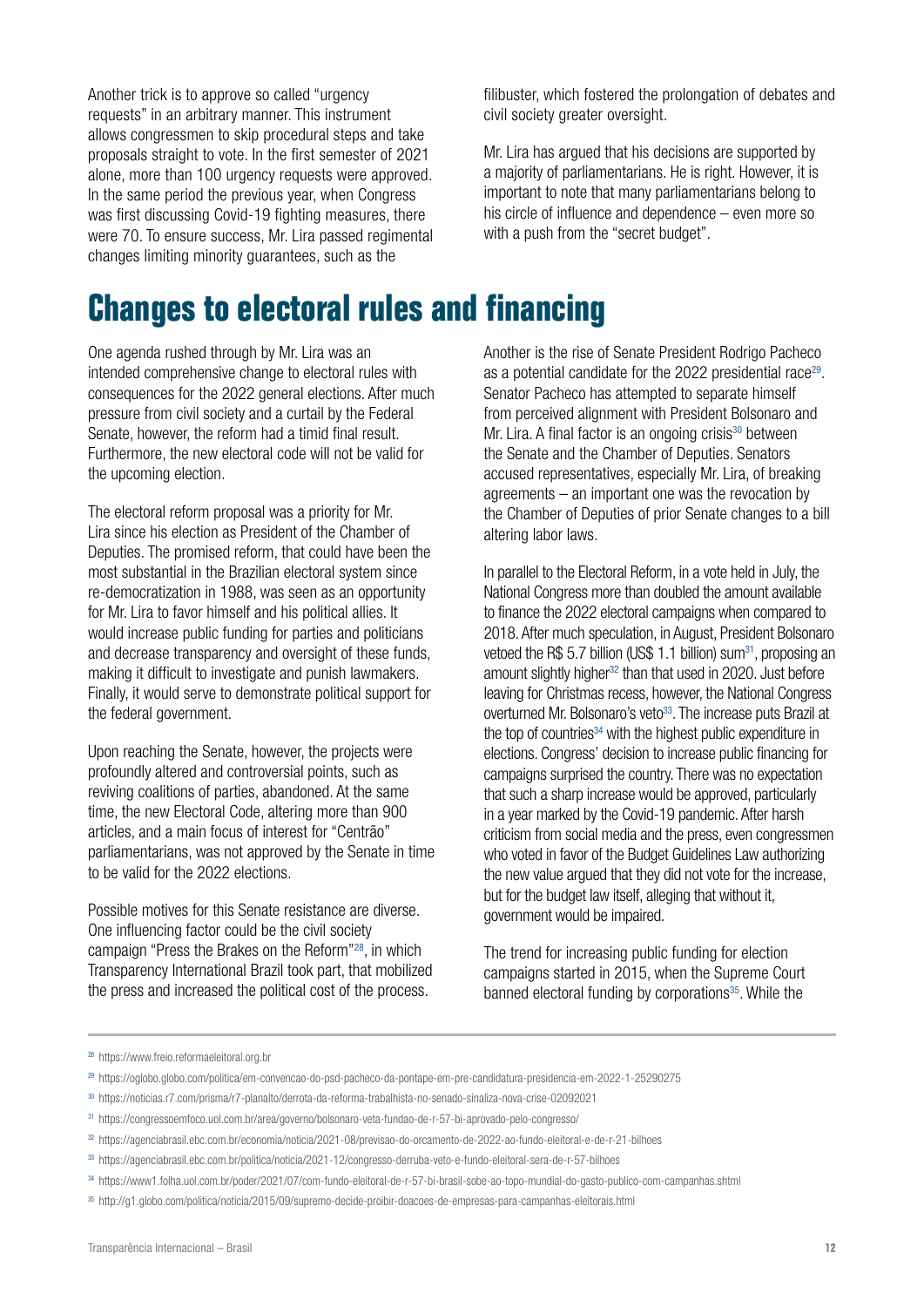Another trick is to approve so called "urgency requests" in an arbitrary manner. This instrument allows congressmen to skip procedural steps and take proposals straight to vote. In the first semester of 2021 alone, more than 100 urgency requests were approved. In the same period the previous year, when Congress was first discussing Covid-19 fighting measures, there were 70. To ensure success, Mr. Lira passed regimental changes limiting minority guarantees, such as the

filibuster, which fostered the prolongation of debates and civil society greater oversight.

Mr. Lira has argued that his decisions are supported by a majority of parliamentarians. He is right. However, it is important to note that many parliamentarians belong to his circle of influence and dependence – even more so with a push from the "secret budget".

### **Changes to electoral rules and financing**

One agenda rushed through by Mr. Lira was an intended comprehensive change to electoral rules with consequences for the 2022 general elections. After much pressure from civil society and a curtail by the Federal Senate, however, the reform had a timid final result. Furthermore, the new electoral code will not be valid for the upcoming election.

The electoral reform proposal was a priority for Mr. Lira since his election as President of the Chamber of Deputies. The promised reform, that could have been the most substantial in the Brazilian electoral system since re-democratization in 1988, was seen as an opportunity for Mr. Lira to favor himself and his political allies. It would increase public funding for parties and politicians and decrease transparency and oversight of these funds, making it difficult to investigate and punish lawmakers. Finally, it would serve to demonstrate political support for the federal government.

Upon reaching the Senate, however, the projects were profoundly altered and controversial points, such as reviving coalitions of parties, abandoned. At the same time, the new Electoral Code, altering more than 900 articles, and a main focus of interest for "Centrão" parliamentarians, was not approved by the Senate in time to be valid for the 2022 elections.

Possible motives for this Senate resistance are diverse. One influencing factor could be the civil society campaign "Press the Brakes on the Reform"28, in which Transparency International Brazil took part, that mobilized the press and increased the political cost of the process.

Another is the rise of Senate President Rodrigo Pacheco as a potential candidate for the 2022 presidential race<sup>29</sup>. Senator Pacheco has attempted to separate himself from perceived alignment with President Bolsonaro and Mr. Lira. A final factor is an ongoing crisis<sup>30</sup> between the Senate and the Chamber of Deputies. Senators accused representatives, especially Mr. Lira, of breaking agreements – an important one was the revocation by the Chamber of Deputies of prior Senate changes to a bill altering labor laws.

In parallel to the Electoral Reform, in a vote held in July, the National Congress more than doubled the amount available to finance the 2022 electoral campaigns when compared to 2018. After much speculation, in August, President Bolsonaro vetoed the R\$ 5.7 billion (US\$ 1.1 billion) sum<sup>31</sup>, proposing an amount slightly higher<sup>32</sup> than that used in 2020. Just before leaving for Christmas recess, however, the National Congress overturned Mr. Bolsonaro's veto<sup>33</sup>. The increase puts Brazil at the top of countries $34$  with the highest public expenditure in elections. Congress' decision to increase public financing for campaigns surprised the country. There was no expectation that such a sharp increase would be approved, particularly in a year marked by the Covid-19 pandemic. After harsh criticism from social media and the press, even congressmen who voted in favor of the Budget Guidelines Law authorizing the new value argued that they did not vote for the increase, but for the budget law itself, alleging that without it, government would be impaired.

The trend for increasing public funding for election campaigns started in 2015, when the Supreme Court banned electoral funding by corporations<sup>35</sup>. While the

<sup>28</sup> https://www.freio.reformaeleitoral.org.br

<sup>29</sup> https://oglobo.globo.com/politica/em-convencao-do-psd-pacheco-da-pontape-em-pre-candidatura-presidencia-em-2022-1-25290275

<sup>30</sup> https://noticias.r7.com/prisma/r7-planalto/derrota-da-reforma-trabalhista-no-senado-sinaliza-nova-crise-02092021

<sup>31</sup> https://congressoemfoco.uol.com.br/area/governo/bolsonaro-veta-fundao-de-r-57-bi-aprovado-pelo-congresso/

<sup>32</sup> https://agenciabrasil.ebc.com.br/economia/noticia/2021-08/previsao-do-orcamento-de-2022-ao-fundo-eleitoral-e-de-r-21-bilhoes

<sup>33</sup> https://agenciabrasil.ebc.com.br/politica/noticia/2021-12/congresso-derruba-veto-e-fundo-eleitoral-sera-de-r-57-bilhoes

<sup>34</sup> https://www1.folha.uol.com.br/poder/2021/07/com-fundo-eleitoral-de-r-57-bi-brasil-sobe-ao-topo-mundial-do-gasto-publico-com-campanhas.shtml

<sup>35</sup> http://g1.globo.com/politica/noticia/2015/09/supremo-decide-proibir-doacoes-de-empresas-para-campanhas-eleitorais.html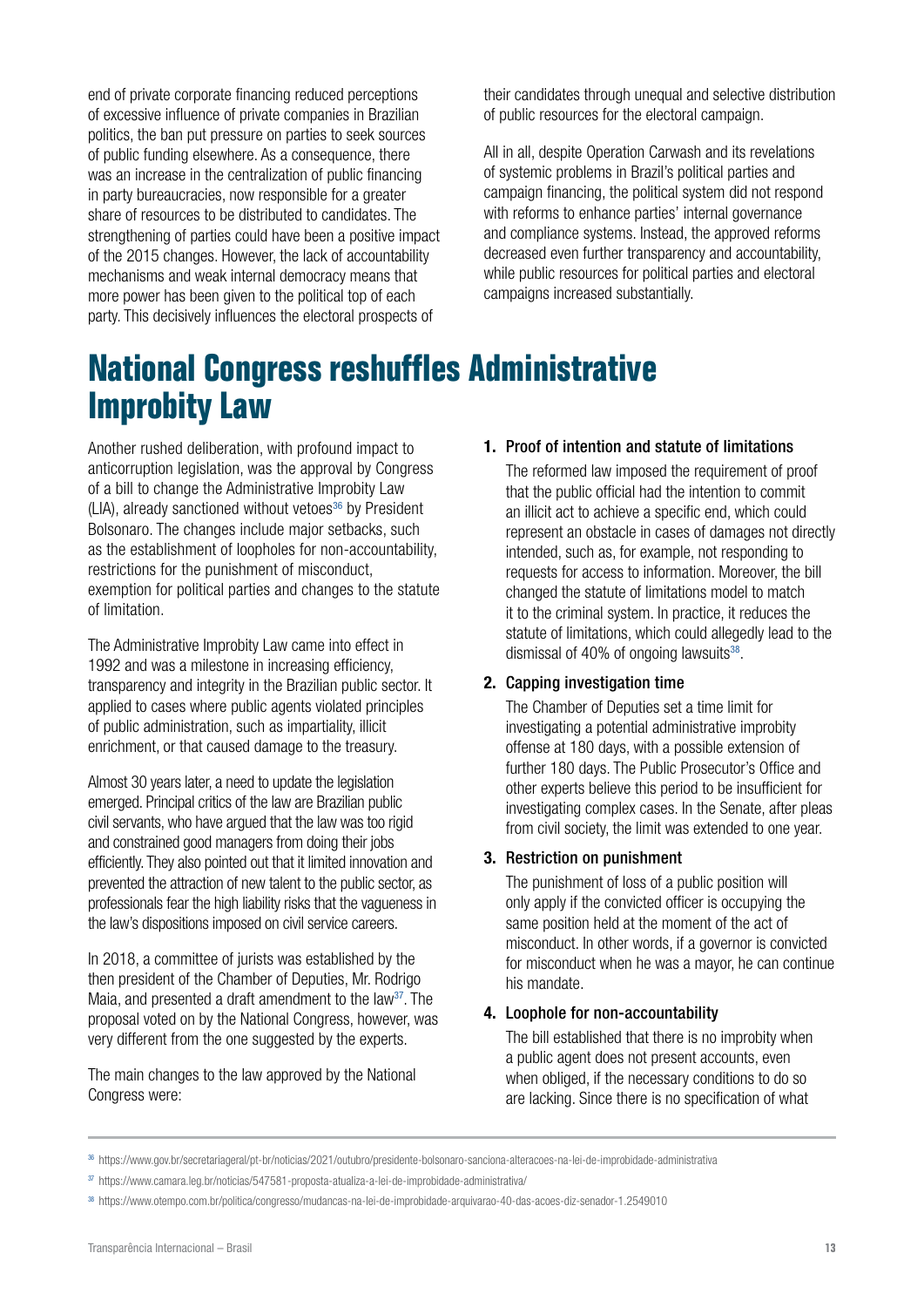end of private corporate financing reduced perceptions of excessive influence of private companies in Brazilian politics, the ban put pressure on parties to seek sources of public funding elsewhere. As a consequence, there was an increase in the centralization of public financing in party bureaucracies, now responsible for a greater share of resources to be distributed to candidates. The strengthening of parties could have been a positive impact of the 2015 changes. However, the lack of accountability mechanisms and weak internal democracy means that more power has been given to the political top of each party. This decisively influences the electoral prospects of

their candidates through unequal and selective distribution of public resources for the electoral campaign.

All in all, despite Operation Carwash and its revelations of systemic problems in Brazil's political parties and campaign financing, the political system did not respond with reforms to enhance parties' internal governance and compliance systems. Instead, the approved reforms decreased even further transparency and accountability, while public resources for political parties and electoral campaigns increased substantially.

### **National Congress reshuffles Administrative Improbity Law**

Another rushed deliberation, with profound impact to anticorruption legislation, was the approval by Congress of a bill to change the Administrative Improbity Law  $(LIA)$ , already sanctioned without vetoes<sup>36</sup> by President Bolsonaro. The changes include major setbacks, such as the establishment of loopholes for non-accountability, restrictions for the punishment of misconduct, exemption for political parties and changes to the statute of limitation.

The Administrative Improbity Law came into effect in 1992 and was a milestone in increasing efficiency, transparency and integrity in the Brazilian public sector. It applied to cases where public agents violated principles of public administration, such as impartiality, illicit enrichment, or that caused damage to the treasury.

Almost 30 years later, a need to update the legislation emerged. Principal critics of the law are Brazilian public civil servants, who have argued that the law was too rigid and constrained good managers from doing their jobs efficiently. They also pointed out that it limited innovation and prevented the attraction of new talent to the public sector, as professionals fear the high liability risks that the vagueness in the law's dispositions imposed on civil service careers.

In 2018, a committee of jurists was established by the then president of the Chamber of Deputies, Mr. Rodrigo Maia, and presented a draft amendment to the law<sup>37</sup>. The proposal voted on by the National Congress, however, was very different from the one suggested by the experts.

The main changes to the law approved by the National Congress were:

#### 1. Proof of intention and statute of limitations

The reformed law imposed the requirement of proof that the public official had the intention to commit an illicit act to achieve a specific end, which could represent an obstacle in cases of damages not directly intended, such as, for example, not responding to requests for access to information. Moreover, the bill changed the statute of limitations model to match it to the criminal system. In practice, it reduces the statute of limitations, which could allegedly lead to the dismissal of 40% of ongoing lawsuits $38$ .

#### 2. Capping investigation time

The Chamber of Deputies set a time limit for investigating a potential administrative improbity offense at 180 days, with a possible extension of further 180 days. The Public Prosecutor's Office and other experts believe this period to be insufficient for investigating complex cases. In the Senate, after pleas from civil society, the limit was extended to one year.

#### 3. Restriction on punishment

The punishment of loss of a public position will only apply if the convicted officer is occupying the same position held at the moment of the act of misconduct. In other words, if a governor is convicted for misconduct when he was a mayor, he can continue his mandate.

#### 4. Loophole for non-accountability

The bill established that there is no improbity when a public agent does not present accounts, even when obliged, if the necessary conditions to do so are lacking. Since there is no specification of what

<sup>36</sup> https://www.gov.br/secretariageral/pt-br/noticias/2021/outubro/presidente-bolsonaro-sanciona-alteracoes-na-lei-de-improbidade-administrativa

<sup>37</sup> https://www.camara.leg.br/noticias/547581-proposta-atualiza-a-lei-de-improbidade-administrativa/

<sup>38</sup> https://www.otempo.com.br/politica/congresso/mudancas-na-lei-de-improbidade-arquivarao-40-das-acoes-diz-senador-1.2549010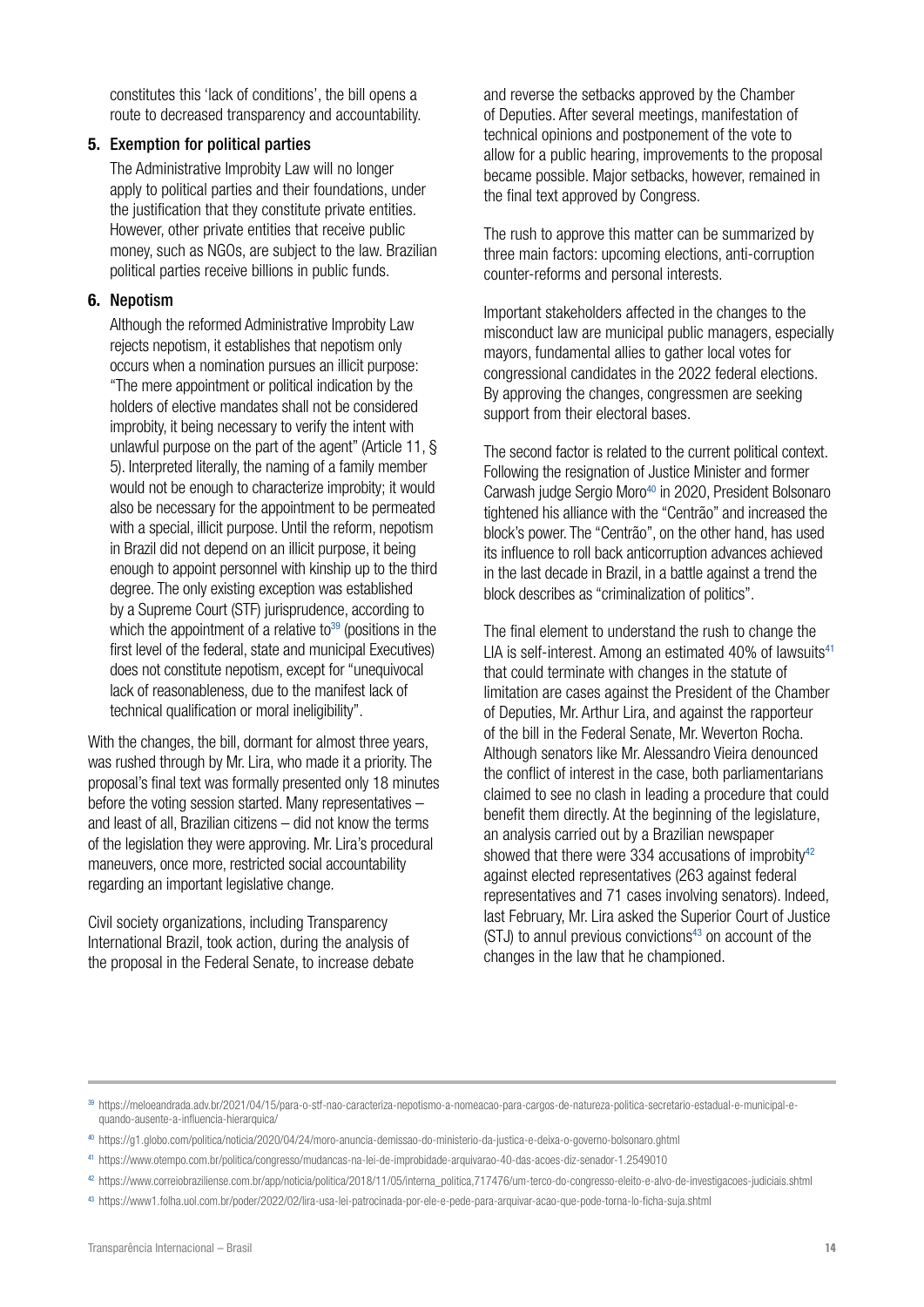constitutes this 'lack of conditions', the bill opens a route to decreased transparency and accountability.

#### 5. Exemption for political parties

The Administrative Improbity Law will no longer apply to political parties and their foundations, under the justification that they constitute private entities. However, other private entities that receive public money, such as NGOs, are subject to the law. Brazilian political parties receive billions in public funds.

#### 6. Nepotism

Although the reformed Administrative Improbity Law rejects nepotism, it establishes that nepotism only occurs when a nomination pursues an illicit purpose: "The mere appointment or political indication by the holders of elective mandates shall not be considered improbity, it being necessary to verify the intent with unlawful purpose on the part of the agent" (Article 11, § 5). Interpreted literally, the naming of a family member would not be enough to characterize improbity; it would also be necessary for the appointment to be permeated with a special, illicit purpose. Until the reform, nepotism in Brazil did not depend on an illicit purpose, it being enough to appoint personnel with kinship up to the third degree. The only existing exception was established by a Supreme Court (STF) jurisprudence, according to which the appointment of a relative to<sup>39</sup> (positions in the first level of the federal, state and municipal Executives) does not constitute nepotism, except for "unequivocal lack of reasonableness, due to the manifest lack of technical qualification or moral ineligibility".

With the changes, the bill, dormant for almost three years, was rushed through by Mr. Lira, who made it a priority. The proposal's final text was formally presented only 18 minutes before the voting session started. Many representatives – and least of all, Brazilian citizens – did not know the terms of the legislation they were approving. Mr. Lira's procedural maneuvers, once more, restricted social accountability regarding an important legislative change.

Civil society organizations, including Transparency International Brazil, took action, during the analysis of the proposal in the Federal Senate, to increase debate and reverse the setbacks approved by the Chamber of Deputies. After several meetings, manifestation of technical opinions and postponement of the vote to allow for a public hearing, improvements to the proposal became possible. Major setbacks, however, remained in the final text approved by Congress.

The rush to approve this matter can be summarized by three main factors: upcoming elections, anti-corruption counter-reforms and personal interests.

Important stakeholders affected in the changes to the misconduct law are municipal public managers, especially mayors, fundamental allies to gather local votes for congressional candidates in the 2022 federal elections. By approving the changes, congressmen are seeking support from their electoral bases.

The second factor is related to the current political context. Following the resignation of Justice Minister and former Carwash judge Sergio Moro<sup>40</sup> in 2020, President Bolsonaro tightened his alliance with the "Centrão" and increased the block's power. The "Centrão", on the other hand, has used its influence to roll back anticorruption advances achieved in the last decade in Brazil, in a battle against a trend the block describes as "criminalization of politics".

The final element to understand the rush to change the LIA is self-interest. Among an estimated 40% of lawsuits $41$ that could terminate with changes in the statute of limitation are cases against the President of the Chamber of Deputies, Mr. Arthur Lira, and against the rapporteur of the bill in the Federal Senate, Mr. Weverton Rocha. Although senators like Mr. Alessandro Vieira denounced the conflict of interest in the case, both parliamentarians claimed to see no clash in leading a procedure that could benefit them directly. At the beginning of the legislature, an analysis carried out by a Brazilian newspaper showed that there were 334 accusations of improbity $42$ against elected representatives (263 against federal representatives and 71 cases involving senators). Indeed, last February, Mr. Lira asked the Superior Court of Justice  $(STJ)$  to annul previous convictions<sup>43</sup> on account of the changes in the law that he championed.

<sup>39</sup> https://meloeandrada.adv.br/2021/04/15/para-o-stf-nao-caracteriza-nepotismo-a-nomeacao-para-cargos-de-natureza-politica-secretario-estadual-e-municipal-equando-ausente-a-influencia-hierarquica/

<sup>40</sup> https://g1.globo.com/politica/noticia/2020/04/24/moro-anuncia-demissao-do-ministerio-da-justica-e-deixa-o-governo-bolsonaro.ghtml

<sup>41</sup> https://www.otempo.com.br/politica/congresso/mudancas-na-lei-de-improbidade-arquivarao-40-das-acoes-diz-senador-1.2549010

<sup>42</sup> https://www.correiobraziliense.com.br/app/noticia/politica/2018/11/05/interna\_politica,717476/um-terco-do-congresso-eleito-e-alvo-de-investigacoes-judiciais.shtml

<sup>43</sup> https://www1.folha.uol.com.br/poder/2022/02/lira-usa-lei-patrocinada-por-ele-e-pede-para-arquivar-acao-que-pode-torna-lo-ficha-suja.shtml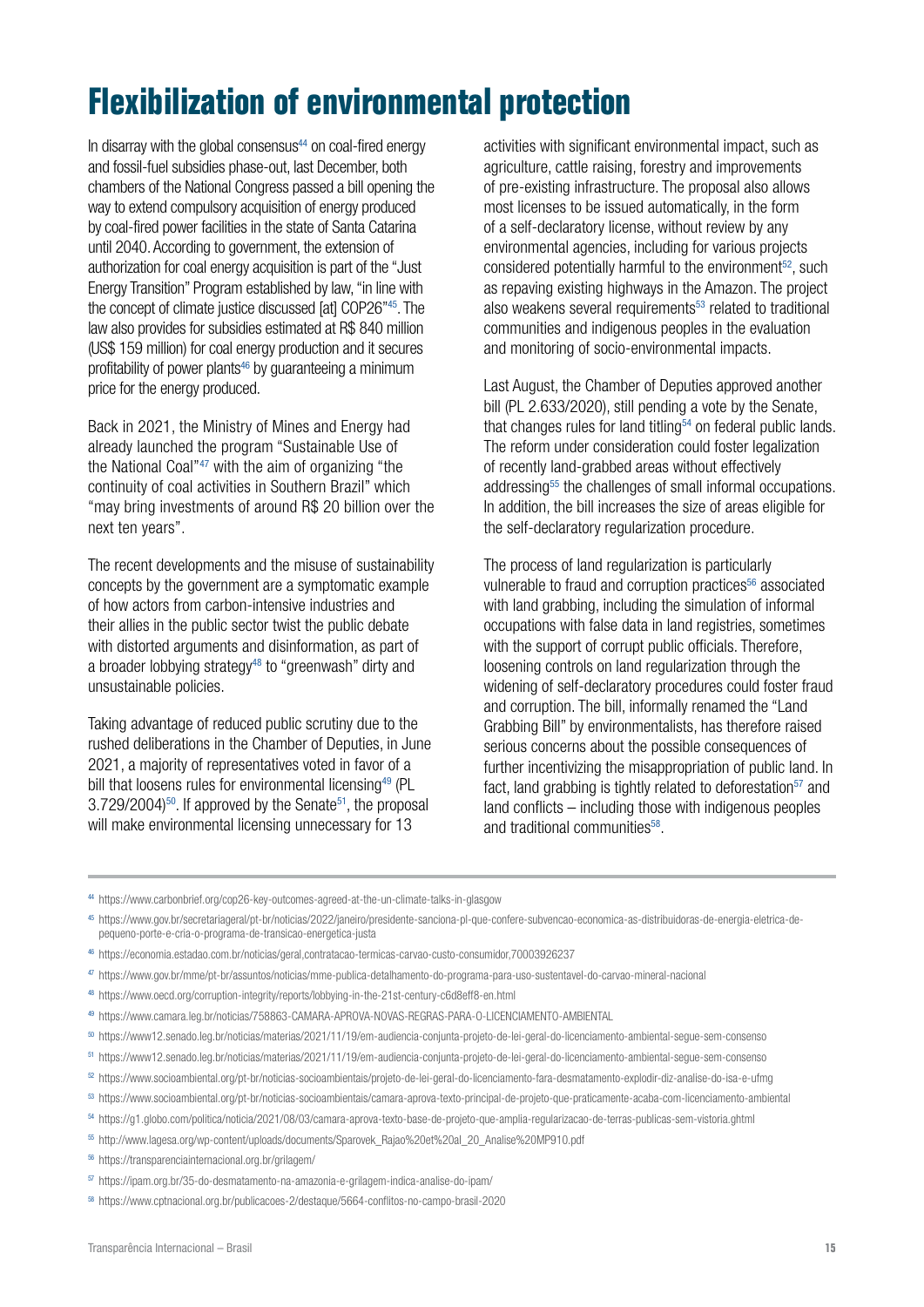### **Flexibilization of environmental protection**

In disarray with the global consensus<sup>44</sup> on coal-fired energy and fossil-fuel subsidies phase-out, last December, both chambers of the National Congress passed a bill opening the way to extend compulsory acquisition of energy produced by coal-fired power facilities in the state of Santa Catarina until 2040. According to government, the extension of authorization for coal energy acquisition is part of the "Just Energy Transition" Program established by law, "in line with the concept of climate justice discussed [at] COP26"45. The law also provides for subsidies estimated at R\$ 840 million (US\$ 159 million) for coal energy production and it secures profitability of power plants<sup>46</sup> by guaranteeing a minimum price for the energy produced.

Back in 2021, the Ministry of Mines and Energy had already launched the program "Sustainable Use of the National Coal"47 with the aim of organizing "the continuity of coal activities in Southern Brazil" which "may bring investments of around R\$ 20 billion over the next ten years".

The recent developments and the misuse of sustainability concepts by the government are a symptomatic example of how actors from carbon-intensive industries and their allies in the public sector twist the public debate with distorted arguments and disinformation, as part of a broader lobbying strategy<sup>48</sup> to "greenwash" dirty and unsustainable policies.

Taking advantage of reduced public scrutiny due to the rushed deliberations in the Chamber of Deputies, in June 2021, a majority of representatives voted in favor of a bill that loosens rules for environmental licensing<sup>49</sup> (PL  $3.729/2004$ <sup>50</sup>. If approved by the Senate<sup>51</sup>, the proposal will make environmental licensing unnecessary for 13

activities with significant environmental impact, such as agriculture, cattle raising, forestry and improvements of pre-existing infrastructure. The proposal also allows most licenses to be issued automatically, in the form of a self-declaratory license, without review by any environmental agencies, including for various projects considered potentially harmful to the environment<sup>52</sup>, such as repaving existing highways in the Amazon. The project also weakens several requirements<sup>53</sup> related to traditional communities and indigenous peoples in the evaluation and monitoring of socio-environmental impacts.

Last August, the Chamber of Deputies approved another bill (PL 2.633/2020), still pending a vote by the Senate, that changes rules for land titling $54$  on federal public lands. The reform under consideration could foster legalization of recently land-grabbed areas without effectively addressing<sup>55</sup> the challenges of small informal occupations. In addition, the bill increases the size of areas eligible for the self-declaratory regularization procedure.

The process of land regularization is particularly vulnerable to fraud and corruption practices<sup>56</sup> associated with land grabbing, including the simulation of informal occupations with false data in land registries, sometimes with the support of corrupt public officials. Therefore, loosening controls on land regularization through the widening of self-declaratory procedures could foster fraud and corruption. The bill, informally renamed the "Land Grabbing Bill" by environmentalists, has therefore raised serious concerns about the possible consequences of further incentivizing the misappropriation of public land. In fact, land grabbing is tightly related to deforestation $57$  and land conflicts – including those with indigenous peoples and traditional communities<sup>58</sup>

- <sup>44</sup> <https://www.carbonbrief.org/cop26-key-outcomes-agreed-at-the-un-climate-talks-in-glasgow>
- <sup>45</sup> https://www.gov.br/secretariageral/pt-br/noticias/2022/janeiro/presidente-sanciona-pl-que-confere-subvencao-economica-as-distribuidoras-de-energia-eletrica-depequeno-porte-e-cria-o-programa-de-transicao-energetica-justa
- <sup>46</sup> <https://economia.estadao.com.br/noticias/geral,contratacao-termicas-carvao-custo-consumidor,70003926237>
- <sup>47</sup> <https://www.gov.br/mme/pt-br/assuntos/noticias/mme-publica-detalhamento-do-programa-para-uso-sustentavel-do-carvao-mineral-nacional>
- <sup>48</sup> <https://www.oecd.org/corruption-integrity/reports/lobbying-in-the-21st-century-c6d8eff8-en.html>
- <sup>49</sup> <https://www.camara.leg.br/noticias/758863-CAMARA-APROVA-NOVAS-REGRAS-PARA-O-LICENCIAMENTO-AMBIENTAL>
- <sup>50</sup> <https://www12.senado.leg.br/noticias/materias/2021/11/19/em-audiencia-conjunta-projeto-de-lei-geral-do-licenciamento-ambiental-segue-sem-consenso>
- <sup>51</sup> <https://www12.senado.leg.br/noticias/materias/2021/11/19/em-audiencia-conjunta-projeto-de-lei-geral-do-licenciamento-ambiental-segue-sem-consenso>
- <sup>52</sup> <https://www.socioambiental.org/pt-br/noticias-socioambientais/projeto-de-lei-geral-do-licenciamento-fara-desmatamento-explodir-diz-analise-do-isa-e-ufmg>
- <sup>53</sup> <https://www.socioambiental.org/pt-br/noticias-socioambientais/camara-aprova-texto-principal-de-projeto-que-praticamente-acaba-com-licenciamento-ambiental>
- <sup>54</sup> <https://g1.globo.com/politica/noticia/2021/08/03/camara-aprova-texto-base-de-projeto-que-amplia-regularizacao-de-terras-publicas-sem-vistoria.ghtml>
- <sup>55</sup> [http://www.lagesa.org/wp-content/uploads/documents/Sparovek\\_Rajao%20et%20al\\_20\\_Analise%20MP910.pdf](http://www.lagesa.org/wp-content/uploads/documents/Sparovek_Rajao%20et%20al_20_Analise%20MP910.pdf)
- <sup>56</sup> <https://transparenciainternacional.org.br/grilagem/>
- <sup>57</sup> <https://ipam.org.br/35-do-desmatamento-na-amazonia-e-grilagem-indica-analise-do-ipam/>
- <sup>58</sup> <https://www.cptnacional.org.br/publicacoes-2/destaque/5664-conflitos-no-campo-brasil-2020>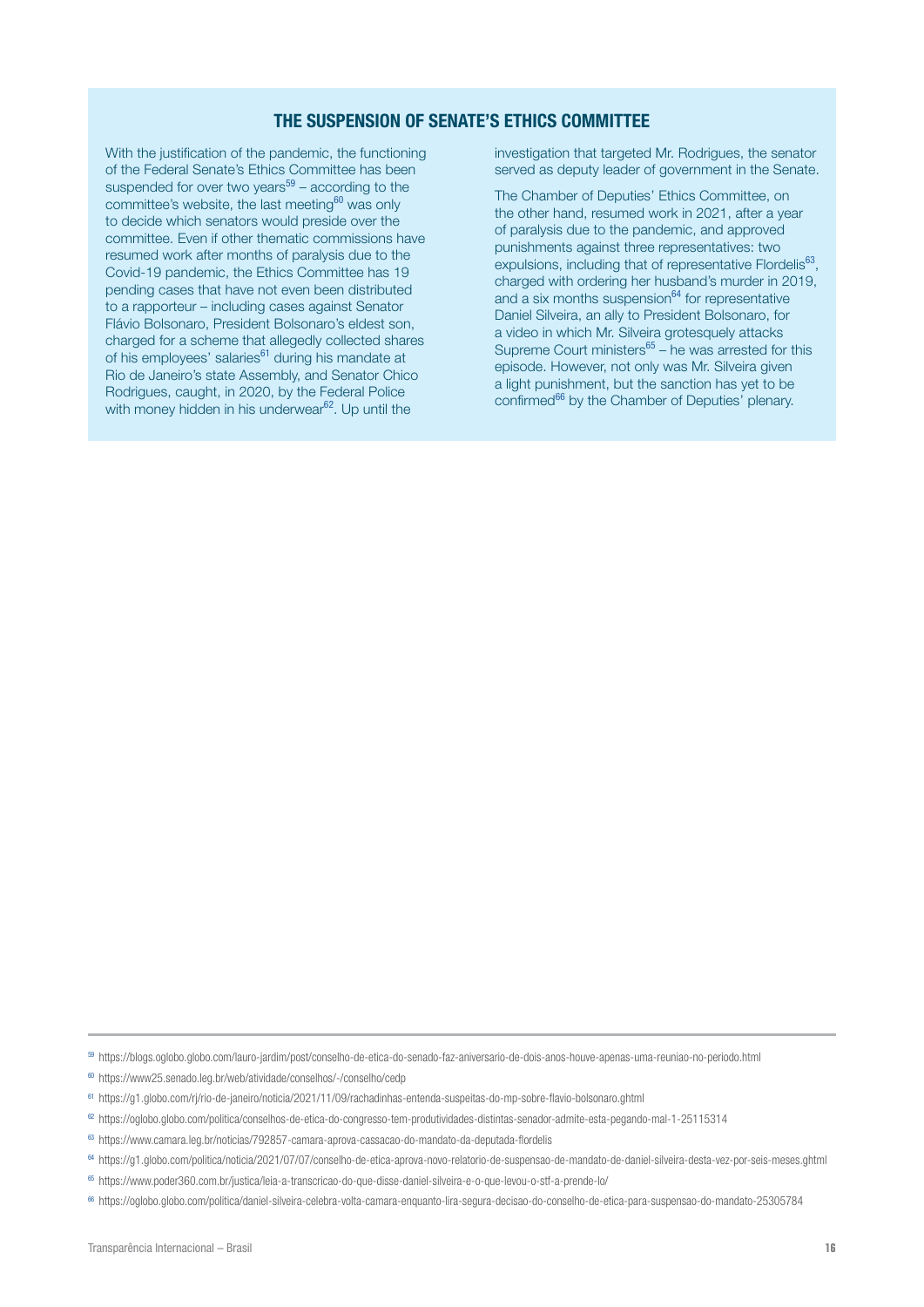#### THE SUSPENSION OF SENATE'S ETHICS COMMITTEE

With the justification of the pandemic, the functioning of the Federal Senate's Ethics Committee has been suspended for over two years $59 -$  according to the committee's website, the last meeting $60$  was only to decide which senators would preside over the committee. Even if other thematic commissions have resumed work after months of paralysis due to the Covid-19 pandemic, the Ethics Committee has 19 pending cases that have not even been distributed to a rapporteur – including cases against Senator Flávio Bolsonaro, President Bolsonaro's eldest son, charged for a scheme that allegedly collected shares of his employees' salaries<sup>61</sup> during his mandate at Rio de Janeiro's state Assembly, and Senator Chico Rodrigues, caught, in 2020, by the Federal Police with money hidden in his underwear<sup>62</sup>. Up until the

investigation that targeted Mr. Rodrigues, the senator served as deputy leader of government in the Senate.

The Chamber of Deputies' Ethics Committee, on the other hand, resumed work in 2021, after a year of paralysis due to the pandemic, and approved punishments against three representatives: two expulsions, including that of representative Flordelis<sup>63</sup>, charged with ordering her husband's murder in 2019, and a six months suspension $64$  for representative Daniel Silveira, an ally to President Bolsonaro, for a video in which Mr. Silveira grotesquely attacks Supreme Court ministers $65 -$  he was arrested for this episode. However, not only was Mr. Silveira given a light punishment, but the sanction has yet to be confirmed<sup>66</sup> by the Chamber of Deputies' plenary.

<sup>59</sup> https://blogs.oglobo.globo.com/lauro-jardim/post/conselho-de-etica-do-senado-faz-aniversario-de-dois-anos-houve-apenas-uma-reuniao-no-periodo.html

<sup>60</sup> https://www25.senado.leg.br/web/atividade/conselhos/-/conselho/cedp

- <sup>62</sup> https://oglobo.globo.com/politica/conselhos-de-etica-do-congresso-tem-produtividades-distintas-senador-admite-esta-pegando-mal-1-25115314
- <sup>63</sup> https://www.camara.leg.br/noticias/792857-camara-aprova-cassacao-do-mandato-da-deputada-flordelis

<sup>65</sup> https://www.poder360.com.br/justica/leia-a-transcricao-do-que-disse-daniel-silveira-e-o-que-levou-o-stf-a-prende-lo/

<sup>61</sup> https://g1.globo.com/rj/rio-de-janeiro/noticia/2021/11/09/rachadinhas-entenda-suspeitas-do-mp-sobre-flavio-bolsonaro.ghtml

<sup>64</sup> https://g1.globo.com/politica/noticia/2021/07/07/conselho-de-etica-aprova-novo-relatorio-de-suspensao-de-mandato-de-daniel-silveira-desta-vez-por-seis-meses.ghtml

<sup>66</sup> https://oglobo.globo.com/politica/daniel-silveira-celebra-volta-camara-enquanto-lira-segura-decisao-do-conselho-de-etica-para-suspensao-do-mandato-25305784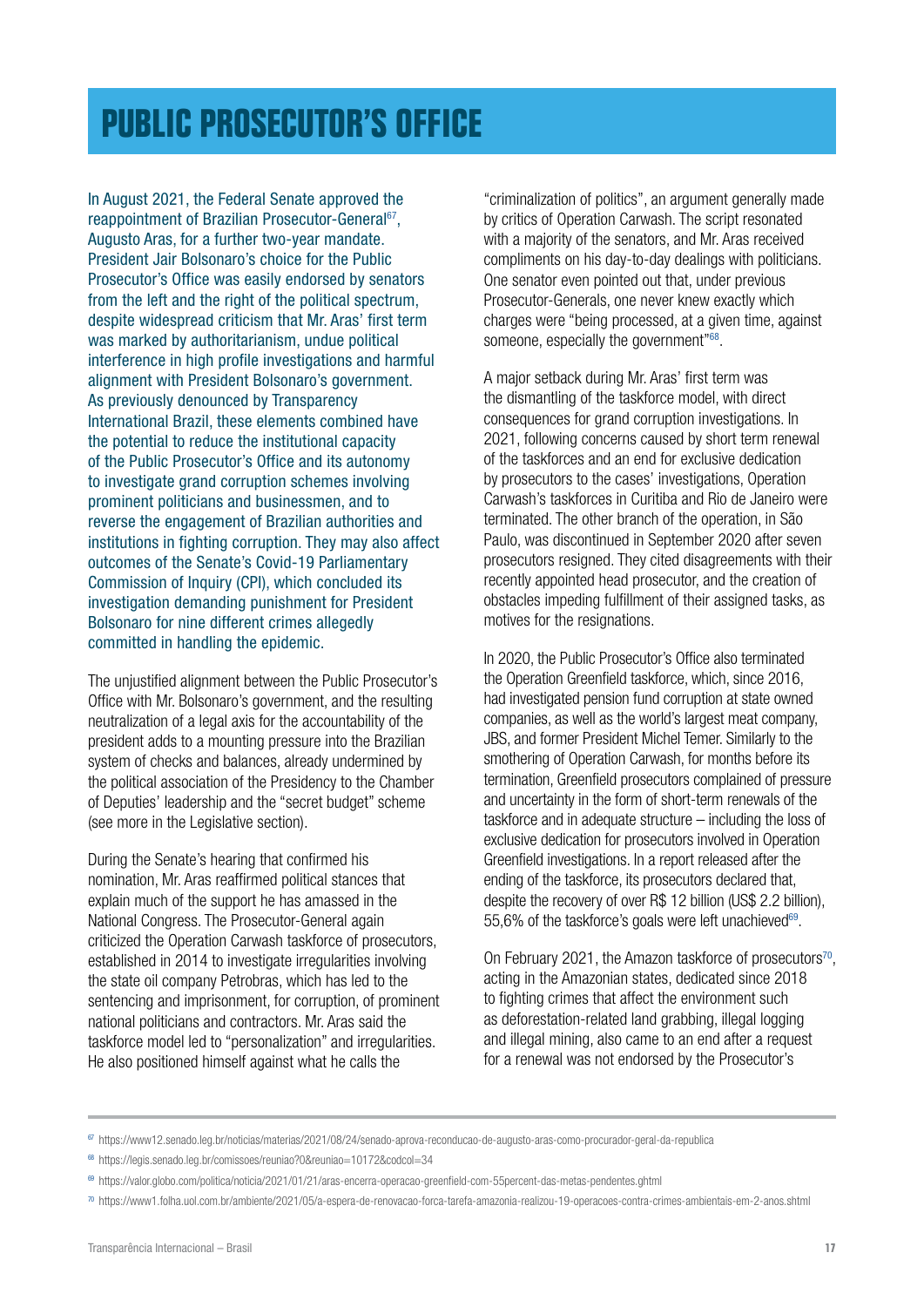### <span id="page-16-0"></span>**[PUBLIC PROSECUTOR'S OFFICE](#page-1-0)**

In August 2021, the Federal Senate approved the reappointment of Brazilian Prosecutor-General<sup>67</sup>, Augusto Aras, for a further two-year mandate. President Jair Bolsonaro's choice for the Public Prosecutor's Office was easily endorsed by senators from the left and the right of the political spectrum, despite widespread criticism that Mr. Aras' first term was marked by authoritarianism, undue political interference in high profile investigations and harmful alignment with President Bolsonaro's government. As previously denounced by Transparency International Brazil, these elements combined have the potential to reduce the institutional capacity of the Public Prosecutor's Office and its autonomy to investigate grand corruption schemes involving prominent politicians and businessmen, and to reverse the engagement of Brazilian authorities and institutions in fighting corruption. They may also affect outcomes of the Senate's Covid-19 Parliamentary Commission of Inquiry (CPI), which concluded its investigation demanding punishment for President Bolsonaro for nine different crimes allegedly committed in handling the epidemic.

The unjustified alignment between the Public Prosecutor's Office with Mr. Bolsonaro's government, and the resulting neutralization of a legal axis for the accountability of the president adds to a mounting pressure into the Brazilian system of checks and balances, already undermined by the political association of the Presidency to the Chamber of Deputies' leadership and the "secret budget" scheme (see more in the Legislative section).

During the Senate's hearing that confirmed his nomination, Mr. Aras reaffirmed political stances that explain much of the support he has amassed in the National Congress. The Prosecutor-General again criticized the Operation Carwash taskforce of prosecutors, established in 2014 to investigate irregularities involving the state oil company Petrobras, which has led to the sentencing and imprisonment, for corruption, of prominent national politicians and contractors. Mr. Aras said the taskforce model led to "personalization" and irregularities. He also positioned himself against what he calls the

"criminalization of politics", an argument generally made by critics of Operation Carwash. The script resonated with a majority of the senators, and Mr. Aras received compliments on his day-to-day dealings with politicians. One senator even pointed out that, under previous Prosecutor-Generals, one never knew exactly which charges were "being processed, at a given time, against someone, especially the government"<sup>68</sup>.

A major setback during Mr. Aras' first term was the dismantling of the taskforce model, with direct consequences for grand corruption investigations. In 2021, following concerns caused by short term renewal of the taskforces and an end for exclusive dedication by prosecutors to the cases' investigations, Operation Carwash's taskforces in Curitiba and Rio de Janeiro were terminated. The other branch of the operation, in São Paulo, was discontinued in September 2020 after seven prosecutors resigned. They cited disagreements with their recently appointed head prosecutor, and the creation of obstacles impeding fulfillment of their assigned tasks, as motives for the resignations.

In 2020, the Public Prosecutor's Office also terminated the Operation Greenfield taskforce, which, since 2016, had investigated pension fund corruption at state owned companies, as well as the world's largest meat company, JBS, and former President Michel Temer. Similarly to the smothering of Operation Carwash, for months before its termination, Greenfield prosecutors complained of pressure and uncertainty in the form of short-term renewals of the taskforce and in adequate structure – including the loss of exclusive dedication for prosecutors involved in Operation Greenfield investigations. In a report released after the ending of the taskforce, its prosecutors declared that, despite the recovery of over R\$ 12 billion (US\$ 2.2 billion), 55,6% of the taskforce's goals were left unachieved $69$ .

On February 2021, the Amazon taskforce of prosecutors<sup>70</sup>. acting in the Amazonian states, dedicated since 2018 to fighting crimes that affect the environment such as deforestation-related land grabbing, illegal logging and illegal mining, also came to an end after a request for a renewal was not endorsed by the Prosecutor's

<sup>67</sup> <https://www12.senado.leg.br/noticias/materias/2021/08/24/senado-aprova-reconducao-de-augusto-aras-como-procurador-geral-da-republica>

<sup>68</sup> https://legis.senado.leg.br/comissoes/reuniao?0&reuniao=10172&codcol=34

<sup>69</sup> https://valor.globo.com/politica/noticia/2021/01/21/aras-encerra-operacao-greenfield-com-55percent-das-metas-pendentes.ghtml

<sup>70</sup> https://www1.folha.uol.com.br/ambiente/2021/05/a-espera-de-renovacao-forca-tarefa-amazonia-realizou-19-operacoes-contra-crimes-ambientais-em-2-anos.shtml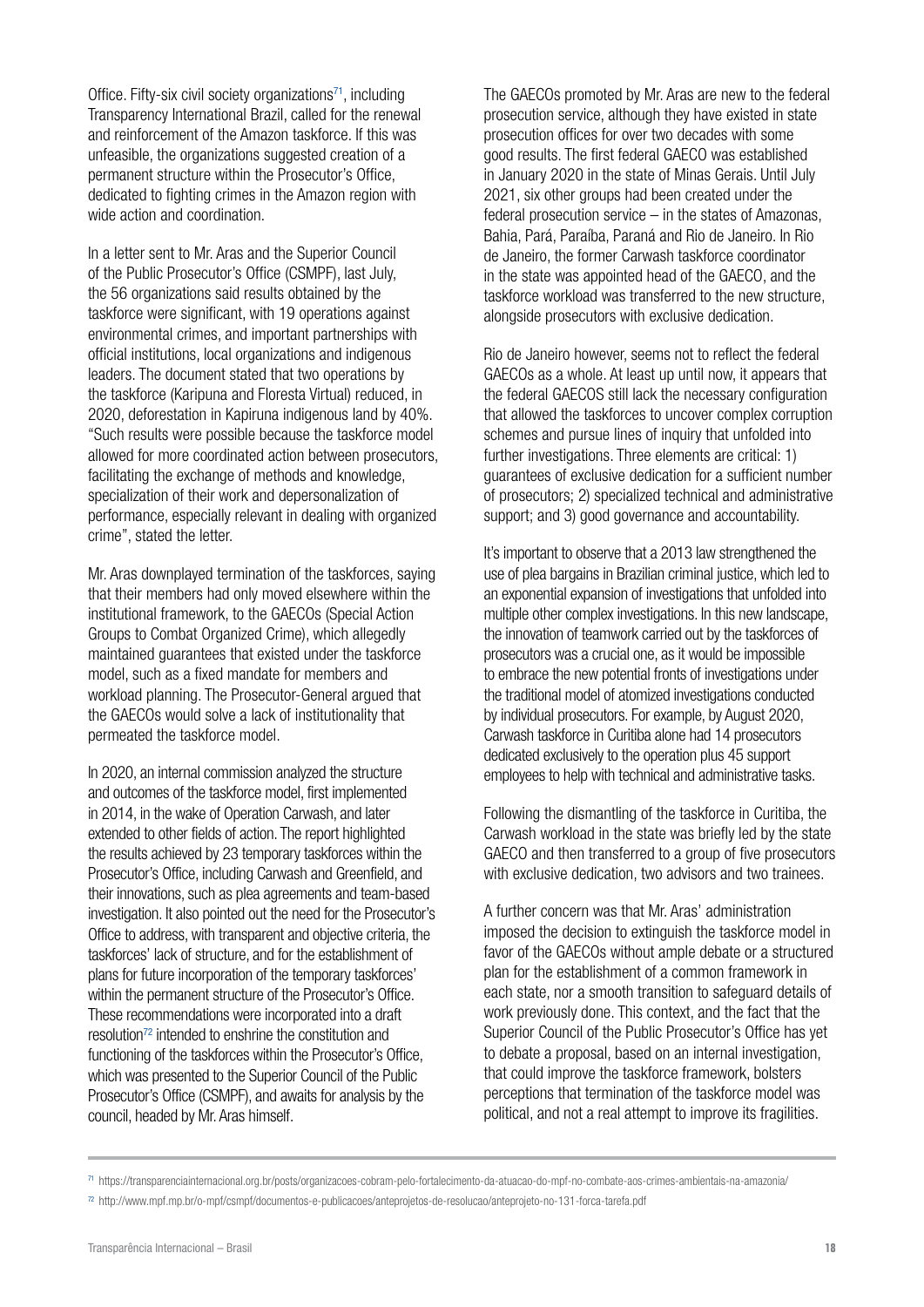Office. Fifty-six civil society organizations<sup> $71$ </sup>, including Transparency International Brazil, called for the renewal and reinforcement of the Amazon taskforce. If this was unfeasible, the organizations suggested creation of a permanent structure within the Prosecutor's Office, dedicated to fighting crimes in the Amazon region with wide action and coordination.

In a letter sent to Mr. Aras and the Superior Council of the Public Prosecutor's Office (CSMPF), last July, the 56 organizations said results obtained by the taskforce were significant, with 19 operations against environmental crimes, and important partnerships with official institutions, local organizations and indigenous leaders. The document stated that two operations by the taskforce (Karipuna and Floresta Virtual) reduced, in 2020, deforestation in Kapiruna indigenous land by 40%. "Such results were possible because the taskforce model allowed for more coordinated action between prosecutors, facilitating the exchange of methods and knowledge, specialization of their work and depersonalization of performance, especially relevant in dealing with organized crime", stated the letter.

Mr. Aras downplayed termination of the taskforces, saying that their members had only moved elsewhere within the institutional framework, to the GAECOs (Special Action Groups to Combat Organized Crime), which allegedly maintained guarantees that existed under the taskforce model, such as a fixed mandate for members and workload planning. The Prosecutor-General argued that the GAECOs would solve a lack of institutionality that permeated the taskforce model.

In 2020, an internal commission analyzed the structure and outcomes of the taskforce model, first implemented in 2014, in the wake of Operation Carwash, and later extended to other fields of action. The report highlighted the results achieved by 23 temporary taskforces within the Prosecutor's Office, including Carwash and Greenfield, and their innovations, such as plea agreements and team-based investigation. It also pointed out the need for the Prosecutor's Office to address, with transparent and objective criteria, the taskforces' lack of structure, and for the establishment of plans for future incorporation of the temporary taskforces' within the permanent structure of the Prosecutor's Office. These recommendations were incorporated into a draft resolution<sup>72</sup> intended to enshrine the constitution and functioning of the taskforces within the Prosecutor's Office, which was presented to the Superior Council of the Public Prosecutor's Office (CSMPF), and awaits for analysis by the council, headed by Mr. Aras himself.

The GAECOs promoted by Mr. Aras are new to the federal prosecution service, although they have existed in state prosecution offices for over two decades with some good results. The first federal GAECO was established in January 2020 in the state of Minas Gerais. Until July 2021, six other groups had been created under the federal prosecution service – in the states of Amazonas, Bahia, Pará, Paraíba, Paraná and Rio de Janeiro. In Rio de Janeiro, the former Carwash taskforce coordinator in the state was appointed head of the GAECO, and the taskforce workload was transferred to the new structure, alongside prosecutors with exclusive dedication.

Rio de Janeiro however, seems not to reflect the federal GAECOs as a whole. At least up until now, it appears that the federal GAECOS still lack the necessary configuration that allowed the taskforces to uncover complex corruption schemes and pursue lines of inquiry that unfolded into further investigations. Three elements are critical: 1) guarantees of exclusive dedication for a sufficient number of prosecutors; 2) specialized technical and administrative support; and 3) good governance and accountability.

It's important to observe that a 2013 law strengthened the use of plea bargains in Brazilian criminal justice, which led to an exponential expansion of investigations that unfolded into multiple other complex investigations. In this new landscape, the innovation of teamwork carried out by the taskforces of prosecutors was a crucial one, as it would be impossible to embrace the new potential fronts of investigations under the traditional model of atomized investigations conducted by individual prosecutors. For example, by August 2020, Carwash taskforce in Curitiba alone had 14 prosecutors dedicated exclusively to the operation plus 45 support employees to help with technical and administrative tasks.

Following the dismantling of the taskforce in Curitiba, the Carwash workload in the state was briefly led by the state GAECO and then transferred to a group of five prosecutors with exclusive dedication, two advisors and two trainees.

A further concern was that Mr. Aras' administration imposed the decision to extinguish the taskforce model in favor of the GAECOs without ample debate or a structured plan for the establishment of a common framework in each state, nor a smooth transition to safeguard details of work previously done. This context, and the fact that the Superior Council of the Public Prosecutor's Office has yet to debate a proposal, based on an internal investigation, that could improve the taskforce framework, bolsters perceptions that termination of the taskforce model was political, and not a real attempt to improve its fragilities.

<sup>71</sup> https://transparenciainternacional.org.br/posts/organizacoes-cobram-pelo-fortalecimento-da-atuacao-do-mpf-no-combate-aos-crimes-ambientais-na-amazonia/

<sup>72</sup> http://www.mpf.mp.br/o-mpf/csmpf/documentos-e-publicacoes/anteprojetos-de-resolucao/anteprojeto-no-131-forca-tarefa.pdf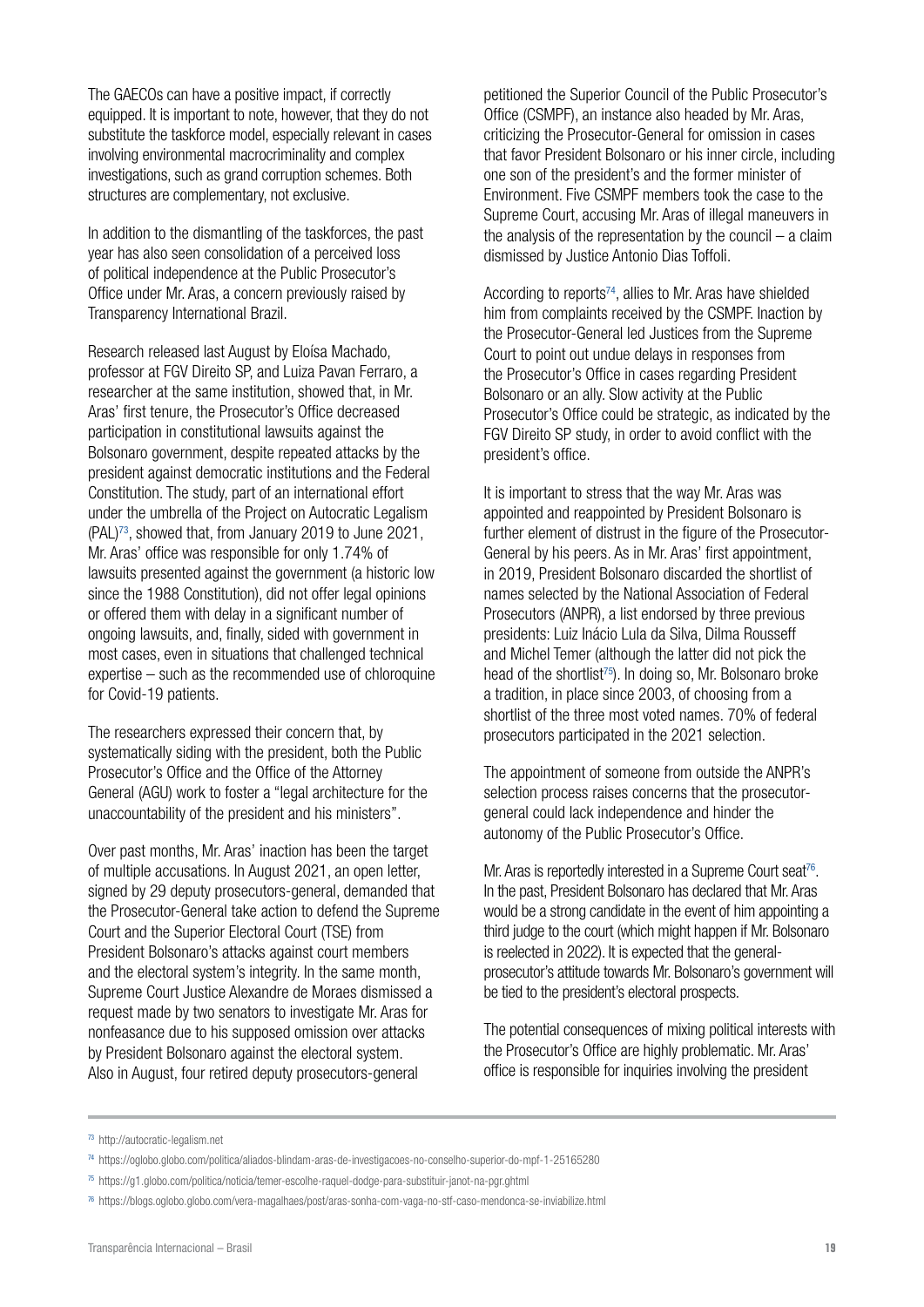The GAECOs can have a positive impact, if correctly equipped. It is important to note, however, that they do not substitute the taskforce model, especially relevant in cases involving environmental macrocriminality and complex investigations, such as grand corruption schemes. Both structures are complementary, not exclusive.

In addition to the dismantling of the taskforces, the past year has also seen consolidation of a perceived loss of political independence at the Public Prosecutor's Office under Mr. Aras, a concern previously raised by Transparency International Brazil.

Research released last August by Eloísa Machado, professor at FGV Direito SP, and Luiza Pavan Ferraro, a researcher at the same institution, showed that, in Mr. Aras' first tenure, the Prosecutor's Office decreased participation in constitutional lawsuits against the Bolsonaro government, despite repeated attacks by the president against democratic institutions and the Federal Constitution. The study, part of an international effort under the umbrella of the Project on Autocratic Legalism (PAL)73, showed that, from January 2019 to June 2021, Mr. Aras' office was responsible for only 1.74% of lawsuits presented against the government (a historic low since the 1988 Constitution), did not offer legal opinions or offered them with delay in a significant number of ongoing lawsuits, and, finally, sided with government in most cases, even in situations that challenged technical expertise – such as the recommended use of chloroquine for Covid-19 patients.

The researchers expressed their concern that, by systematically siding with the president, both the Public Prosecutor's Office and the Office of the Attorney General (AGU) work to foster a "legal architecture for the unaccountability of the president and his ministers".

Over past months, Mr. Aras' inaction has been the target of multiple accusations. In August 2021, an open letter, signed by 29 deputy prosecutors-general, demanded that the Prosecutor-General take action to defend the Supreme Court and the Superior Electoral Court (TSE) from President Bolsonaro's attacks against court members and the electoral system's integrity. In the same month, Supreme Court Justice Alexandre de Moraes dismissed a request made by two senators to investigate Mr. Aras for nonfeasance due to his supposed omission over attacks by President Bolsonaro against the electoral system. Also in August, four retired deputy prosecutors-general

petitioned the Superior Council of the Public Prosecutor's Office (CSMPF), an instance also headed by Mr. Aras, criticizing the Prosecutor-General for omission in cases that favor President Bolsonaro or his inner circle, including one son of the president's and the former minister of Environment. Five CSMPF members took the case to the Supreme Court, accusing Mr. Aras of illegal maneuvers in the analysis of the representation by the council  $-$  a claim dismissed by Justice Antonio Dias Toffoli.

According to reports $74$ , allies to Mr. Aras have shielded him from complaints received by the CSMPF. Inaction by the Prosecutor-General led Justices from the Supreme Court to point out undue delays in responses from the Prosecutor's Office in cases regarding President Bolsonaro or an ally. Slow activity at the Public Prosecutor's Office could be strategic, as indicated by the FGV Direito SP study, in order to avoid conflict with the president's office.

It is important to stress that the way Mr. Aras was appointed and reappointed by President Bolsonaro is further element of distrust in the figure of the Prosecutor-General by his peers. As in Mr. Aras' first appointment, in 2019, President Bolsonaro discarded the shortlist of names selected by the National Association of Federal Prosecutors (ANPR), a list endorsed by three previous presidents: Luiz Inácio Lula da Silva, Dilma Rousseff and Michel Temer (although the latter did not pick the head of the shortlist<sup>75</sup>). In doing so, Mr. Bolsonaro broke a tradition, in place since 2003, of choosing from a shortlist of the three most voted names. 70% of federal prosecutors participated in the 2021 selection.

The appointment of someone from outside the ANPR's selection process raises concerns that the prosecutorgeneral could lack independence and hinder the autonomy of the Public Prosecutor's Office.

Mr. Aras is reportedly interested in a Supreme Court seat<sup>76</sup>. In the past, President Bolsonaro has declared that Mr. Aras would be a strong candidate in the event of him appointing a third judge to the court (which might happen if Mr. Bolsonaro is reelected in 2022). It is expected that the generalprosecutor's attitude towards Mr. Bolsonaro's government will be tied to the president's electoral prospects.

The potential consequences of mixing political interests with the Prosecutor's Office are highly problematic. Mr. Aras' office is responsible for inquiries involving the president

<sup>73</sup> http://autocratic-legalism.net

<sup>74</sup> https://oglobo.globo.com/politica/aliados-blindam-aras-de-investigacoes-no-conselho-superior-do-mpf-1-25165280

<sup>75</sup> https://g1.globo.com/politica/noticia/temer-escolhe-raquel-dodge-para-substituir-janot-na-pgr.ghtml

<sup>76</sup> https://blogs.oglobo.globo.com/vera-magalhaes/post/aras-sonha-com-vaga-no-stf-caso-mendonca-se-inviabilize.html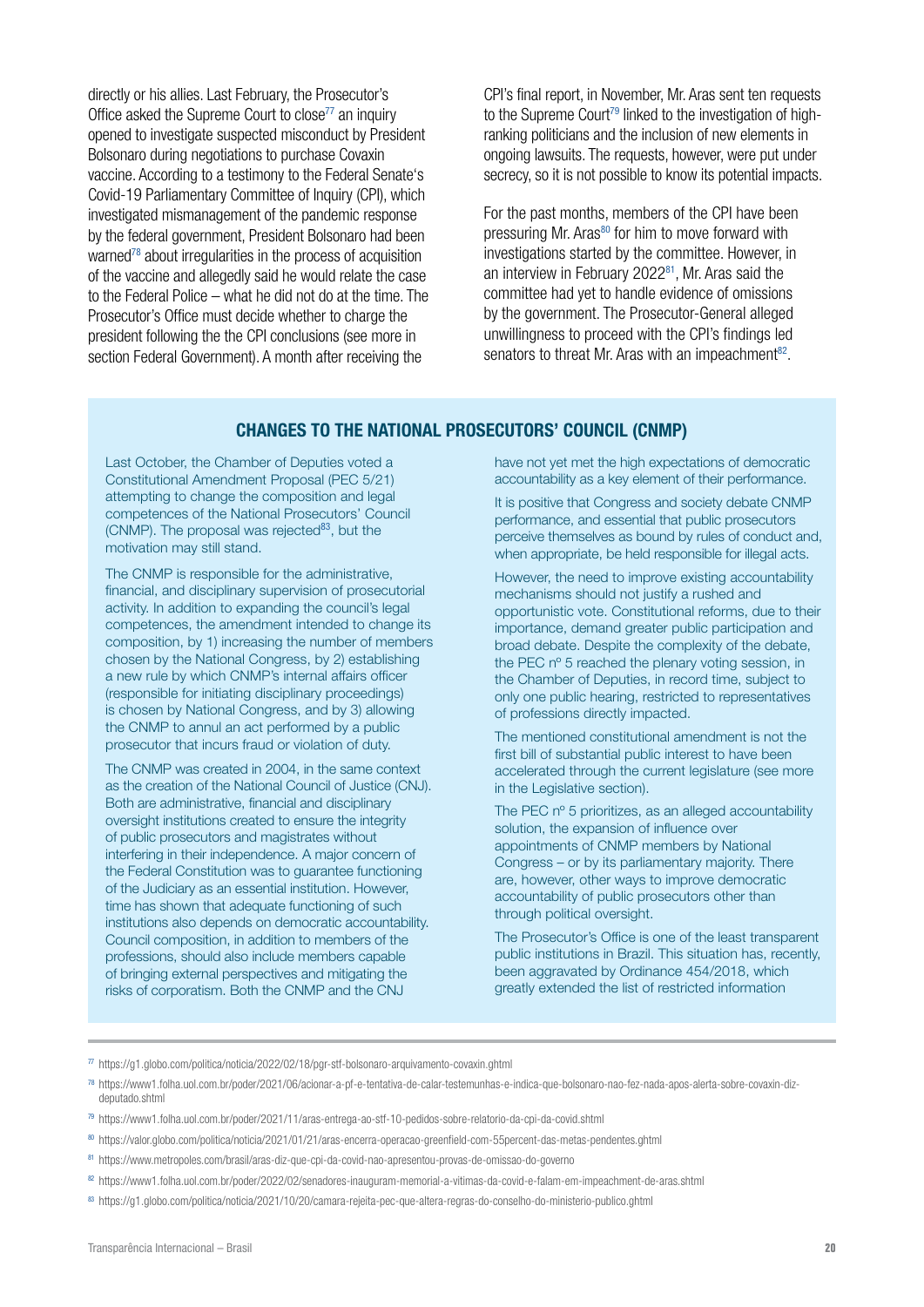directly or his allies. Last February, the Prosecutor's Office asked the Supreme Court to close<sup>77</sup> an inquiry opened to investigate suspected misconduct by President Bolsonaro during negotiations to purchase Covaxin vaccine. According to a testimony to the Federal Senate's Covid-19 Parliamentary Committee of Inquiry (CPI), which investigated mismanagement of the pandemic response by the federal government, President Bolsonaro had been warned<sup>78</sup> about irregularities in the process of acquisition of the vaccine and allegedly said he would relate the case to the Federal Police – what he did not do at the time. The Prosecutor's Office must decide whether to charge the president following the the CPI conclusions (see more in section Federal Government). A month after receiving the

CPI's final report, in November, Mr. Aras sent ten requests to the Supreme Court<sup>79</sup> linked to the investigation of highranking politicians and the inclusion of new elements in ongoing lawsuits. The requests, however, were put under secrecy, so it is not possible to know its potential impacts.

For the past months, members of the CPI have been pressuring Mr. Aras<sup>80</sup> for him to move forward with investigations started by the committee. However, in an interview in February 2022<sup>81</sup>, Mr. Aras said the committee had yet to handle evidence of omissions by the government. The Prosecutor-General alleged unwillingness to proceed with the CPI's findings led senators to threat Mr. Aras with an impeachment<sup>82</sup>.

#### CHANGES TO THE NATIONAL PROSECUTORS' COUNCIL (CNMP)

Last October, the Chamber of Deputies voted a Constitutional Amendment Proposal (PEC 5/21) attempting to change the composition and legal competences of the National Prosecutors' Council (CNMP). The proposal was rejected $83$ , but the motivation may still stand.

The CNMP is responsible for the administrative, financial, and disciplinary supervision of prosecutorial activity. In addition to expanding the council's legal competences, the amendment intended to change its composition, by 1) increasing the number of members chosen by the National Congress, by 2) establishing a new rule by which CNMP's internal affairs officer (responsible for initiating disciplinary proceedings) is chosen by National Congress, and by 3) allowing the CNMP to annul an act performed by a public prosecutor that incurs fraud or violation of duty.

The CNMP was created in 2004, in the same context as the creation of the National Council of Justice (CNJ). Both are administrative, financial and disciplinary oversight institutions created to ensure the integrity of public prosecutors and magistrates without interfering in their independence. A major concern of the Federal Constitution was to guarantee functioning of the Judiciary as an essential institution. However, time has shown that adequate functioning of such institutions also depends on democratic accountability. Council composition, in addition to members of the professions, should also include members capable of bringing external perspectives and mitigating the risks of corporatism. Both the CNMP and the CNJ

have not yet met the high expectations of democratic accountability as a key element of their performance.

It is positive that Congress and society debate CNMP performance, and essential that public prosecutors perceive themselves as bound by rules of conduct and, when appropriate, be held responsible for illegal acts.

However, the need to improve existing accountability mechanisms should not justify a rushed and opportunistic vote. Constitutional reforms, due to their importance, demand greater public participation and broad debate. Despite the complexity of the debate, the PEC nº 5 reached the plenary voting session, in the Chamber of Deputies, in record time, subject to only one public hearing, restricted to representatives of professions directly impacted.

The mentioned constitutional amendment is not the first bill of substantial public interest to have been accelerated through the current legislature (see more in the Legislative section).

The PEC nº 5 prioritizes, as an alleged accountability solution, the expansion of influence over appointments of CNMP members by National Congress – or by its parliamentary majority. There are, however, other ways to improve democratic accountability of public prosecutors other than through political oversight.

The Prosecutor's Office is one of the least transparent public institutions in Brazil. This situation has, recently, been aggravated by Ordinance 454/2018, which greatly extended the list of restricted information

- $77$  https://g1.globo.com/politica/noticia/2022/02/18/pgr-stf-bolsonaro-arquivamento-covaxin.ghtml
- <sup>78</sup> https://www1.folha.uol.com.br/poder/2021/06/acionar-a-pf-e-tentativa-de-calar-testemunhas-e-indica-que-bolsonaro-nao-fez-nada-apos-alerta-sobre-covaxin-dizdeputado.shtml
- <sup>79</sup> https://www1.folha.uol.com.br/poder/2021/11/aras-entrega-ao-stf-10-pedidos-sobre-relatorio-da-cpi-da-covid.shtml
- <sup>80</sup> https://valor.globo.com/politica/noticia/2021/01/21/aras-encerra-operacao-greenfield-com-55percent-das-metas-pendentes.ghtml
- 81 https://www.metropoles.com/brasil/aras-diz-que-cpi-da-covid-nao-apresentou-provas-de-omissao-do-governo
- <sup>82</sup> https://www1.folha.uol.com.br/poder/2022/02/senadores-inauguram-memorial-a-vitimas-da-covid-e-falam-em-impeachment-de-aras.shtml
- <sup>83</sup> <https://g1.globo.com/politica/noticia/2021/10/20/camara-rejeita-pec-que-altera-regras-do-conselho-do-ministerio-publico.ghtml>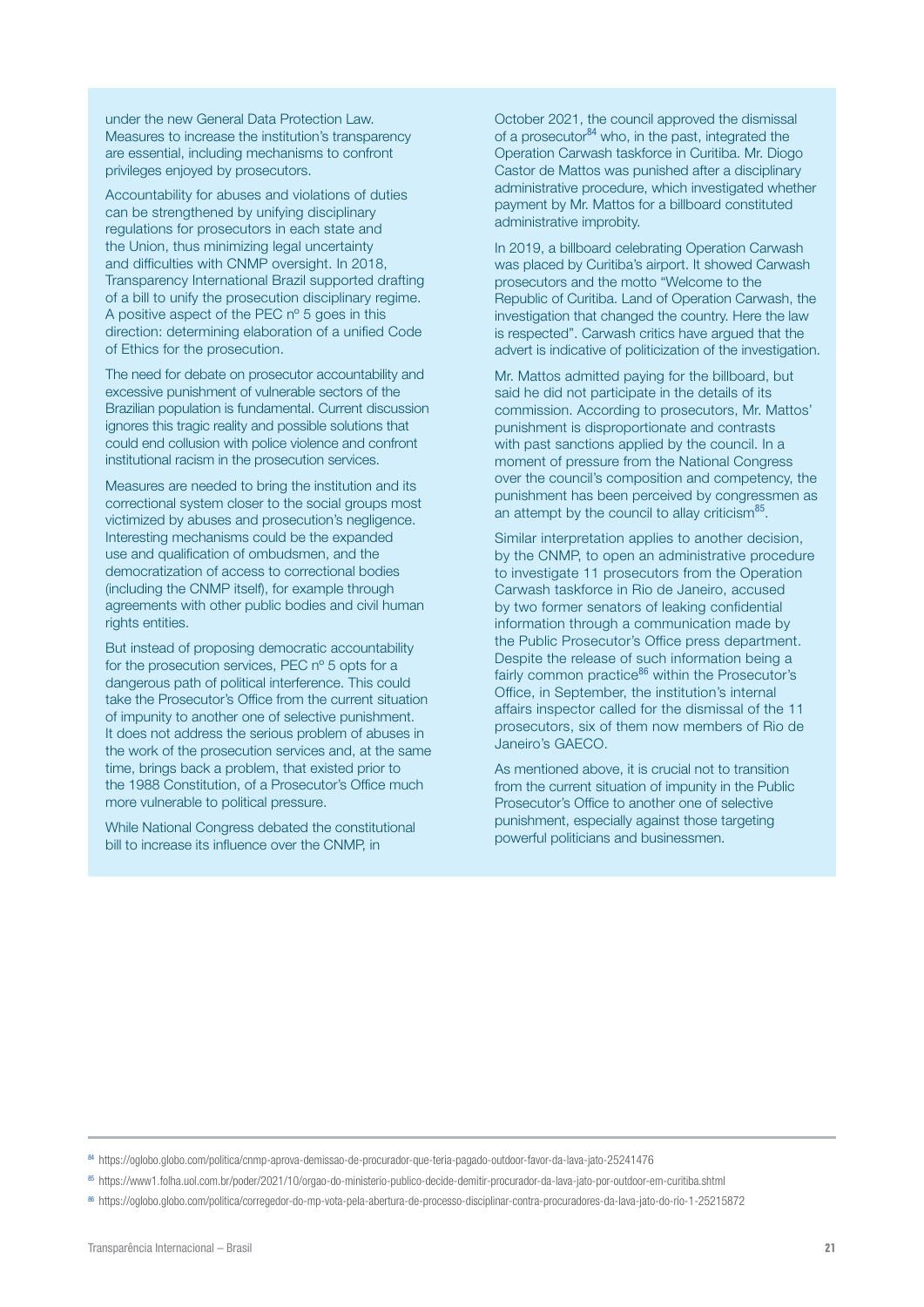under the new General Data Protection Law. Measures to increase the institution's transparency are essential, including mechanisms to confront privileges enjoyed by prosecutors.

Accountability for abuses and violations of duties can be strengthened by unifying disciplinary regulations for prosecutors in each state and the Union, thus minimizing legal uncertainty and difficulties with CNMP oversight. In 2018, Transparency International Brazil supported drafting of a bill to unify the prosecution disciplinary regime. A positive aspect of the PEC nº 5 goes in this direction: determining elaboration of a unified Code of Ethics for the prosecution.

The need for debate on prosecutor accountability and excessive punishment of vulnerable sectors of the Brazilian population is fundamental. Current discussion ignores this tragic reality and possible solutions that could end collusion with police violence and confront institutional racism in the prosecution services.

Measures are needed to bring the institution and its correctional system closer to the social groups most victimized by abuses and prosecution's negligence. Interesting mechanisms could be the expanded use and qualification of ombudsmen, and the democratization of access to correctional bodies (including the CNMP itself), for example through agreements with other public bodies and civil human rights entities.

But instead of proposing democratic accountability for the prosecution services, PEC nº 5 opts for a dangerous path of political interference. This could take the Prosecutor's Office from the current situation of impunity to another one of selective punishment. It does not address the serious problem of abuses in the work of the prosecution services and, at the same time, brings back a problem, that existed prior to the 1988 Constitution, of a Prosecutor's Office much more vulnerable to political pressure.

While National Congress debated the constitutional bill to increase its influence over the CNMP, in

October 2021, the council approved the dismissal of a prosecutor<sup>84</sup> who, in the past, integrated the Operation Carwash taskforce in Curitiba. Mr. Diogo Castor de Mattos was punished after a disciplinary administrative procedure, which investigated whether payment by Mr. Mattos for a billboard constituted administrative improbity.

In 2019, a billboard celebrating Operation Carwash was placed by Curitiba's airport. It showed Carwash prosecutors and the motto "Welcome to the Republic of Curitiba. Land of Operation Carwash, the investigation that changed the country. Here the law is respected". Carwash critics have argued that the advert is indicative of politicization of the investigation.

Mr. Mattos admitted paying for the billboard, but said he did not participate in the details of its commission. According to prosecutors, Mr. Mattos' punishment is disproportionate and contrasts with past sanctions applied by the council. In a moment of pressure from the National Congress over the council's composition and competency, the punishment has been perceived by congressmen as an attempt by the council to allay criticism<sup>85</sup>.

Similar interpretation applies to another decision, by the CNMP, to open an administrative procedure to investigate 11 prosecutors from the Operation Carwash taskforce in Rio de Janeiro, accused by two former senators of leaking confidential information through a communication made by the Public Prosecutor's Office press department. Despite the release of such information being a fairly common practice<sup>86</sup> within the Prosecutor's Office, in September, the institution's internal affairs inspector called for the dismissal of the 11 prosecutors, six of them now members of Rio de Janeiro's GAECO.

As mentioned above, it is crucial not to transition from the current situation of impunity in the Public Prosecutor's Office to another one of selective punishment, especially against those targeting powerful politicians and businessmen.

<sup>84</sup> <https://oglobo.globo.com/politica/cnmp-aprova-demissao-de-procurador-que-teria-pagado-outdoor-favor-da-lava-jato-25241476>

<sup>85</sup> https://www1.folha.uol.com.br/poder/2021/10/orgao-do-ministerio-publico-decide-demitir-procurador-da-lava-jato-por-outdoor-em-curitiba.shtml

<sup>86</sup> https://oglobo.globo.com/politica/corregedor-do-mp-vota-pela-abertura-de-processo-disciplinar-contra-procuradores-da-lava-jato-do-rio-1-25215872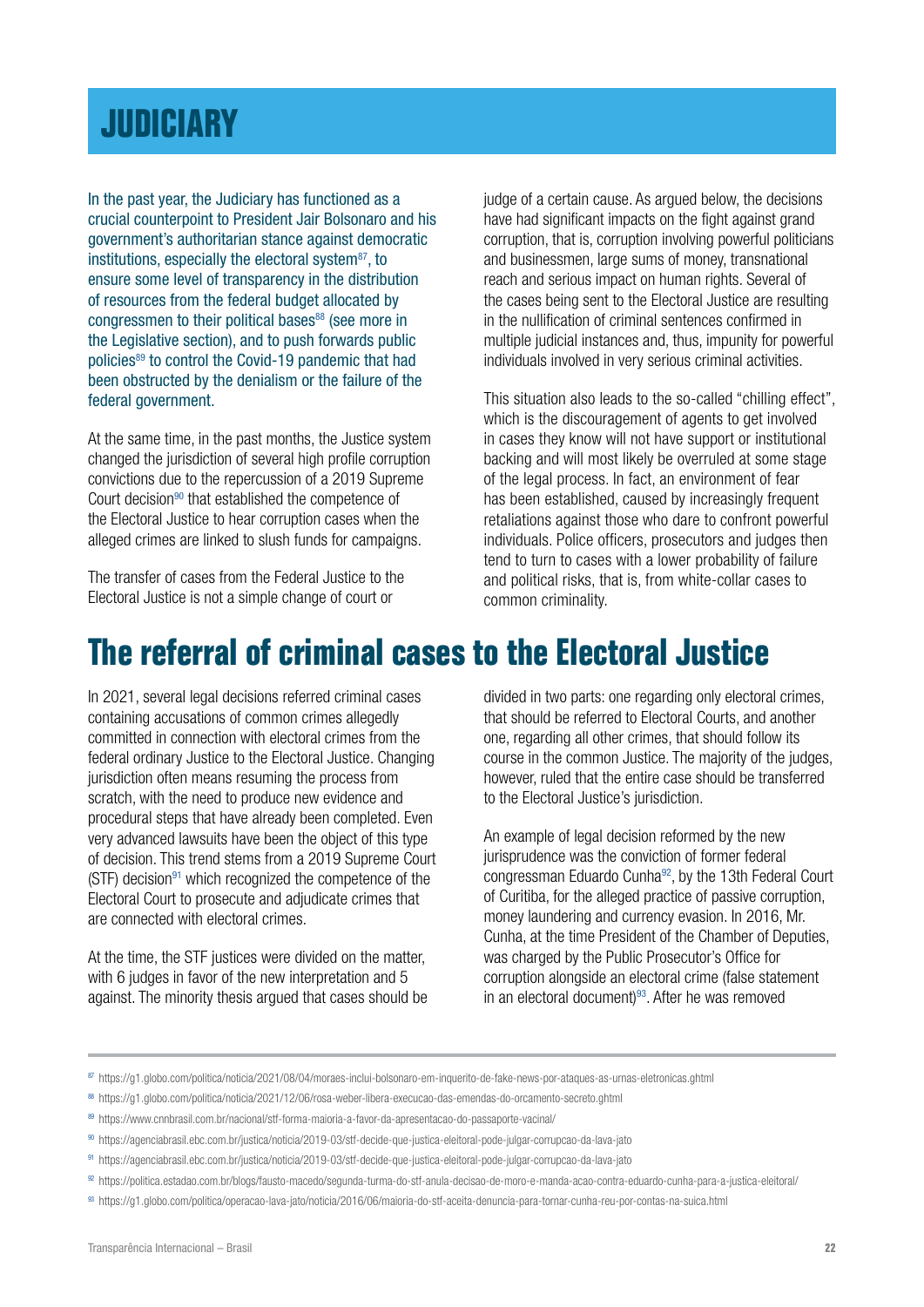### <span id="page-21-0"></span>**[JUDICIARY](#page-1-0)**

In the past year, the Judiciary has functioned as a crucial counterpoint to President Jair Bolsonaro and his government's authoritarian stance against democratic institutions, especially the electoral system<sup>87</sup>, to ensure some level of transparency in the distribution of resources from the federal budget allocated by congressmen to their political bases<sup>88</sup> (see more in the Legislative section), and to push forwards public policies<sup>89</sup> to control the Covid-19 pandemic that had been obstructed by the denialism or the failure of the federal government.

At the same time, in the past months, the Justice system changed the jurisdiction of several high profile corruption convictions due to the repercussion of a 2019 Supreme Court decision<sup>90</sup> that established the competence of the Electoral Justice to hear corruption cases when the alleged crimes are linked to slush funds for campaigns.

The transfer of cases from the Federal Justice to the Electoral Justice is not a simple change of court or

judge of a certain cause. As argued below, the decisions have had significant impacts on the fight against grand corruption, that is, corruption involving powerful politicians and businessmen, large sums of money, transnational reach and serious impact on human rights. Several of the cases being sent to the Electoral Justice are resulting in the nullification of criminal sentences confirmed in multiple judicial instances and, thus, impunity for powerful individuals involved in very serious criminal activities.

This situation also leads to the so-called "chilling effect", which is the discouragement of agents to get involved in cases they know will not have support or institutional backing and will most likely be overruled at some stage of the legal process. In fact, an environment of fear has been established, caused by increasingly frequent retaliations against those who dare to confront powerful individuals. Police officers, prosecutors and judges then tend to turn to cases with a lower probability of failure and political risks, that is, from white-collar cases to common criminality.

### **The referral of criminal cases to the Electoral Justice**

In 2021, several legal decisions referred criminal cases containing accusations of common crimes allegedly committed in connection with electoral crimes from the federal ordinary Justice to the Electoral Justice. Changing jurisdiction often means resuming the process from scratch, with the need to produce new evidence and procedural steps that have already been completed. Even very advanced lawsuits have been the object of this type of decision. This trend stems from a 2019 Supreme Court  $(STF)$  decision<sup>91</sup> which recognized the competence of the Electoral Court to prosecute and adjudicate crimes that are connected with electoral crimes.

At the time, the STF justices were divided on the matter, with 6 judges in favor of the new interpretation and 5 against. The minority thesis argued that cases should be divided in two parts: one regarding only electoral crimes, that should be referred to Electoral Courts, and another one, regarding all other crimes, that should follow its course in the common Justice. The majority of the judges, however, ruled that the entire case should be transferred to the Electoral Justice's jurisdiction.

An example of legal decision reformed by the new jurisprudence was the conviction of former federal congressman Eduardo Cunha<sup>92</sup>, by the 13th Federal Court of Curitiba, for the alleged practice of passive corruption, money laundering and currency evasion. In 2016, Mr. Cunha, at the time President of the Chamber of Deputies, was charged by the Public Prosecutor's Office for corruption alongside an electoral crime (false statement in an electoral document)<sup>93</sup>. After he was removed

<sup>87</sup> https://g1.globo.com/politica/noticia/2021/08/04/moraes-inclui-bolsonaro-em-inquerito-de-fake-news-por-ataques-as-urnas-eletronicas.ghtml

<sup>88</sup> https://g1.globo.com/politica/noticia/2021/12/06/rosa-weber-libera-execucao-das-emendas-do-orcamento-secreto.ghtml

<sup>89</sup> https://www.cnnbrasil.com.br/nacional/stf-forma-maioria-a-favor-da-apresentacao-do-passaporte-vacinal/

<sup>90</sup> https://agenciabrasil.ebc.com.br/justica/noticia/2019-03/stf-decide-que-justica-eleitoral-pode-julgar-corrupcao-da-lava-jato

<sup>91</sup> https://agenciabrasil.ebc.com.br/justica/noticia/2019-03/stf-decide-que-justica-eleitoral-pode-julgar-corrupcao-da-lava-jato

<sup>92</sup> https://politica.estadao.com.br/blogs/fausto-macedo/segunda-turma-do-stf-anula-decisao-de-moro-e-manda-acao-contra-eduardo-cunha-para-a-justica-eleitoral/

<sup>93</sup> https://g1.globo.com/politica/operacao-lava-jato/noticia/2016/06/maioria-do-stf-aceita-denuncia-para-tornar-cunha-reu-por-contas-na-suica.html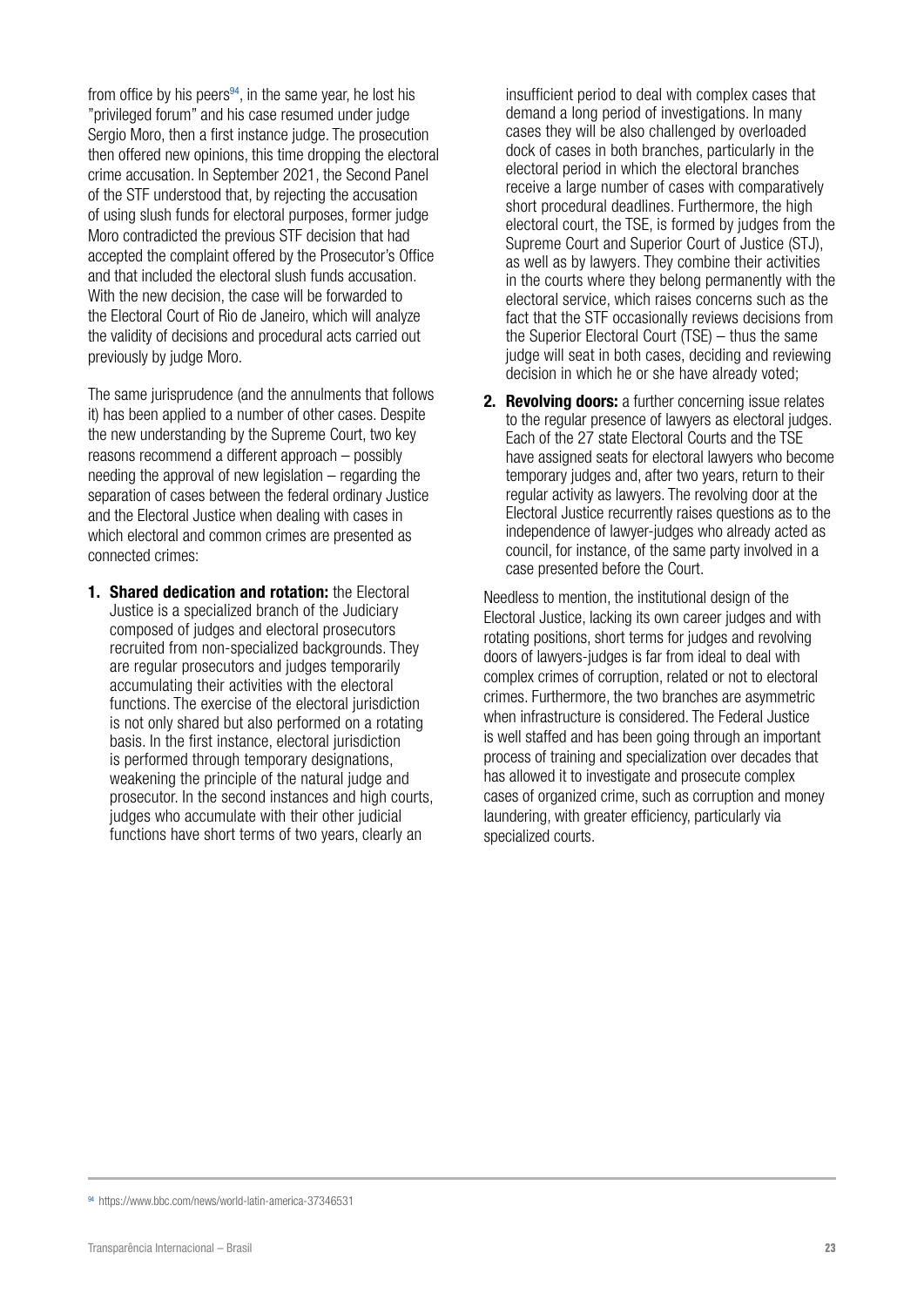from office by his peers $94$ , in the same year, he lost his "privileged forum" and his case resumed under judge Sergio Moro, then a first instance judge. The prosecution then offered new opinions, this time dropping the electoral crime accusation. In September 2021, the Second Panel of the STF understood that, by rejecting the accusation of using slush funds for electoral purposes, former judge Moro contradicted the previous STF decision that had accepted the complaint offered by the Prosecutor's Office and that included the electoral slush funds accusation. With the new decision, the case will be forwarded to the Electoral Court of Rio de Janeiro, which will analyze the validity of decisions and procedural acts carried out previously by judge Moro.

The same jurisprudence (and the annulments that follows it) has been applied to a number of other cases. Despite the new understanding by the Supreme Court, two key reasons recommend a different approach – possibly needing the approval of new legislation – regarding the separation of cases between the federal ordinary Justice and the Electoral Justice when dealing with cases in which electoral and common crimes are presented as connected crimes:

1. Shared dedication and rotation: the Electoral Justice is a specialized branch of the Judiciary composed of judges and electoral prosecutors recruited from non-specialized backgrounds. They are regular prosecutors and judges temporarily accumulating their activities with the electoral functions. The exercise of the electoral jurisdiction is not only shared but also performed on a rotating basis. In the first instance, electoral jurisdiction is performed through temporary designations, weakening the principle of the natural judge and prosecutor. In the second instances and high courts, judges who accumulate with their other judicial functions have short terms of two years, clearly an

insufficient period to deal with complex cases that demand a long period of investigations. In many cases they will be also challenged by overloaded dock of cases in both branches, particularly in the electoral period in which the electoral branches receive a large number of cases with comparatively short procedural deadlines. Furthermore, the high electoral court, the TSE, is formed by judges from the Supreme Court and Superior Court of Justice (STJ), as well as by lawyers. They combine their activities in the courts where they belong permanently with the electoral service, which raises concerns such as the fact that the STF occasionally reviews decisions from the Superior Electoral Court (TSE) – thus the same judge will seat in both cases, deciding and reviewing decision in which he or she have already voted;

2. Revolving doors: a further concerning issue relates to the regular presence of lawyers as electoral judges. Each of the 27 state Electoral Courts and the TSE have assigned seats for electoral lawyers who become temporary judges and, after two years, return to their regular activity as lawyers. The revolving door at the Electoral Justice recurrently raises questions as to the independence of lawyer-judges who already acted as council, for instance, of the same party involved in a case presented before the Court.

Needless to mention, the institutional design of the Electoral Justice, lacking its own career judges and with rotating positions, short terms for judges and revolving doors of lawyers-judges is far from ideal to deal with complex crimes of corruption, related or not to electoral crimes. Furthermore, the two branches are asymmetric when infrastructure is considered. The Federal Justice is well staffed and has been going through an important process of training and specialization over decades that has allowed it to investigate and prosecute complex cases of organized crime, such as corruption and money laundering, with greater efficiency, particularly via specialized courts.

<sup>94</sup> https://www.bbc.com/news/world-latin-america-37346531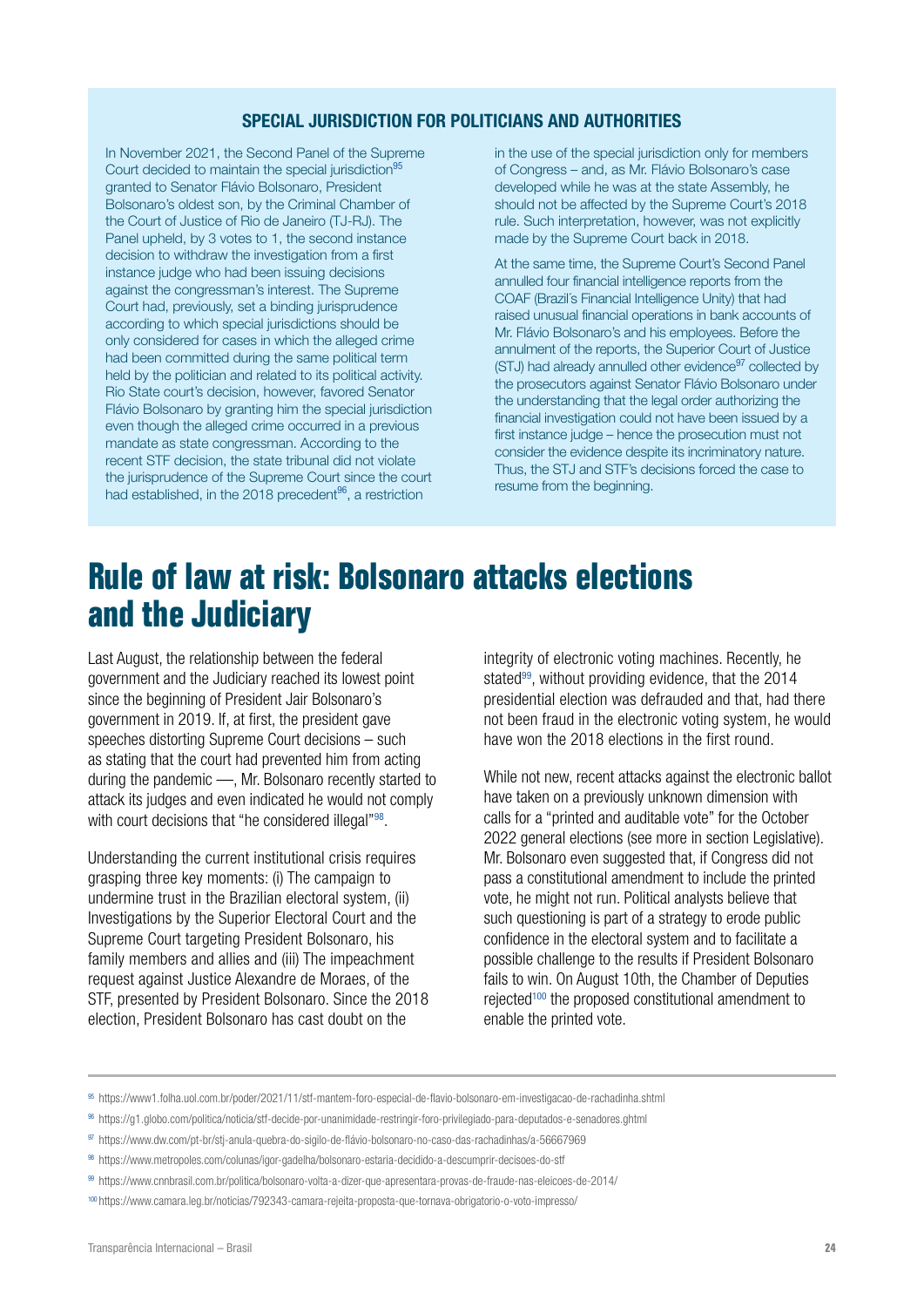#### SPECIAL JURISDICTION FOR POLITICIANS AND AUTHORITIES

In November 2021, the Second Panel of the Supreme Court decided to maintain the special jurisdiction<sup>95</sup> granted to Senator Flávio Bolsonaro, President Bolsonaro's oldest son, by the Criminal Chamber of the Court of Justice of Rio de Janeiro (TJ-RJ). The Panel upheld, by 3 votes to 1, the second instance decision to withdraw the investigation from a first instance judge who had been issuing decisions against the congressman's interest. The Supreme Court had, previously, set a binding jurisprudence according to which special jurisdictions should be only considered for cases in which the alleged crime had been committed during the same political term held by the politician and related to its political activity. Rio State court's decision, however, favored Senator Flávio Bolsonaro by granting him the special jurisdiction even though the alleged crime occurred in a previous mandate as state congressman. According to the recent STF decision, the state tribunal did not violate the jurisprudence of the Supreme Court since the court had established, in the 2018 precedent $96$ , a restriction

in the use of the special jurisdiction only for members of Congress – and, as Mr. Flávio Bolsonaro's case developed while he was at the state Assembly, he should not be affected by the Supreme Court's 2018 rule. Such interpretation, however, was not explicitly made by the Supreme Court back in 2018.

At the same time, the Supreme Court's Second Panel annulled four financial intelligence reports from the COAF (Brazil´s Financial Intelligence Unity) that had raised unusual financial operations in bank accounts of Mr. Flávio Bolsonaro's and his employees. Before the annulment of the reports, the Superior Court of Justice (STJ) had already annulled other evidence<sup>97</sup> collected by the prosecutors against Senator Flávio Bolsonaro under the understanding that the legal order authorizing the financial investigation could not have been issued by a first instance judge – hence the prosecution must not consider the evidence despite its incriminatory nature. Thus, the STJ and STF's decisions forced the case to resume from the beginning.

### **Rule of law at risk: Bolsonaro attacks elections and the Judiciary**

Last August, the relationship between the federal government and the Judiciary reached its lowest point since the beginning of President Jair Bolsonaro's government in 2019. If, at first, the president gave speeches distorting Supreme Court decisions – such as stating that the court had prevented him from acting during the pandemic —, Mr. Bolsonaro recently started to attack its judges and even indicated he would not comply with court decisions that "he considered illegal"<sup>98</sup>.

Understanding the current institutional crisis requires grasping three key moments: (i) The campaign to undermine trust in the Brazilian electoral system, (ii) Investigations by the Superior Electoral Court and the Supreme Court targeting President Bolsonaro, his family members and allies and (iii) The impeachment request against Justice Alexandre de Moraes, of the STF, presented by President Bolsonaro. Since the 2018 election, President Bolsonaro has cast doubt on the

integrity of electronic voting machines. Recently, he stated<sup>99</sup>, without providing evidence, that the 2014 presidential election was defrauded and that, had there not been fraud in the electronic voting system, he would have won the 2018 elections in the first round.

While not new, recent attacks against the electronic ballot have taken on a previously unknown dimension with calls for a "printed and auditable vote" for the October 2022 general elections (see more in section Legislative). Mr. Bolsonaro even suggested that, if Congress did not pass a constitutional amendment to include the printed vote, he might not run. Political analysts believe that such questioning is part of a strategy to erode public confidence in the electoral system and to facilitate a possible challenge to the results if President Bolsonaro fails to win. On August 10th, the Chamber of Deputies rejected100 the proposed constitutional amendment to enable the printed vote.

<sup>95</sup> https://www1.folha.uol.com.br/poder/2021/11/stf-mantem-foro-especial-de-flavio-bolsonaro-em-investigacao-de-rachadinha.shtml

<sup>96</sup> https://g1.globo.com/politica/noticia/stf-decide-por-unanimidade-restringir-foro-privilegiado-para-deputados-e-senadores.ghtml

<sup>97</sup> https://www.dw.com/pt-br/stj-anula-quebra-do-sigilo-de-flávio-bolsonaro-no-caso-das-rachadinhas/a-56667969

<sup>98</sup> <https://www.metropoles.com/colunas/igor-gadelha/bolsonaro-estaria-decidido-a-descumprir-decisoes-do-stf>

<sup>99</sup> https://www.cnnbrasil.com.br/politica/bolsonaro-volta-a-dizer-que-apresentara-provas-de-fraude-nas-eleicoes-de-2014/

<sup>100</sup> https://www.camara.leg.br/noticias/792343-camara-rejeita-proposta-que-tornava-obrigatorio-o-voto-impresso/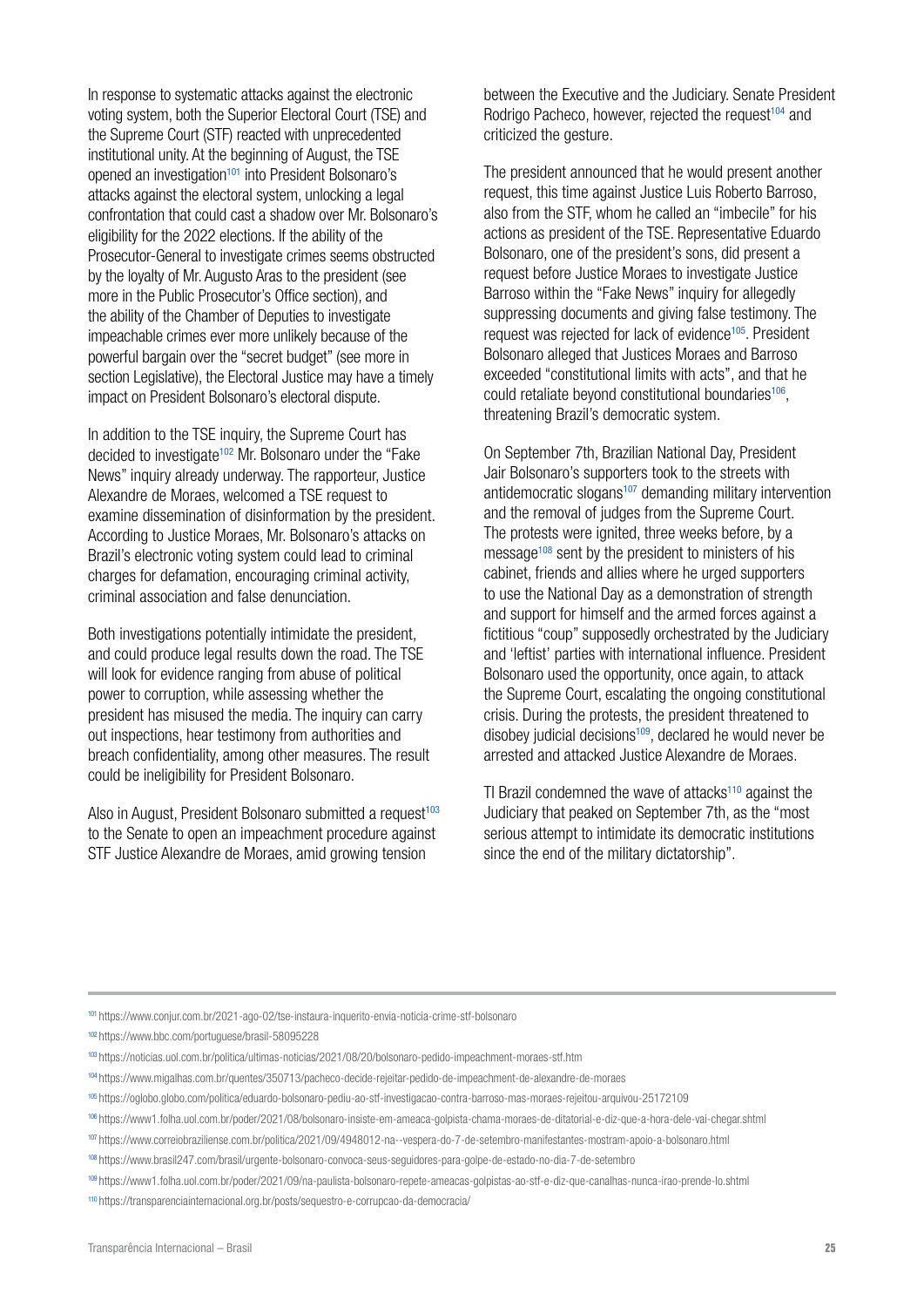In response to systematic attacks against the electronic voting system, both the Superior Electoral Court (TSE) and the Supreme Court (STF) reacted with unprecedented institutional unity. At the beginning of August, the TSE opened an investigation<sup>101</sup> into President Bolsonaro's attacks against the electoral system, unlocking a legal confrontation that could cast a shadow over Mr. Bolsonaro's eligibility for the 2022 elections. If the ability of the Prosecutor-General to investigate crimes seems obstructed by the loyalty of Mr. Augusto Aras to the president (see more in the Public Prosecutor's Office section), and the ability of the Chamber of Deputies to investigate impeachable crimes ever more unlikely because of the powerful bargain over the "secret budget" (see more in section Legislative), the Electoral Justice may have a timely impact on President Bolsonaro's electoral dispute.

In addition to the TSE inquiry, the Supreme Court has decided to investigate<sup>102</sup> Mr. Bolsonaro under the "Fake News" inquiry already underway. The rapporteur, Justice Alexandre de Moraes, welcomed a TSE request to examine dissemination of disinformation by the president. According to Justice Moraes, Mr. Bolsonaro's attacks on Brazil's electronic voting system could lead to criminal charges for defamation, encouraging criminal activity, criminal association and false denunciation.

Both investigations potentially intimidate the president, and could produce legal results down the road. The TSE will look for evidence ranging from abuse of political power to corruption, while assessing whether the president has misused the media. The inquiry can carry out inspections, hear testimony from authorities and breach confidentiality, among other measures. The result could be ineligibility for President Bolsonaro.

Also in August, President Bolsonaro submitted a request<sup>103</sup> to the Senate to open an impeachment procedure against STF Justice Alexandre de Moraes, amid growing tension

between the Executive and the Judiciary. Senate President Rodrigo Pacheco, however, rejected the request<sup>104</sup> and criticized the gesture.

The president announced that he would present another request, this time against Justice Luis Roberto Barroso, also from the STF, whom he called an "imbecile" for his actions as president of the TSE. Representative Eduardo Bolsonaro, one of the president's sons, did present a request before Justice Moraes to investigate Justice Barroso within the "Fake News" inquiry for allegedly suppressing documents and giving false testimony. The request was rejected for lack of evidence<sup>105</sup>. President Bolsonaro alleged that Justices Moraes and Barroso exceeded "constitutional limits with acts", and that he could retaliate beyond constitutional boundaries<sup>106</sup>, threatening Brazil's democratic system.

On September 7th, Brazilian National Day, President Jair Bolsonaro's supporters took to the streets with antidemocratic slogans<sup>107</sup> demanding military intervention and the removal of judges from the Supreme Court. The protests were ignited, three weeks before, by a message108 sent by the president to ministers of his cabinet, friends and allies where he urged supporters to use the National Day as a demonstration of strength and support for himself and the armed forces against a fictitious "coup" supposedly orchestrated by the Judiciary and 'leftist' parties with international influence. President Bolsonaro used the opportunity, once again, to attack the Supreme Court, escalating the ongoing constitutional crisis. During the protests, the president threatened to disobey judicial decisions $109$ , declared he would never be arrested and attacked Justice Alexandre de Moraes.

TI Brazil condemned the wave of attacks<sup>110</sup> against the Judiciary that peaked on September 7th, as the "most serious attempt to intimidate its democratic institutions since the end of the military dictatorship".

<sup>101</sup> https://www.conjur.com.br/2021-ago-02/tse-instaura-inquerito-envia-noticia-crime-stf-bolsonaro

<sup>102</sup> https://www.bbc.com/portuguese/brasil-58095228

<sup>103</sup> https://noticias.uol.com.br/politica/ultimas-noticias/2021/08/20/bolsonaro-pedido-impeachment-moraes-stf.htm

<sup>104</sup> https://www.migalhas.com.br/quentes/350713/pacheco-decide-rejeitar-pedido-de-impeachment-de-alexandre-de-moraes

<sup>105</sup> https://oglobo.globo.com/politica/eduardo-bolsonaro-pediu-ao-stf-investigacao-contra-barroso-mas-moraes-rejeitou-arquivou-25172109

<sup>106</sup> https://www1.folha.uol.com.br/poder/2021/08/bolsonaro-insiste-em-ameaca-golpista-chama-moraes-de-ditatorial-e-diz-que-a-hora-dele-vai-chegar.shtml

<sup>107</sup> https://www.correiobraziliense.com.br/politica/2021/09/4948012-na--vespera-do-7-de-setembro-manifestantes-mostram-apoio-a-bolsonaro.html

<sup>108</sup> https://www.brasil247.com/brasil/urgente-bolsonaro-convoca-seus-seguidores-para-golpe-de-estado-no-dia-7-de-setembro

<sup>109</sup> https://www1.folha.uol.com.br/poder/2021/09/na-paulista-bolsonaro-repete-ameacas-golpistas-ao-stf-e-diz-que-canalhas-nunca-irao-prende-lo.shtml

<sup>110</sup> https://transparenciainternacional.org.br/posts/sequestro-e-corrupcao-da-democracia/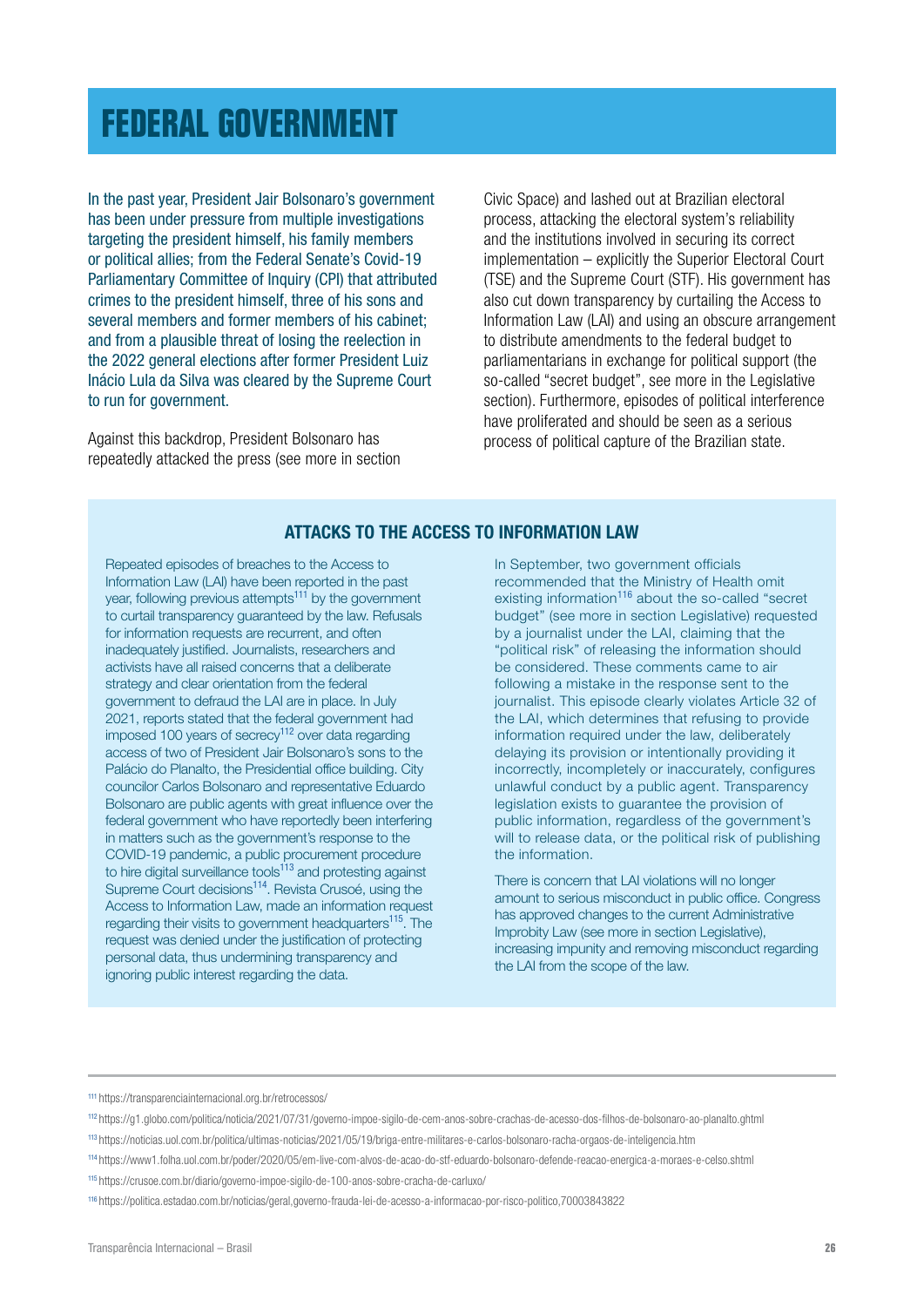### <span id="page-25-0"></span>**[FEDERAL GOVERNMENT](#page-1-0)**

In the past year, President Jair Bolsonaro's government has been under pressure from multiple investigations targeting the president himself, his family members or political allies; from the Federal Senate's Covid-19 Parliamentary Committee of Inquiry (CPI) that attributed crimes to the president himself, three of his sons and several members and former members of his cabinet; and from a plausible threat of losing the reelection in the 2022 general elections after former President Luiz Inácio Lula da Silva was cleared by the Supreme Court to run for government.

Against this backdrop, President Bolsonaro has repeatedly attacked the press (see more in section Civic Space) and lashed out at Brazilian electoral process, attacking the electoral system's reliability and the institutions involved in securing its correct implementation – explicitly the Superior Electoral Court (TSE) and the Supreme Court (STF). His government has also cut down transparency by curtailing the Access to Information Law (LAI) and using an obscure arrangement to distribute amendments to the federal budget to parliamentarians in exchange for political support (the so-called "secret budget", see more in the Legislative section). Furthermore, episodes of political interference have proliferated and should be seen as a serious process of political capture of the Brazilian state.

#### ATTACKS TO THE ACCESS TO INFORMATION LAW

Repeated episodes of breaches to the Access to Information Law (LAI) have been reported in the past year, following previous attempts<sup>111</sup> by the government to curtail transparency guaranteed by the law. Refusals for information requests are recurrent, and often inadequately justified. Journalists, researchers and activists have all raised concerns that a deliberate strategy and clear orientation from the federal government to defraud the LAI are in place. In July 2021, reports stated that the federal government had imposed 100 years of secrecy<sup>112</sup> over data regarding access of two of President Jair Bolsonaro's sons to the Palácio do Planalto, the Presidential office building. City councilor Carlos Bolsonaro and representative Eduardo Bolsonaro are public agents with great influence over the federal government who have reportedly been interfering in matters such as the government's response to the COVID-19 pandemic, a public procurement procedure to hire digital surveillance tools<sup>113</sup> and protesting against Supreme Court decisions<sup>114</sup>. Revista Crusoé, using the Access to Information Law, made an information request regarding their visits to government headquarters<sup>115</sup>. The request was denied under the justification of protecting personal data, thus undermining transparency and ignoring public interest regarding the data.

In September, two government officials recommended that the Ministry of Health omit existing information<sup>116</sup> about the so-called "secret budget" (see more in section Legislative) requested by a journalist under the LAI, claiming that the "political risk" of releasing the information should be considered. These comments came to air following a mistake in the response sent to the journalist. This episode clearly violates Article 32 of the LAI, which determines that refusing to provide information required under the law, deliberately delaying its provision or intentionally providing it incorrectly, incompletely or inaccurately, configures unlawful conduct by a public agent. Transparency legislation exists to guarantee the provision of public information, regardless of the government's will to release data, or the political risk of publishing the information.

There is concern that LAI violations will no longer amount to serious misconduct in public office. Congress has approved changes to the current Administrative Improbity Law (see more in section Legislative), increasing impunity and removing misconduct regarding the LAI from the scope of the law.

<sup>111</sup> https://transparenciainternacional.org.br/retrocessos/

<sup>112</sup> <https://g1.globo.com/politica/noticia/2021/07/31/governo-impoe-sigilo-de-cem-anos-sobre-crachas-de-acesso-dos-filhos-de-bolsonaro-ao-planalto.ghtml>

<sup>113</sup> <https://noticias.uol.com.br/politica/ultimas-noticias/2021/05/19/briga-entre-militares-e-carlos-bolsonaro-racha-orgaos-de-inteligencia.htm>

<sup>114</sup> <https://www1.folha.uol.com.br/poder/2020/05/em-live-com-alvos-de-acao-do-stf-eduardo-bolsonaro-defende-reacao-energica-a-moraes-e-celso.shtml> <sup>115</sup> <https://crusoe.com.br/diario/governo-impoe-sigilo-de-100-anos-sobre-cracha-de-carluxo/>

<sup>116</sup> https://politica.estadao.com.br/noticias/geral,governo-frauda-lei-de-acesso-a-informacao-por-risco-politico,70003843822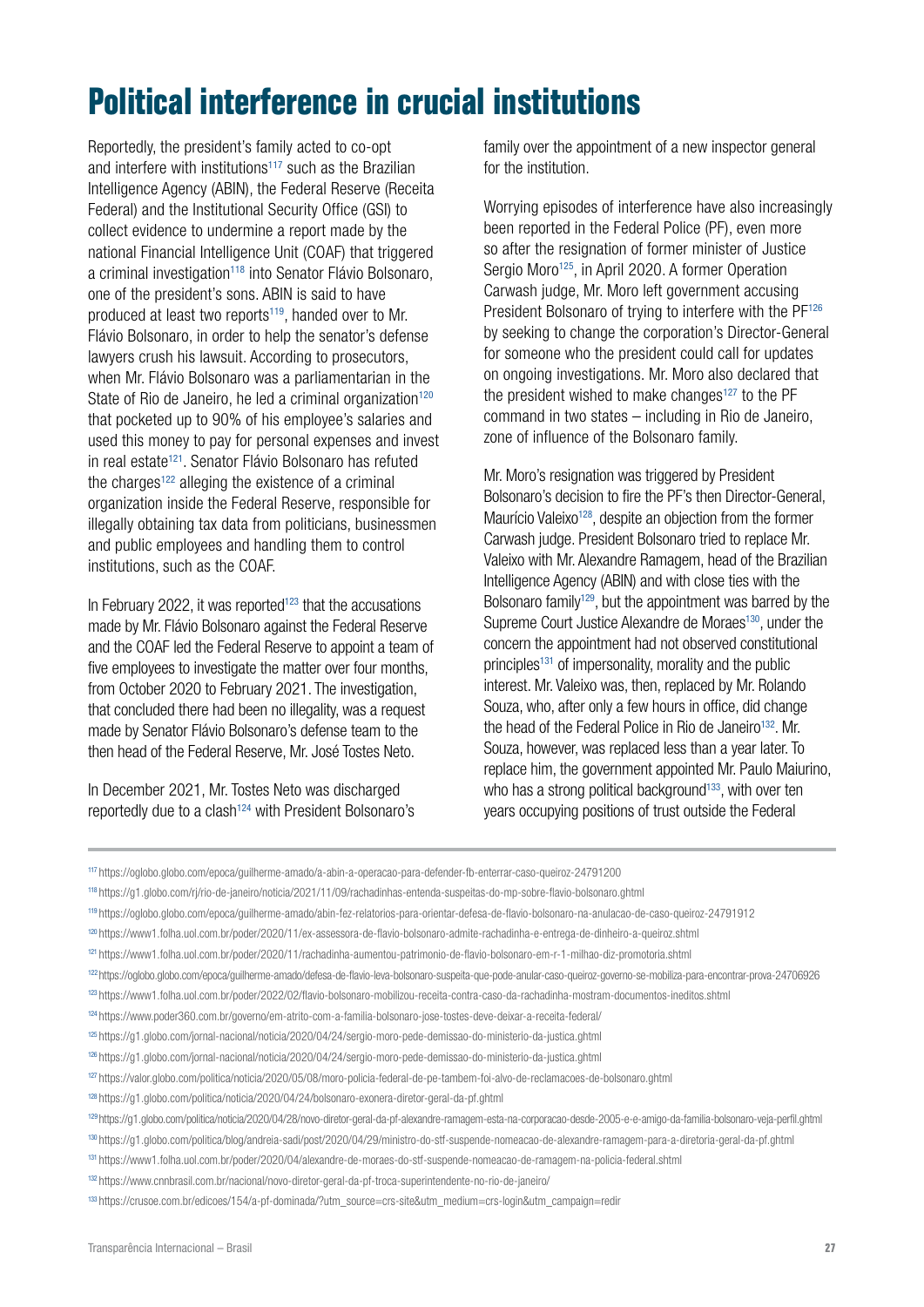### **Political interference in crucial institutions**

Reportedly, the president's family acted to co-opt and interfere with institutions<sup>117</sup> such as the Brazilian Intelligence Agency (ABIN), the Federal Reserve (Receita Federal) and the Institutional Security Office (GSI) to collect evidence to undermine a report made by the national Financial Intelligence Unit (COAF) that triggered a criminal investigation<sup>118</sup> into Senator Flávio Bolsonaro, one of the president's sons. ABIN is said to have produced at least two reports<sup>119</sup>, handed over to Mr. Flávio Bolsonaro, in order to help the senator's defense lawyers crush his lawsuit. According to prosecutors, when Mr. Flávio Bolsonaro was a parliamentarian in the State of Rio de Janeiro, he led a criminal organization<sup>120</sup> that pocketed up to 90% of his employee's salaries and used this money to pay for personal expenses and invest in real estate<sup>121</sup>. Senator Flávio Bolsonaro has refuted the charges<sup>122</sup> alleging the existence of a criminal organization inside the Federal Reserve, responsible for illegally obtaining tax data from politicians, businessmen and public employees and handling them to control institutions, such as the COAF.

In February 2022, it was reported<sup>123</sup> that the accusations made by Mr. Flávio Bolsonaro against the Federal Reserve and the COAF led the Federal Reserve to appoint a team of five employees to investigate the matter over four months, from October 2020 to February 2021. The investigation, that concluded there had been no illegality, was a request made by Senator Flávio Bolsonaro's defense team to the then head of the Federal Reserve, Mr. José Tostes Neto.

In December 2021, Mr. Tostes Neto was discharged reportedly due to a clash<sup>124</sup> with President Bolsonaro's family over the appointment of a new inspector general for the institution.

Worrying episodes of interference have also increasingly been reported in the Federal Police (PF), even more so after the resignation of former minister of Justice Sergio Moro<sup>125</sup>, in April 2020. A former Operation Carwash judge, Mr. Moro left government accusing President Bolsonaro of trying to interfere with the PF<sup>126</sup> by seeking to change the corporation's Director-General for someone who the president could call for updates on ongoing investigations. Mr. Moro also declared that the president wished to make changes<sup>127</sup> to the PF command in two states – including in Rio de Janeiro, zone of influence of the Bolsonaro family.

Mr. Moro's resignation was triggered by President Bolsonaro's decision to fire the PF's then Director-General, Maurício Valeixo<sup>128</sup>, despite an objection from the former Carwash judge. President Bolsonaro tried to replace Mr. Valeixo with Mr. Alexandre Ramagem, head of the Brazilian Intelligence Agency (ABIN) and with close ties with the Bolsonaro family<sup>129</sup>, but the appointment was barred by the Supreme Court Justice Alexandre de Moraes<sup>130</sup>, under the concern the appointment had not observed constitutional principles<sup>131</sup> of impersonality, morality and the public interest. Mr. Valeixo was, then, replaced by Mr. Rolando Souza, who, after only a few hours in office, did change the head of the Federal Police in Rio de Janeiro<sup>132</sup>. Mr. Souza, however, was replaced less than a year later. To replace him, the government appointed Mr. Paulo Maiurino, who has a strong political background<sup>133</sup>, with over ten years occupying positions of trust outside the Federal

<sup>128</sup> <https://g1.globo.com/politica/noticia/2020/04/24/bolsonaro-exonera-diretor-geral-da-pf.ghtml>

<sup>117</sup> <https://oglobo.globo.com/epoca/guilherme-amado/a-abin-a-operacao-para-defender-fb-enterrar-caso-queiroz-24791200>

<sup>118</sup> <https://g1.globo.com/rj/rio-de-janeiro/noticia/2021/11/09/rachadinhas-entenda-suspeitas-do-mp-sobre-flavio-bolsonaro.ghtml>

<sup>119</sup> <https://oglobo.globo.com/epoca/guilherme-amado/abin-fez-relatorios-para-orientar-defesa-de-flavio-bolsonaro-na-anulacao-de-caso-queiroz-24791912>

<sup>120</sup> <https://www1.folha.uol.com.br/poder/2020/11/ex-assessora-de-flavio-bolsonaro-admite-rachadinha-e-entrega-de-dinheiro-a-queiroz.shtml>

<sup>121</sup> <https://www1.folha.uol.com.br/poder/2020/11/rachadinha-aumentou-patrimonio-de-flavio-bolsonaro-em-r-1-milhao-diz-promotoria.shtml>

<sup>122</sup> https://oglobo.globo.com/epoca/guilherme-amado/defesa-de-flavio-leva-bolsonaro-suspeita-que-pode-anular-caso-queiroz-governo-se-mobiliza-para-encontrar-prova-24706926

<sup>123</sup> https://www1.folha.uol.com.br/poder/2022/02/flavio-bolsonaro-mobilizou-receita-contra-caso-da-rachadinha-mostram-documentos-ineditos.shtml

<sup>124</sup> https://www.poder360.com.br/governo/em-atrito-com-a-familia-bolsonaro-jose-tostes-deve-deixar-a-receita-federal/

<sup>125</sup> <https://g1.globo.com/jornal-nacional/noticia/2020/04/24/sergio-moro-pede-demissao-do-ministerio-da-justica.ghtml>

<sup>126</sup> <https://g1.globo.com/jornal-nacional/noticia/2020/04/24/sergio-moro-pede-demissao-do-ministerio-da-justica.ghtml>

<sup>127</sup> <https://valor.globo.com/politica/noticia/2020/05/08/moro-policia-federal-de-pe-tambem-foi-alvo-de-reclamacoes-de-bolsonaro.ghtml>

<sup>&</sup>lt;sup>129</sup> https://g1.globo.com/politica/noticia/2020/04/28/novo-diretor-geral-da-pf-alexandre-ramagem-esta-na-corporacao-desde-2005-e-e-amigo-da-familia-bolsonaro-veja-perfil.ghtml

<sup>130</sup> https://g1.globo.com/politica/blog/andreia-sadi/post/2020/04/29/ministro-do-stf-suspende-nomeacao-de-alexandre-ramagem-para-a-diretoria-geral-da-pf.ghtml

<sup>131</sup> https://www1.folha.uol.com.br/poder/2020/04/alexandre-de-moraes-do-stf-suspende-nomeacao-de-ramagem-na-policia-federal.shtml

<sup>132</sup> <https://www.cnnbrasil.com.br/nacional/novo-diretor-geral-da-pf-troca-superintendente-no-rio-de-janeiro/>

<sup>133</sup> [https://crusoe.com.br/edicoes/154/a-pf-dominada/?utm\\_source=crs-site&utm\\_medium=crs-login&utm\\_campaign=redir](https://crusoe.com.br/edicoes/154/a-pf-dominada/?utm_source=crs-site&utm_medium=crs-login&utm_campaign=redir)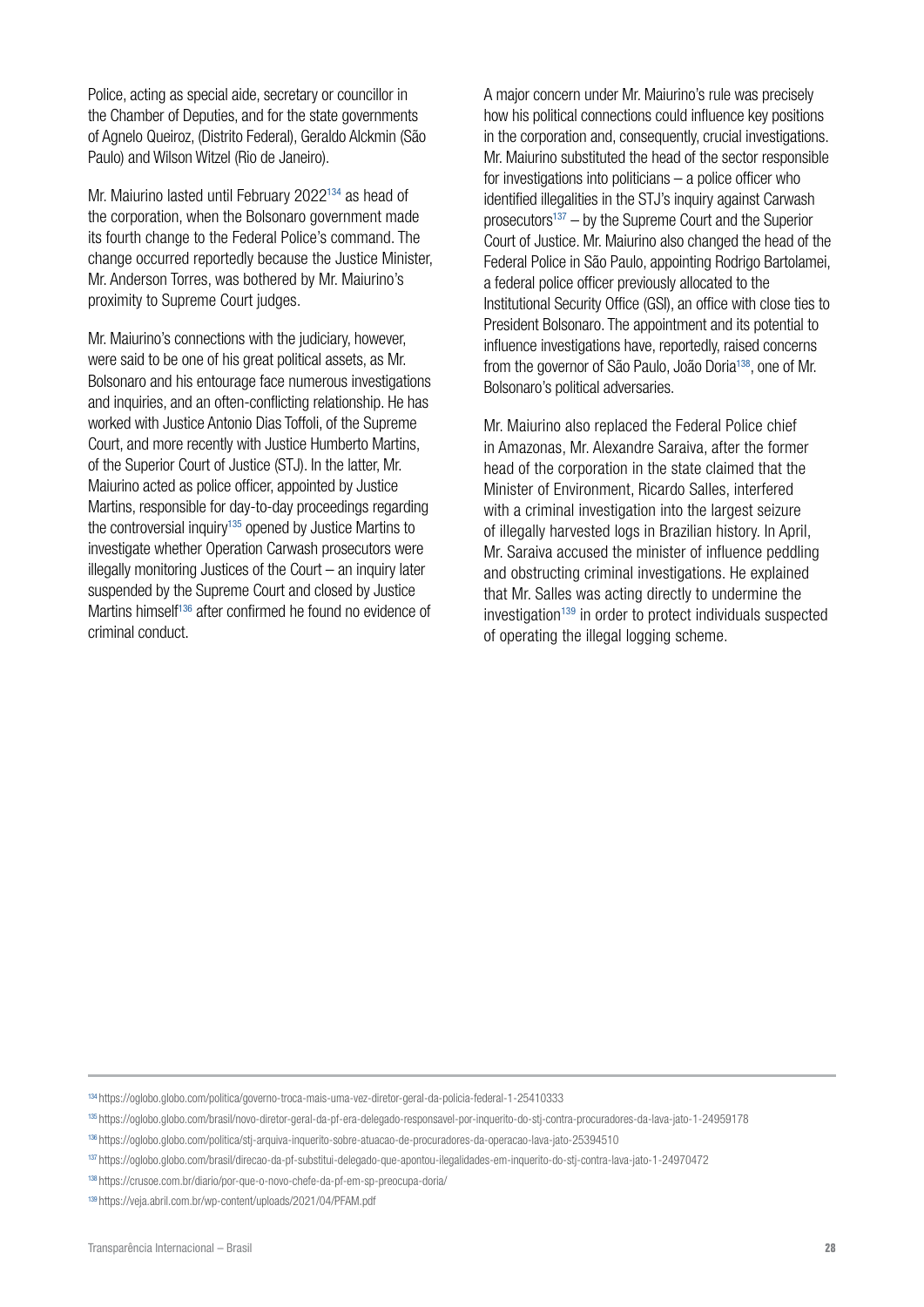Police, acting as special aide, secretary or councillor in the Chamber of Deputies, and for the state governments of Agnelo Queiroz, (Distrito Federal), Geraldo Alckmin (São Paulo) and Wilson Witzel (Rio de Janeiro).

Mr. Maiurino lasted until February 2022134 as head of the corporation, when the Bolsonaro government made its fourth change to the Federal Police's command. The change occurred reportedly because the Justice Minister, Mr. Anderson Torres, was bothered by Mr. Maiurino's proximity to Supreme Court judges.

Mr. Maiurino's connections with the judiciary, however, were said to be one of his great political assets, as Mr. Bolsonaro and his entourage face numerous investigations and inquiries, and an often-conflicting relationship. He has worked with Justice Antonio Dias Toffoli, of the Supreme Court, and more recently with Justice Humberto Martins, of the Superior Court of Justice (STJ). In the latter, Mr. Maiurino acted as police officer, appointed by Justice Martins, responsible for day-to-day proceedings regarding the controversial inquiry<sup>135</sup> opened by Justice Martins to investigate whether Operation Carwash prosecutors were illegally monitoring Justices of the Court – an inquiry later suspended by the Supreme Court and closed by Justice Martins himself<sup>136</sup> after confirmed he found no evidence of criminal conduct.

A major concern under Mr. Maiurino's rule was precisely how his political connections could influence key positions in the corporation and, consequently, crucial investigations. Mr. Maiurino substituted the head of the sector responsible for investigations into politicians  $-$  a police officer who identified illegalities in the STJ's inquiry against Carwash prosecutors<sup>137</sup> – by the Supreme Court and the Superior Court of Justice. Mr. Maiurino also changed the head of the Federal Police in São Paulo, appointing Rodrigo Bartolamei, a federal police officer previously allocated to the Institutional Security Office (GSI), an office with close ties to President Bolsonaro. The appointment and its potential to influence investigations have, reportedly, raised concerns from the governor of São Paulo, João Doria<sup>138</sup>, one of Mr. Bolsonaro's political adversaries.

Mr. Maiurino also replaced the Federal Police chief in Amazonas, Mr. Alexandre Saraiva, after the former head of the corporation in the state claimed that the Minister of Environment, Ricardo Salles, interfered with a criminal investigation into the largest seizure of illegally harvested logs in Brazilian history. In April, Mr. Saraiva accused the minister of influence peddling and obstructing criminal investigations. He explained that Mr. Salles was acting directly to undermine the investigation<sup>139</sup> in order to protect individuals suspected of operating the illegal logging scheme.

<sup>134</sup> https://oglobo.globo.com/politica/governo-troca-mais-uma-vez-diretor-geral-da-policia-federal-1-25410333

<sup>135</sup> <https://oglobo.globo.com/brasil/novo-diretor-geral-da-pf-era-delegado-responsavel-por-inquerito-do-stj-contra-procuradores-da-lava-jato-1-24959178>

<sup>136</sup> https://oglobo.globo.com/politica/stj-arquiva-inquerito-sobre-atuacao-de-procuradores-da-operacao-lava-jato-25394510

<sup>137</sup> <https://oglobo.globo.com/brasil/direcao-da-pf-substitui-delegado-que-apontou-ilegalidades-em-inquerito-do-stj-contra-lava-jato-1-24970472>

<sup>138</sup> <https://crusoe.com.br/diario/por-que-o-novo-chefe-da-pf-em-sp-preocupa-doria/>

<sup>139</sup> <https://veja.abril.com.br/wp-content/uploads/2021/04/PFAM.pdf>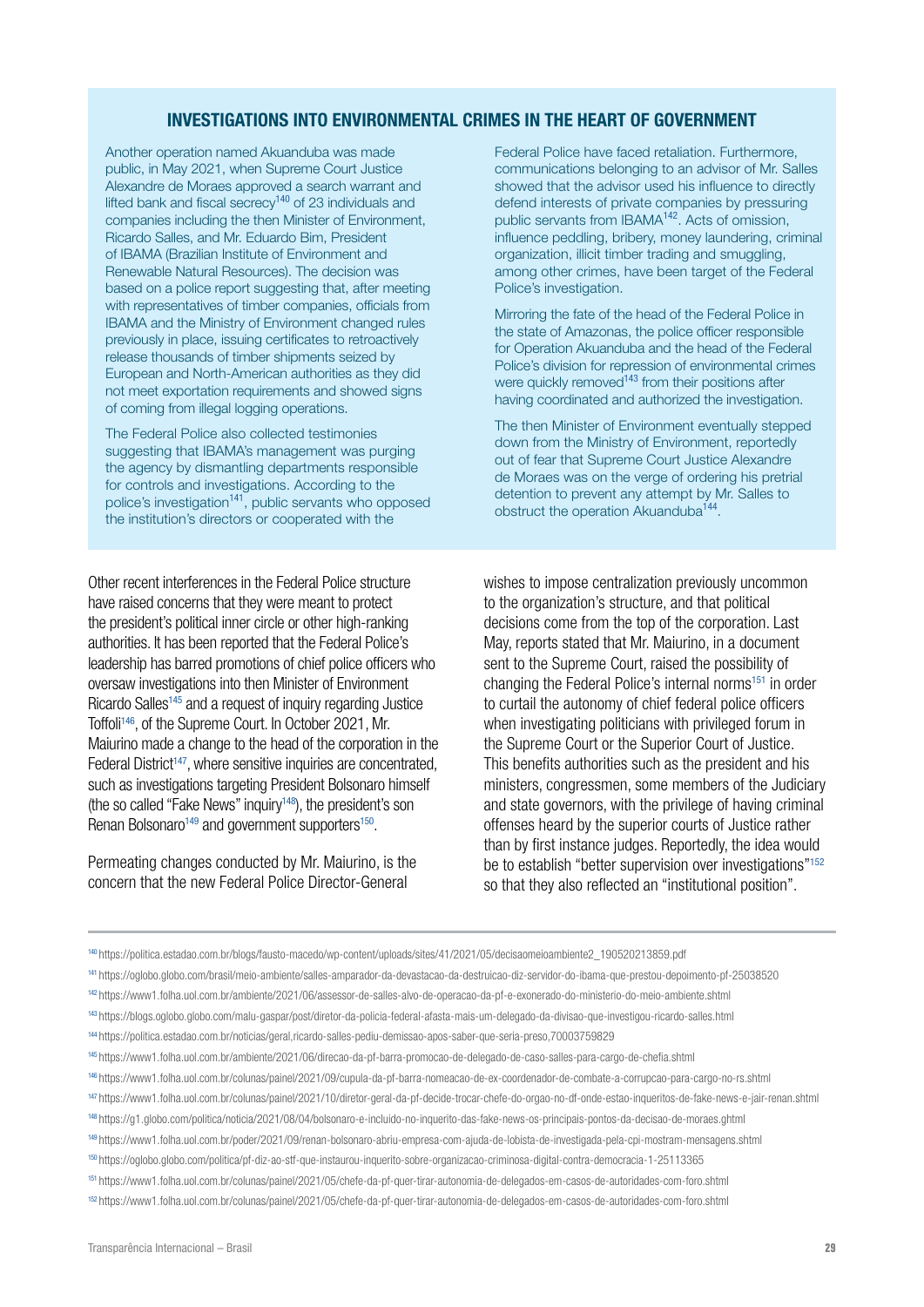#### INVESTIGATIONS INTO ENVIRONMENTAL CRIMES IN THE HEART OF GOVERNMENT

Another operation named Akuanduba was made public, in May 2021, when Supreme Court Justice Alexandre de Moraes approved a search warrant and lifted bank and fiscal secrecy<sup>140</sup> of 23 individuals and companies including the then Minister of Environment, Ricardo Salles, and Mr. Eduardo Bim, President of IBAMA (Brazilian Institute of Environment and Renewable Natural Resources). The decision was based on a police report suggesting that, after meeting with representatives of timber companies, officials from IBAMA and the Ministry of Environment changed rules previously in place, issuing certificates to retroactively release thousands of timber shipments seized by European and North-American authorities as they did not meet exportation requirements and showed signs of coming from illegal logging operations.

The Federal Police also collected testimonies suggesting that IBAMA's management was purging the agency by dismantling departments responsible for controls and investigations. According to the police's investigation<sup>141</sup>, public servants who opposed the institution's directors or cooperated with the

Other recent interferences in the Federal Police structure have raised concerns that they were meant to protect the president's political inner circle or other high-ranking authorities. It has been reported that the Federal Police's leadership has barred promotions of chief police officers who oversaw investigations into then Minister of Environment Ricardo Salles<sup>145</sup> and a request of inquiry regarding Justice Toffoli146, of the Supreme Court. In October 2021, Mr. Maiurino made a change to the head of the corporation in the Federal District<sup>147</sup>, where sensitive inquiries are concentrated, such as investigations targeting President Bolsonaro himself (the so called "Fake News" inquiry<sup>148</sup>), the president's son Renan Bolsonaro<sup>149</sup> and government supporters<sup>150</sup>.

Permeating changes conducted by Mr. Maiurino, is the concern that the new Federal Police Director-General

Federal Police have faced retaliation. Furthermore, communications belonging to an advisor of Mr. Salles showed that the advisor used his influence to directly defend interests of private companies by pressuring public servants from IBAMA<sup>142</sup>. Acts of omission, influence peddling, bribery, money laundering, criminal organization, illicit timber trading and smuggling, among other crimes, have been target of the Federal Police's investigation.

Mirroring the fate of the head of the Federal Police in the state of Amazonas, the police officer responsible for Operation Akuanduba and the head of the Federal Police's division for repression of environmental crimes were quickly removed<sup>143</sup> from their positions after having coordinated and authorized the investigation.

The then Minister of Environment eventually stepped down from the Ministry of Environment, reportedly out of fear that Supreme Court Justice Alexandre de Moraes was on the verge of ordering his pretrial detention to prevent any attempt by Mr. Salles to obstruct the operation Akuanduba<sup>144</sup>.

wishes to impose centralization previously uncommon to the organization's structure, and that political decisions come from the top of the corporation. Last May, reports stated that Mr. Maiurino, in a document sent to the Supreme Court, raised the possibility of changing the Federal Police's internal norms<sup>151</sup> in order to curtail the autonomy of chief federal police officers when investigating politicians with privileged forum in the Supreme Court or the Superior Court of Justice. This benefits authorities such as the president and his ministers, congressmen, some members of the Judiciary and state governors, with the privilege of having criminal offenses heard by the superior courts of Justice rather than by first instance judges. Reportedly, the idea would be to establish "better supervision over investigations"<sup>152</sup> so that they also reflected an "institutional position".

<sup>140</sup> [https://politica.estadao.com.br/blogs/fausto-macedo/wp-content/uploads/sites/41/2021/05/decisaomeioambiente2\\_190520213859.pdf](https://politica.estadao.com.br/blogs/fausto-macedo/wp-content/uploads/sites/41/2021/05/decisaomeioambiente2_190520213859.pdf)

<sup>141</sup> https://oglobo.globo.com/brasil/meio-ambiente/salles-amparador-da-devastacao-da-destruicao-diz-servidor-do-ibama-que-prestou-depoimento-pf-25038520

<sup>142</sup> https://www1.folha.uol.com.br/ambiente/2021/06/assessor-de-salles-alvo-de-operacao-da-pf-e-exonerado-do-ministerio-do-meio-ambiente.shtml

<sup>143</sup> <https://blogs.oglobo.globo.com/malu-gaspar/post/diretor-da-policia-federal-afasta-mais-um-delegado-da-divisao-que-investigou-ricardo-salles.html>

<sup>144</sup> <https://politica.estadao.com.br/noticias/geral,ricardo-salles-pediu-demissao-apos-saber-que-seria-preso,70003759829>

<sup>145</sup> <https://www1.folha.uol.com.br/ambiente/2021/06/direcao-da-pf-barra-promocao-de-delegado-de-caso-salles-para-cargo-de-chefia.shtml>

<sup>146</sup> <https://www1.folha.uol.com.br/colunas/painel/2021/09/cupula-da-pf-barra-nomeacao-de-ex-coordenador-de-combate-a-corrupcao-para-cargo-no-rs.shtml>

<sup>147</sup> <https://www1.folha.uol.com.br/colunas/painel/2021/10/diretor-geral-da-pf-decide-trocar-chefe-do-orgao-no-df-onde-estao-inqueritos-de-fake-news-e-jair-renan.shtml>

<sup>&</sup>lt;sup>148</sup> <https://g1.globo.com/politica/noticia/2021/08/04/bolsonaro-e-incluido-no-inquerito-das-fake-news-os-principais-pontos-da-decisao-de-moraes.ghtml>

<sup>149</sup> <https://www1.folha.uol.com.br/poder/2021/09/renan-bolsonaro-abriu-empresa-com-ajuda-de-lobista-de-investigada-pela-cpi-mostram-mensagens.shtml>

<sup>150</sup> <https://oglobo.globo.com/politica/pf-diz-ao-stf-que-instaurou-inquerito-sobre-organizacao-criminosa-digital-contra-democracia-1-25113365>

<sup>151</sup> <https://www1.folha.uol.com.br/colunas/painel/2021/05/chefe-da-pf-quer-tirar-autonomia-de-delegados-em-casos-de-autoridades-com-foro.shtml>

<sup>152</sup> <https://www1.folha.uol.com.br/colunas/painel/2021/05/chefe-da-pf-quer-tirar-autonomia-de-delegados-em-casos-de-autoridades-com-foro.shtml>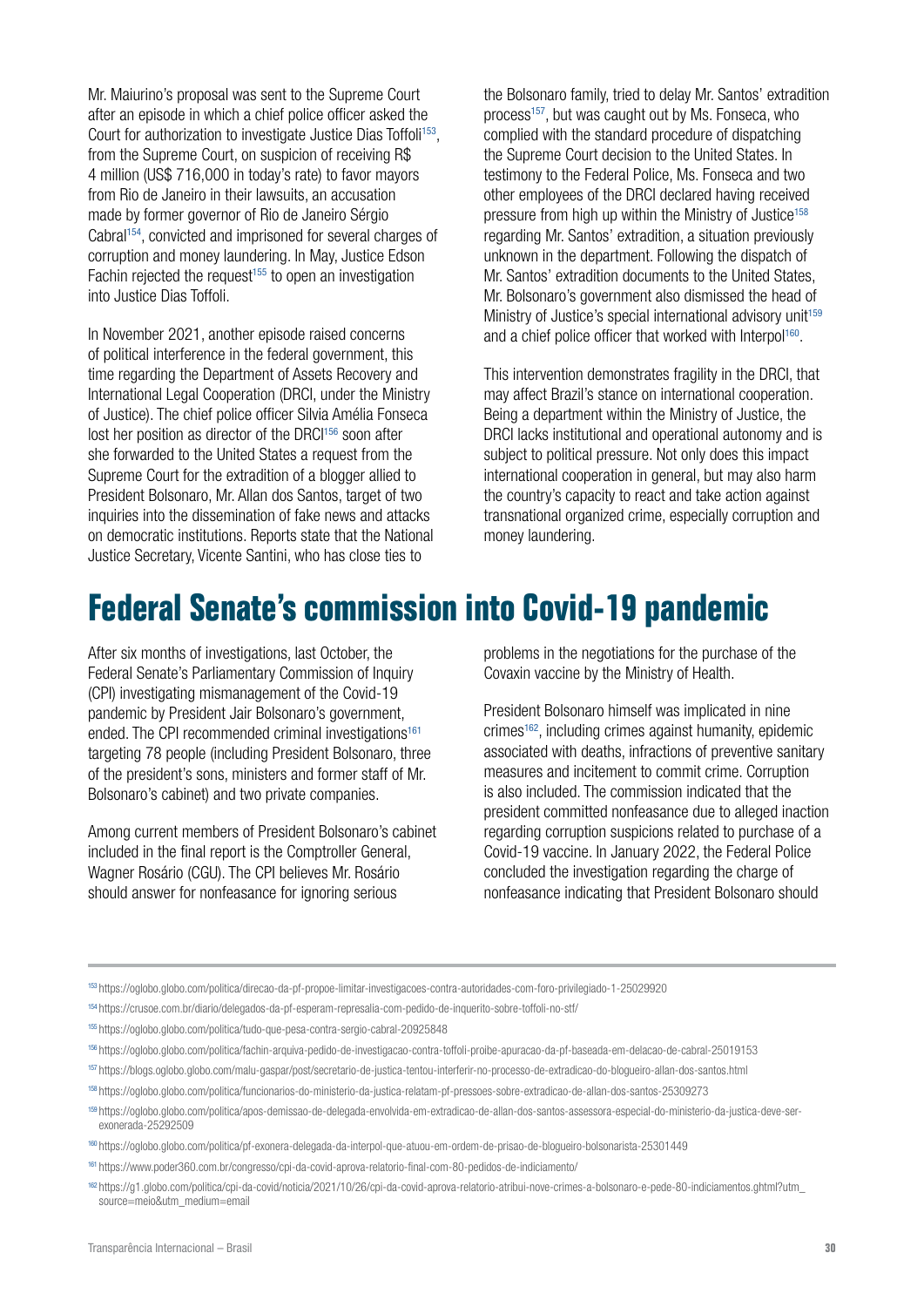Mr. Maiurino's proposal was sent to the Supreme Court after an episode in which a chief police officer asked the Court for authorization to investigate Justice Dias Toffoli<sup>153</sup>. from the Supreme Court, on suspicion of receiving R\$ 4 million (US\$ 716,000 in today's rate) to favor mayors from Rio de Janeiro in their lawsuits, an accusation made by former governor of Rio de Janeiro Sérgio Cabral154, convicted and imprisoned for several charges of corruption and money laundering. In May, Justice Edson Fachin rejected the request<sup> $155$ </sup> to open an investigation into Justice Dias Toffoli.

In November 2021, another episode raised concerns of political interference in the federal government, this time regarding the Department of Assets Recovery and International Legal Cooperation (DRCI, under the Ministry of Justice). The chief police officer Silvia Amélia Fonseca lost her position as director of the DRCI<sup>156</sup> soon after she forwarded to the United States a request from the Supreme Court for the extradition of a blogger allied to President Bolsonaro, Mr. Allan dos Santos, target of two inquiries into the dissemination of fake news and attacks on democratic institutions. Reports state that the National Justice Secretary, Vicente Santini, who has close ties to

the Bolsonaro family, tried to delay Mr. Santos' extradition process157, but was caught out by Ms. Fonseca, who complied with the standard procedure of dispatching the Supreme Court decision to the United States. In testimony to the Federal Police, Ms. Fonseca and two other employees of the DRCI declared having received pressure from high up within the Ministry of Justice<sup>158</sup> regarding Mr. Santos' extradition, a situation previously unknown in the department. Following the dispatch of Mr. Santos' extradition documents to the United States, Mr. Bolsonaro's government also dismissed the head of Ministry of Justice's special international advisory unit<sup>159</sup> and a chief police officer that worked with Interpol<sup>160</sup>.

This intervention demonstrates fragility in the DRCI, that may affect Brazil's stance on international cooperation. Being a department within the Ministry of Justice, the DRCI lacks institutional and operational autonomy and is subject to political pressure. Not only does this impact international cooperation in general, but may also harm the country's capacity to react and take action against transnational organized crime, especially corruption and money laundering.

### **Federal Senate's commission into Covid-19 pandemic**

After six months of investigations, last October, the Federal Senate's Parliamentary Commission of Inquiry (CPI) investigating mismanagement of the Covid-19 pandemic by President Jair Bolsonaro's government, ended. The CPI recommended criminal investigations<sup>161</sup> targeting 78 people (including President Bolsonaro, three of the president's sons, ministers and former staff of Mr. Bolsonaro's cabinet) and two private companies.

Among current members of President Bolsonaro's cabinet included in the final report is the Comptroller General, Wagner Rosário (CGU). The CPI believes Mr. Rosário should answer for nonfeasance for ignoring serious

problems in the negotiations for the purchase of the Covaxin vaccine by the Ministry of Health.

President Bolsonaro himself was implicated in nine crimes162, including crimes against humanity, epidemic associated with deaths, infractions of preventive sanitary measures and incitement to commit crime. Corruption is also included. The commission indicated that the president committed nonfeasance due to alleged inaction regarding corruption suspicions related to purchase of a Covid-19 vaccine. In January 2022, the Federal Police concluded the investigation regarding the charge of nonfeasance indicating that President Bolsonaro should

<sup>157</sup> <https://blogs.oglobo.globo.com/malu-gaspar/post/secretario-de-justica-tentou-interferir-no-processo-de-extradicao-do-blogueiro-allan-dos-santos.html>

<sup>153</sup> <https://oglobo.globo.com/politica/direcao-da-pf-propoe-limitar-investigacoes-contra-autoridades-com-foro-privilegiado-1-25029920>

<sup>154</sup> <https://crusoe.com.br/diario/delegados-da-pf-esperam-represalia-com-pedido-de-inquerito-sobre-toffoli-no-stf/>

<sup>155</sup> <https://oglobo.globo.com/politica/tudo-que-pesa-contra-sergio-cabral-20925848>

<sup>156</sup> <https://oglobo.globo.com/politica/fachin-arquiva-pedido-de-investigacao-contra-toffoli-proibe-apuracao-da-pf-baseada-em-delacao-de-cabral-25019153>

<sup>158</sup> https://oglobo.globo.com/politica/funcionarios-do-ministerio-da-justica-relatam-pf-pressoes-sobre-extradicao-de-allan-dos-santos-25309273

<sup>159</sup> https://oglobo.globo.com/politica/apos-demissao-de-delegada-envolvida-em-extradicao-de-allan-dos-santos-assessora-especial-do-ministerio-da-justica-deve-serexonerada-25292509

<sup>160</sup> https://oglobo.globo.com/politica/pf-exonera-delegada-da-interpol-que-atuou-em-ordem-de-prisao-de-blogueiro-bolsonarista-25301449

<sup>161</sup> <https://www.poder360.com.br/congresso/cpi-da-covid-aprova-relatorio-final-com-80-pedidos-de-indiciamento/>

<sup>162</sup> [https://g1.globo.com/politica/cpi-da-covid/noticia/2021/10/26/cpi-da-covid-aprova-relatorio-atribui-nove-crimes-a-bolsonaro-e-pede-80-indiciamentos.ghtml?utm\\_](https://g1.globo.com/politica/cpi-da-covid/noticia/2021/10/26/cpi-da-covid-aprova-relatorio-atribui-nove-crimes-a-bolsonaro-e-pede-80-indiciamentos.ghtml?utm_source=meio&utm_medium=email) [source=meio&utm\\_medium=email](https://g1.globo.com/politica/cpi-da-covid/noticia/2021/10/26/cpi-da-covid-aprova-relatorio-atribui-nove-crimes-a-bolsonaro-e-pede-80-indiciamentos.ghtml?utm_source=meio&utm_medium=email)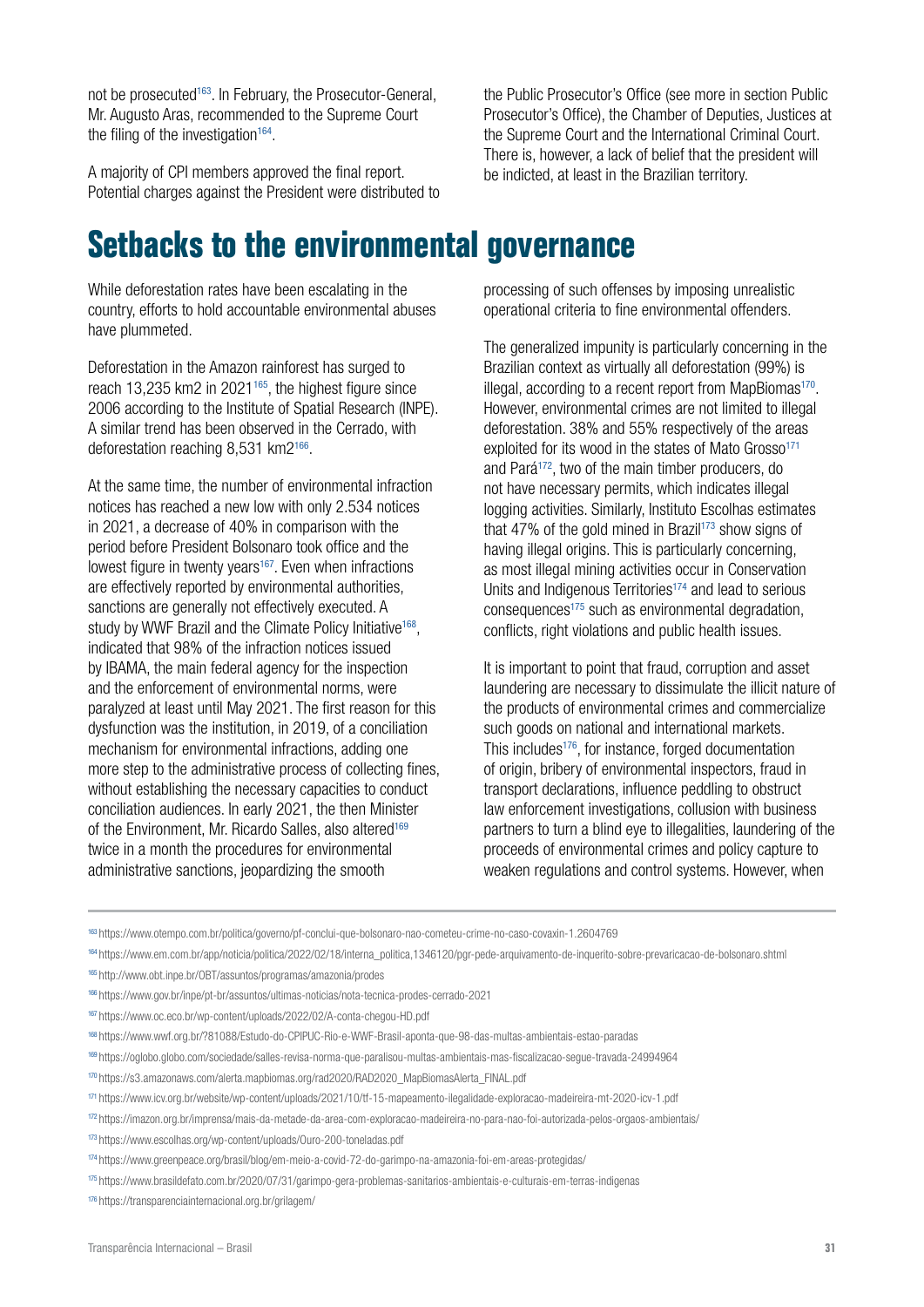not be prosecuted<sup>163</sup>. In February, the Prosecutor-General, Mr. Augusto Aras, recommended to the Supreme Court the filing of the investigation $164$ .

A majority of CPI members approved the final report. Potential charges against the President were distributed to

**Setbacks to the environmental governance**

While deforestation rates have been escalating in the country, efforts to hold accountable environmental abuses have plummeted.

Deforestation in the Amazon rainforest has surged to reach 13,235 km2 in 2021165, the highest figure since 2006 according to the Institute of Spatial Research (INPE). A similar trend has been observed in the Cerrado, with deforestation reaching 8,531 km2166.

At the same time, the number of environmental infraction notices has reached a new low with only 2.534 notices in 2021, a decrease of 40% in comparison with the period before President Bolsonaro took office and the lowest figure in twenty years<sup>167</sup>. Even when infractions are effectively reported by environmental authorities, sanctions are generally not effectively executed. A study by WWF Brazil and the Climate Policy Initiative<sup>168</sup>, indicated that 98% of the infraction notices issued by IBAMA, the main federal agency for the inspection and the enforcement of environmental norms, were paralyzed at least until May 2021. The first reason for this dysfunction was the institution, in 2019, of a conciliation mechanism for environmental infractions, adding one more step to the administrative process of collecting fines, without establishing the necessary capacities to conduct conciliation audiences. In early 2021, the then Minister of the Environment, Mr. Ricardo Salles, also altered<sup>169</sup> twice in a month the procedures for environmental administrative sanctions, jeopardizing the smooth

the Public Prosecutor's Office (see more in section Public Prosecutor's Office), the Chamber of Deputies, Justices at the Supreme Court and the International Criminal Court. There is, however, a lack of belief that the president will be indicted, at least in the Brazilian territory.

processing of such offenses by imposing unrealistic operational criteria to fine environmental offenders.

The generalized impunity is particularly concerning in the Brazilian context as virtually all deforestation (99%) is illegal, according to a recent report from MapBiomas<sup>170</sup>. However, environmental crimes are not limited to illegal deforestation. 38% and 55% respectively of the areas exploited for its wood in the states of Mato Grosso $171$ and Pará172, two of the main timber producers, do not have necessary permits, which indicates illegal logging activities. Similarly, Instituto Escolhas estimates that 47% of the gold mined in Brazil<sup>173</sup> show signs of having illegal origins. This is particularly concerning, as most illegal mining activities occur in Conservation Units and Indigenous Territories<sup>174</sup> and lead to serious consequences175 such as environmental degradation, conflicts, right violations and public health issues.

It is important to point that fraud, corruption and asset laundering are necessary to dissimulate the illicit nature of the products of environmental crimes and commercialize such goods on national and international markets. This includes<sup>176</sup>, for instance, forged documentation of origin, bribery of environmental inspectors, fraud in transport declarations, influence peddling to obstruct law enforcement investigations, collusion with business partners to turn a blind eye to illegalities, laundering of the proceeds of environmental crimes and policy capture to weaken regulations and control systems. However, when

<sup>163</sup> https://www.otempo.com.br/politica/governo/pf-conclui-que-bolsonaro-nao-cometeu-crime-no-caso-covaxin-1.2604769

<sup>164</sup> https://www.em.com.br/app/noticia/politica/2022/02/18/interna\_politica,1346120/pgr-pede-arquivamento-de-inquerito-sobre-prevaricacao-de-bolsonaro.shtml

- <sup>166</sup> <https://www.gov.br/inpe/pt-br/assuntos/ultimas-noticias/nota-tecnica-prodes-cerrado-2021>
- <sup>167</sup> <https://www.oc.eco.br/wp-content/uploads/2022/02/A-conta-chegou-HD.pdf>
- <sup>168</sup> https://www.wwf.org.br/?81088/Estudo-do-CPIPUC-Rio-e-WWF-Brasil-aponta-que-98-das-multas-ambientais-estao-paradas
- <sup>169</sup> <https://oglobo.globo.com/sociedade/salles-revisa-norma-que-paralisou-multas-ambientais-mas-fiscalizacao-segue-travada-24994964>
- <sup>170</sup> [https://s3.amazonaws.com/alerta.mapbiomas.org/rad2020/RAD2020\\_MapBiomasAlerta\\_FINAL.pdf](https://s3.amazonaws.com/alerta.mapbiomas.org/rad2020/RAD2020_MapBiomasAlerta_FINAL.pdf)
- <sup>171</sup> <https://www.icv.org.br/website/wp-content/uploads/2021/10/tf-15-mapeamento-ilegalidade-exploracao-madeireira-mt-2020-icv-1.pdf>
- <sup>172</sup> <https://imazon.org.br/imprensa/mais-da-metade-da-area-com-exploracao-madeireira-no-para-nao-foi-autorizada-pelos-orgaos-ambientais/>
- <sup>173</sup> <https://www.escolhas.org/wp-content/uploads/Ouro-200-toneladas.pdf>

<sup>165</sup> <http://www.obt.inpe.br/OBT/assuntos/programas/amazonia/prodes>

<sup>174</sup> <https://www.greenpeace.org/brasil/blog/em-meio-a-covid-72-do-garimpo-na-amazonia-foi-em-areas-protegidas/>

<sup>175</sup> <https://www.brasildefato.com.br/2020/07/31/garimpo-gera-problemas-sanitarios-ambientais-e-culturais-em-terras-indigenas>

<sup>176</sup> <https://transparenciainternacional.org.br/grilagem/>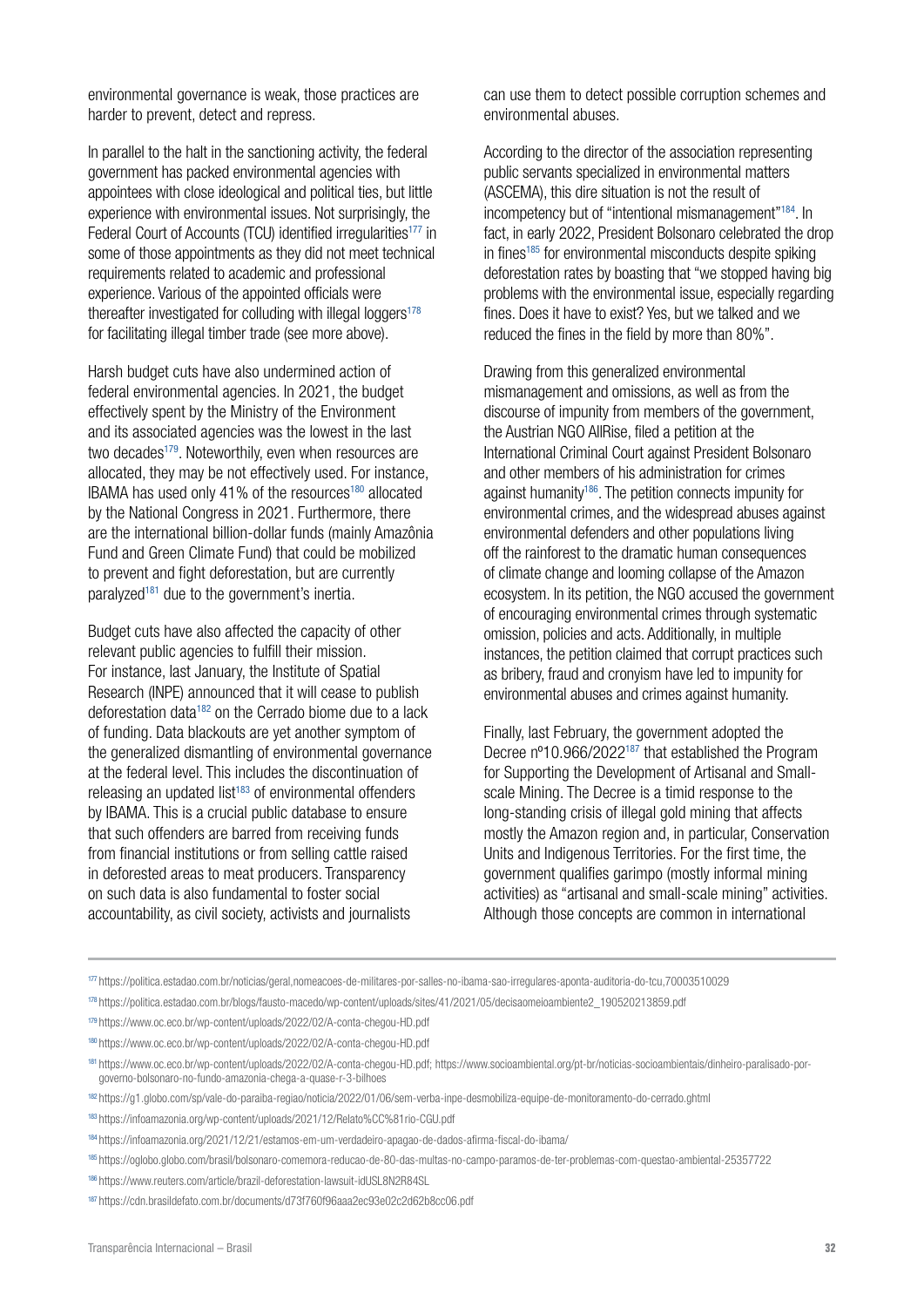environmental governance is weak, those practices are harder to prevent, detect and repress.

In parallel to the halt in the sanctioning activity, the federal government has packed environmental agencies with appointees with close ideological and political ties, but little experience with environmental issues. Not surprisingly, the Federal Court of Accounts (TCU) identified irregularities<sup>177</sup> in some of those appointments as they did not meet technical requirements related to academic and professional experience. Various of the appointed officials were thereafter investigated for colluding with illegal loggers $178$ for facilitating illegal timber trade (see more above).

Harsh budget cuts have also undermined action of federal environmental agencies. In 2021, the budget effectively spent by the Ministry of the Environment and its associated agencies was the lowest in the last two decades<sup>179</sup>. Noteworthily, even when resources are allocated, they may be not effectively used. For instance, IBAMA has used only 41% of the resources<sup>180</sup> allocated by the National Congress in 2021. Furthermore, there are the international billion-dollar funds (mainly Amazônia Fund and Green Climate Fund) that could be mobilized to prevent and fight deforestation, but are currently paralyzed<sup>181</sup> due to the government's inertia.

Budget cuts have also affected the capacity of other relevant public agencies to fulfill their mission. For instance, last January, the Institute of Spatial Research (INPE) announced that it will cease to publish deforestation data182 on the Cerrado biome due to a lack of funding. Data blackouts are yet another symptom of the generalized dismantling of environmental governance at the federal level. This includes the discontinuation of releasing an updated list<sup>183</sup> of environmental offenders by IBAMA. This is a crucial public database to ensure that such offenders are barred from receiving funds from financial institutions or from selling cattle raised in deforested areas to meat producers. Transparency on such data is also fundamental to foster social accountability, as civil society, activists and journalists

can use them to detect possible corruption schemes and environmental abuses.

According to the director of the association representing public servants specialized in environmental matters (ASCEMA), this dire situation is not the result of incompetency but of "intentional mismanagement"<sup>184</sup>. In fact, in early 2022, President Bolsonaro celebrated the drop in fines<sup>185</sup> for environmental misconducts despite spiking deforestation rates by boasting that "we stopped having big problems with the environmental issue, especially regarding fines. Does it have to exist? Yes, but we talked and we reduced the fines in the field by more than 80%".

Drawing from this generalized environmental mismanagement and omissions, as well as from the discourse of impunity from members of the government, the Austrian NGO AllRise, filed a petition at the International Criminal Court against President Bolsonaro and other members of his administration for crimes against humanity<sup>186</sup>. The petition connects impunity for environmental crimes, and the widespread abuses against environmental defenders and other populations living off the rainforest to the dramatic human consequences of climate change and looming collapse of the Amazon ecosystem. In its petition, the NGO accused the government of encouraging environmental crimes through systematic omission, policies and acts. Additionally, in multiple instances, the petition claimed that corrupt practices such as bribery, fraud and cronyism have led to impunity for environmental abuses and crimes against humanity.

Finally, last February, the government adopted the Decree nº10.966/2022187 that established the Program for Supporting the Development of Artisanal and Smallscale Mining. The Decree is a timid response to the long-standing crisis of illegal gold mining that affects mostly the Amazon region and, in particular, Conservation Units and Indigenous Territories. For the first time, the government qualifies garimpo (mostly informal mining activities) as "artisanal and small-scale mining" activities. Although those concepts are common in international

<sup>177</sup> <https://politica.estadao.com.br/noticias/geral,nomeacoes-de-militares-por-salles-no-ibama-sao-irregulares-aponta-auditoria-do-tcu,70003510029>

<sup>178</sup> [https://politica.estadao.com.br/blogs/fausto-macedo/wp-content/uploads/sites/41/2021/05/decisaomeioambiente2\\_190520213859.pdf](https://politica.estadao.com.br/blogs/fausto-macedo/wp-content/uploads/sites/41/2021/05/decisaomeioambiente2_190520213859.pdf)

<sup>179</sup> <https://www.oc.eco.br/wp-content/uploads/2022/02/A-conta-chegou-HD.pdf>

<sup>180</sup> <https://www.oc.eco.br/wp-content/uploads/2022/02/A-conta-chegou-HD.pdf>

<sup>181</sup> [https://www.oc.eco.br/wp-content/uploads/2022/02/A-conta-chegou-HD.pdf;](https://www.oc.eco.br/wp-content/uploads/2022/02/A-conta-chegou-HD.pdf) [https://www.socioambiental.org/pt-br/noticias-socioambientais/dinheiro-paralisado-por](https://www.socioambiental.org/pt-br/noticias-socioambientais/dinheiro-paralisado-por-governo-bolsonaro-no-fundo-amazonia-chega-a-quase-r-3-bilhoes)[governo-bolsonaro-no-fundo-amazonia-chega-a-quase-r-3-bilhoes](https://www.socioambiental.org/pt-br/noticias-socioambientais/dinheiro-paralisado-por-governo-bolsonaro-no-fundo-amazonia-chega-a-quase-r-3-bilhoes)

<sup>&</sup>lt;sup>182</sup> https://g1.globo.com/sp/vale-do-paraiba-regiao/noticia/2022/01/06/sem-verba-inpe-desmobiliza-equipe-de-monitoramento-do-cerrado.ghtml

<sup>183</sup> <https://infoamazonia.org/wp-content/uploads/2021/12/Relato%CC%81rio-CGU.pdf>

<sup>184</sup> <https://infoamazonia.org/2021/12/21/estamos-em-um-verdadeiro-apagao-de-dados-afirma-fiscal-do-ibama/>

<sup>185</sup> <https://oglobo.globo.com/brasil/bolsonaro-comemora-reducao-de-80-das-multas-no-campo-paramos-de-ter-problemas-com-questao-ambiental-25357722>

<sup>186</sup> https://www.reuters.com/article/brazil-deforestation-lawsuit-idUSL8N2R84SL

<sup>187</sup> <https://cdn.brasildefato.com.br/documents/d73f760f96aaa2ec93e02c2d62b8cc06.pdf>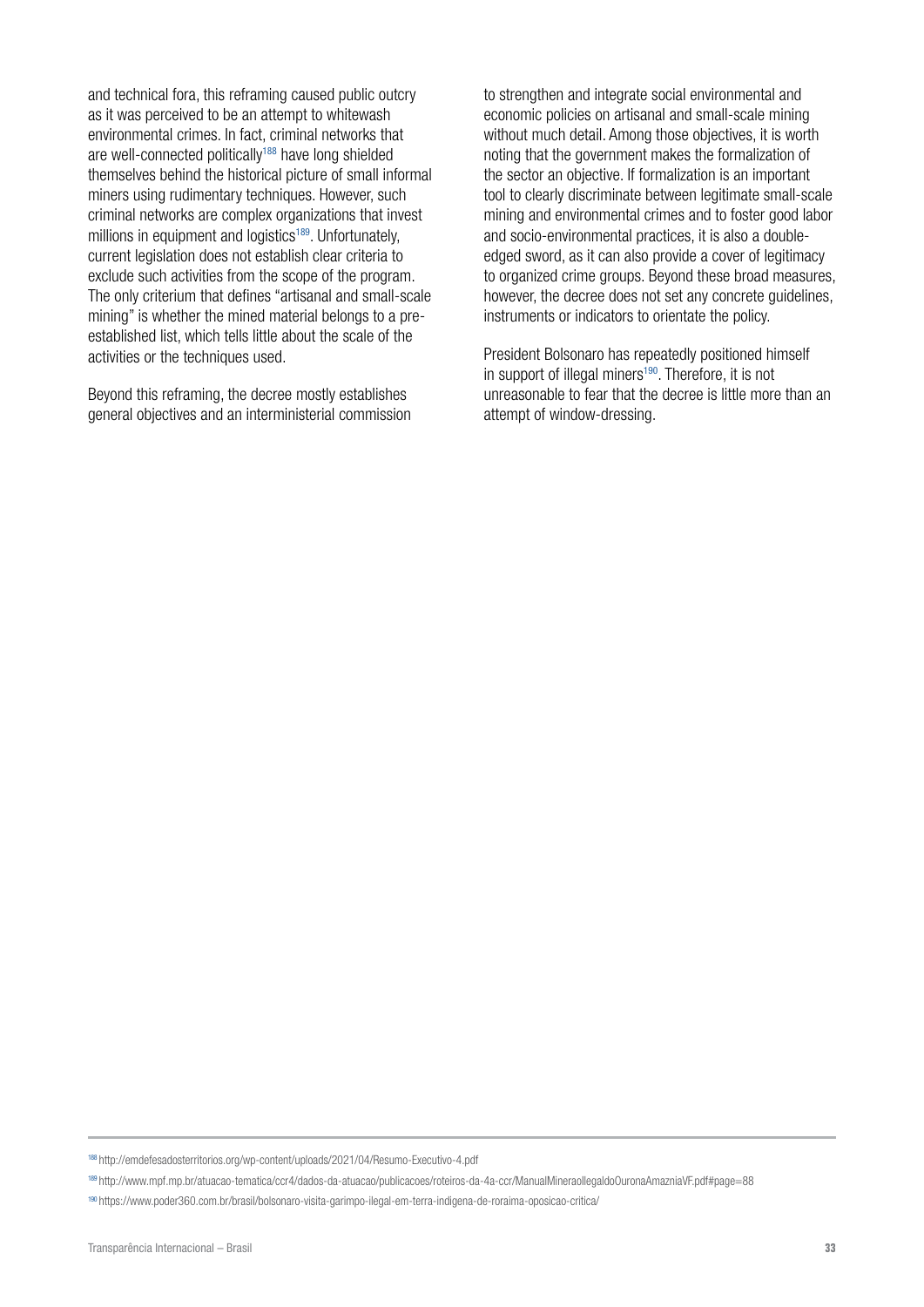and technical fora, this reframing caused public outcry as it was perceived to be an attempt to whitewash environmental crimes. In fact, criminal networks that are well-connected politically<sup>188</sup> have long shielded themselves behind the historical picture of small informal miners using rudimentary techniques. However, such criminal networks are complex organizations that invest millions in equipment and logistics<sup>189</sup>. Unfortunately, current legislation does not establish clear criteria to exclude such activities from the scope of the program. The only criterium that defines "artisanal and small-scale mining" is whether the mined material belongs to a preestablished list, which tells little about the scale of the activities or the techniques used.

Beyond this reframing, the decree mostly establishes general objectives and an interministerial commission to strengthen and integrate social environmental and economic policies on artisanal and small-scale mining without much detail. Among those objectives, it is worth noting that the government makes the formalization of the sector an objective. If formalization is an important tool to clearly discriminate between legitimate small-scale mining and environmental crimes and to foster good labor and socio-environmental practices, it is also a doubleedged sword, as it can also provide a cover of legitimacy to organized crime groups. Beyond these broad measures, however, the decree does not set any concrete guidelines, instruments or indicators to orientate the policy.

President Bolsonaro has repeatedly positioned himself in support of illegal miners<sup>190</sup>. Therefore, it is not unreasonable to fear that the decree is little more than an attempt of window-dressing.

<sup>188</sup> <http://emdefesadosterritorios.org/wp-content/uploads/2021/04/Resumo-Executivo-4.pdf>

<sup>189</sup> <http://www.mpf.mp.br/atuacao-tematica/ccr4/dados-da-atuacao/publicacoes/roteiros-da-4a-ccr/ManualMineraoIlegaldoOuronaAmazniaVF.pdf#page=88>

<sup>190</sup> <https://www.poder360.com.br/brasil/bolsonaro-visita-garimpo-ilegal-em-terra-indigena-de-roraima-oposicao-critica/>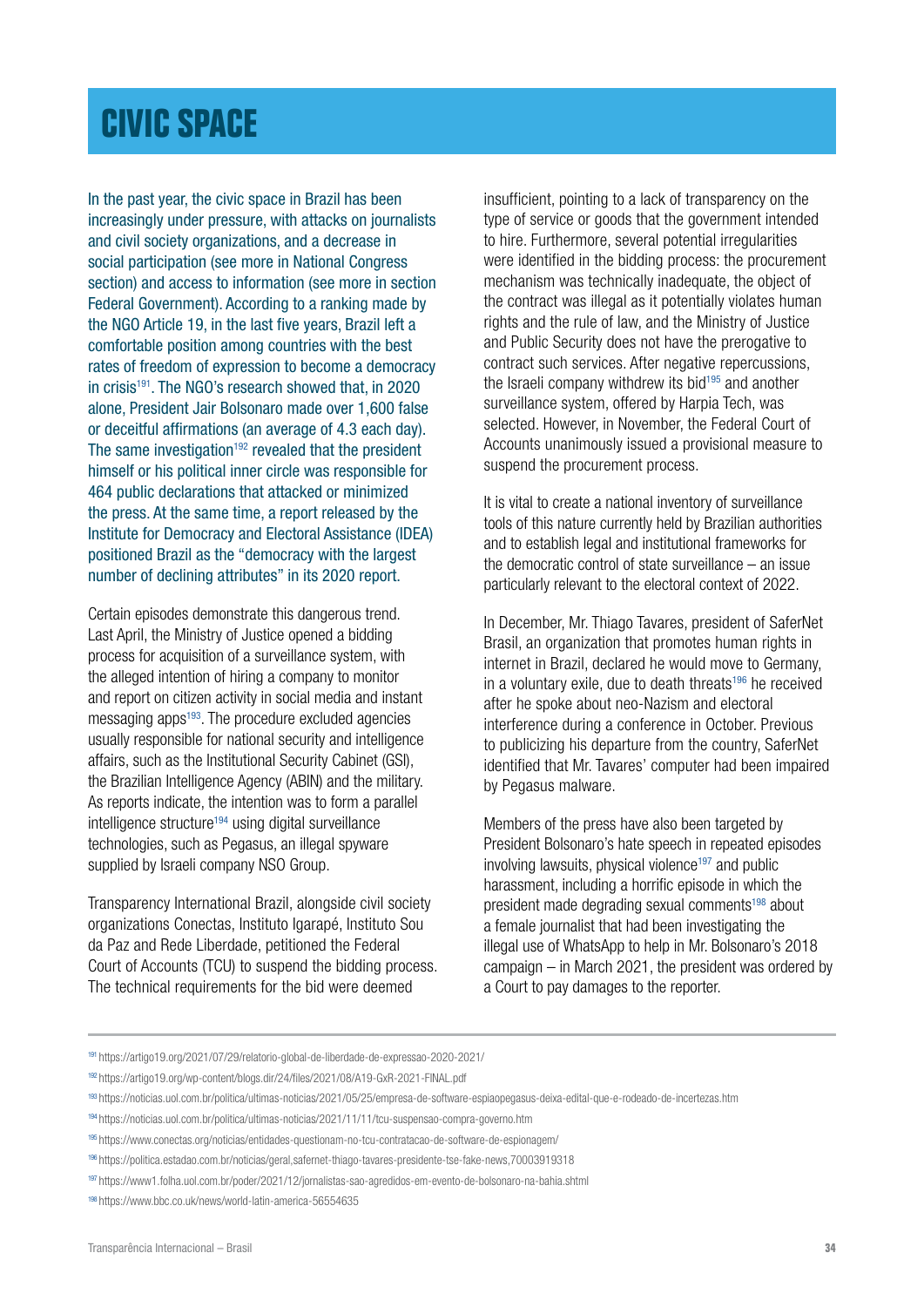### <span id="page-33-0"></span>**[CIVIC SPACE](#page-1-0)**

In the past year, the civic space in Brazil has been increasingly under pressure, with attacks on journalists and civil society organizations, and a decrease in social participation (see more in National Congress section) and access to information (see more in section Federal Government). According to a ranking made by the NGO Article 19, in the last five years, Brazil left a comfortable position among countries with the best rates of freedom of expression to become a democracy in crisis<sup>191</sup>. The NGO's research showed that, in 2020 alone, President Jair Bolsonaro made over 1,600 false or deceitful affirmations (an average of 4.3 each day). The same investigation<sup>192</sup> revealed that the president himself or his political inner circle was responsible for 464 public declarations that attacked or minimized the press. At the same time, a report released by the Institute for Democracy and Electoral Assistance (IDEA) positioned Brazil as the "democracy with the largest number of declining attributes" in its 2020 report.

Certain episodes demonstrate this dangerous trend. Last April, the Ministry of Justice opened a bidding process for acquisition of a surveillance system, with the alleged intention of hiring a company to monitor and report on citizen activity in social media and instant messaging apps<sup>193</sup>. The procedure excluded agencies usually responsible for national security and intelligence affairs, such as the Institutional Security Cabinet (GSI), the Brazilian Intelligence Agency (ABIN) and the military. As reports indicate, the intention was to form a parallel intelligence structure<sup>194</sup> using digital surveillance technologies, such as Pegasus, an illegal spyware supplied by Israeli company NSO Group.

Transparency International Brazil, alongside civil society organizations Conectas, Instituto Igarapé, Instituto Sou da Paz and Rede Liberdade, petitioned the Federal Court of Accounts (TCU) to suspend the bidding process. The technical requirements for the bid were deemed

insufficient, pointing to a lack of transparency on the type of service or goods that the government intended to hire. Furthermore, several potential irregularities were identified in the bidding process: the procurement mechanism was technically inadequate, the object of the contract was illegal as it potentially violates human rights and the rule of law, and the Ministry of Justice and Public Security does not have the prerogative to contract such services. After negative repercussions, the Israeli company withdrew its bid<sup>195</sup> and another surveillance system, offered by Harpia Tech, was selected. However, in November, the Federal Court of Accounts unanimously issued a provisional measure to suspend the procurement process.

It is vital to create a national inventory of surveillance tools of this nature currently held by Brazilian authorities and to establish legal and institutional frameworks for the democratic control of state surveillance – an issue particularly relevant to the electoral context of 2022.

In December, Mr. Thiago Tavares, president of SaferNet Brasil, an organization that promotes human rights in internet in Brazil, declared he would move to Germany, in a voluntary exile, due to death threats<sup>196</sup> he received after he spoke about neo-Nazism and electoral interference during a conference in October. Previous to publicizing his departure from the country, SaferNet identified that Mr. Tavares' computer had been impaired by Pegasus malware.

Members of the press have also been targeted by President Bolsonaro's hate speech in repeated episodes involving lawsuits, physical violence<sup>197</sup> and public harassment, including a horrific episode in which the president made degrading sexual comments<sup>198</sup> about a female journalist that had been investigating the illegal use of WhatsApp to help in Mr. Bolsonaro's 2018 campaign – in March 2021, the president was ordered by a Court to pay damages to the reporter.

<sup>191</sup> https://artigo19.org/2021/07/29/relatorio-global-de-liberdade-de-expressao-2020-2021/

<sup>192</sup> https://artigo19.org/wp-content/blogs.dir/24/files/2021/08/A19-GxR-2021-FINAL.pdf

<sup>193</sup> https://noticias.uol.com.br/politica/ultimas-noticias/2021/05/25/empresa-de-software-espiaopegasus-deixa-edital-que-e-rodeado-de-incertezas.htm

<sup>194</sup> <https://noticias.uol.com.br/politica/ultimas-noticias/2021/11/11/tcu-suspensao-compra-governo.htm>

<sup>195</sup> <https://www.conectas.org/noticias/entidades-questionam-no-tcu-contratacao-de-software-de-espionagem/>

<sup>196</sup> https://politica.estadao.com.br/noticias/geral,safernet-thiago-tavares-presidente-tse-fake-news,70003919318

<sup>197</sup> https://www1.folha.uol.com.br/poder/2021/12/jornalistas-sao-agredidos-em-evento-de-bolsonaro-na-bahia.shtml

<sup>198</sup> https://www.bbc.co.uk/news/world-latin-america-56554635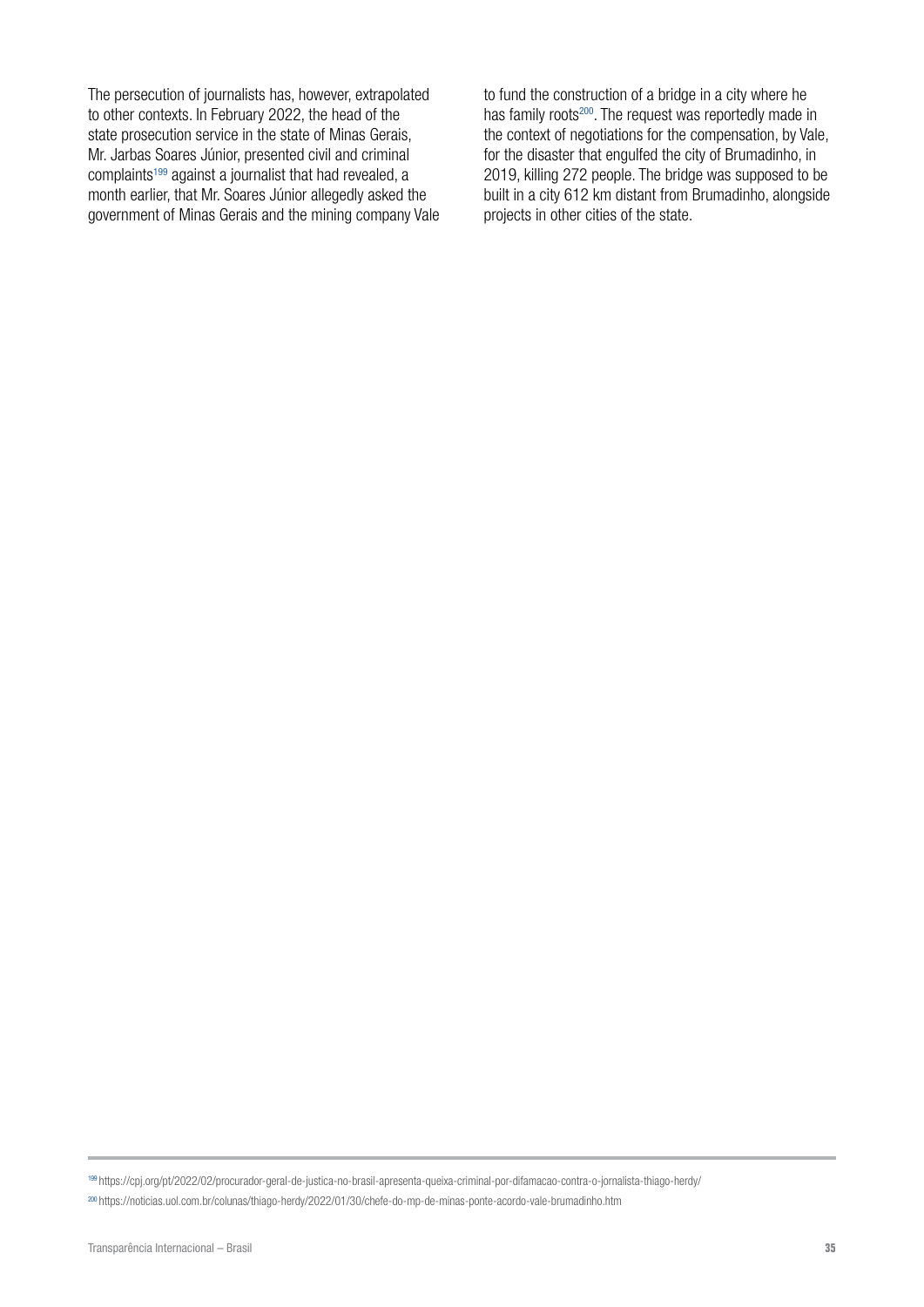The persecution of journalists has, however, extrapolated to other contexts. In February 2022, the head of the state prosecution service in the state of Minas Gerais, Mr. Jarbas Soares Júnior, presented civil and criminal complaints199 against a journalist that had revealed, a month earlier, that Mr. Soares Júnior allegedly asked the government of Minas Gerais and the mining company Vale to fund the construction of a bridge in a city where he has family roots<sup>200</sup>. The request was reportedly made in the context of negotiations for the compensation, by Vale, for the disaster that engulfed the city of Brumadinho, in 2019, killing 272 people. The bridge was supposed to be built in a city 612 km distant from Brumadinho, alongside projects in other cities of the state.

<sup>199</sup> https://cpj.org/pt/2022/02/procurador-geral-de-justica-no-brasil-apresenta-queixa-criminal-por-difamacao-contra-o-jornalista-thiago-herdy/

<sup>200</sup> https://noticias.uol.com.br/colunas/thiago-herdy/2022/01/30/chefe-do-mp-de-minas-ponte-acordo-vale-brumadinho.htm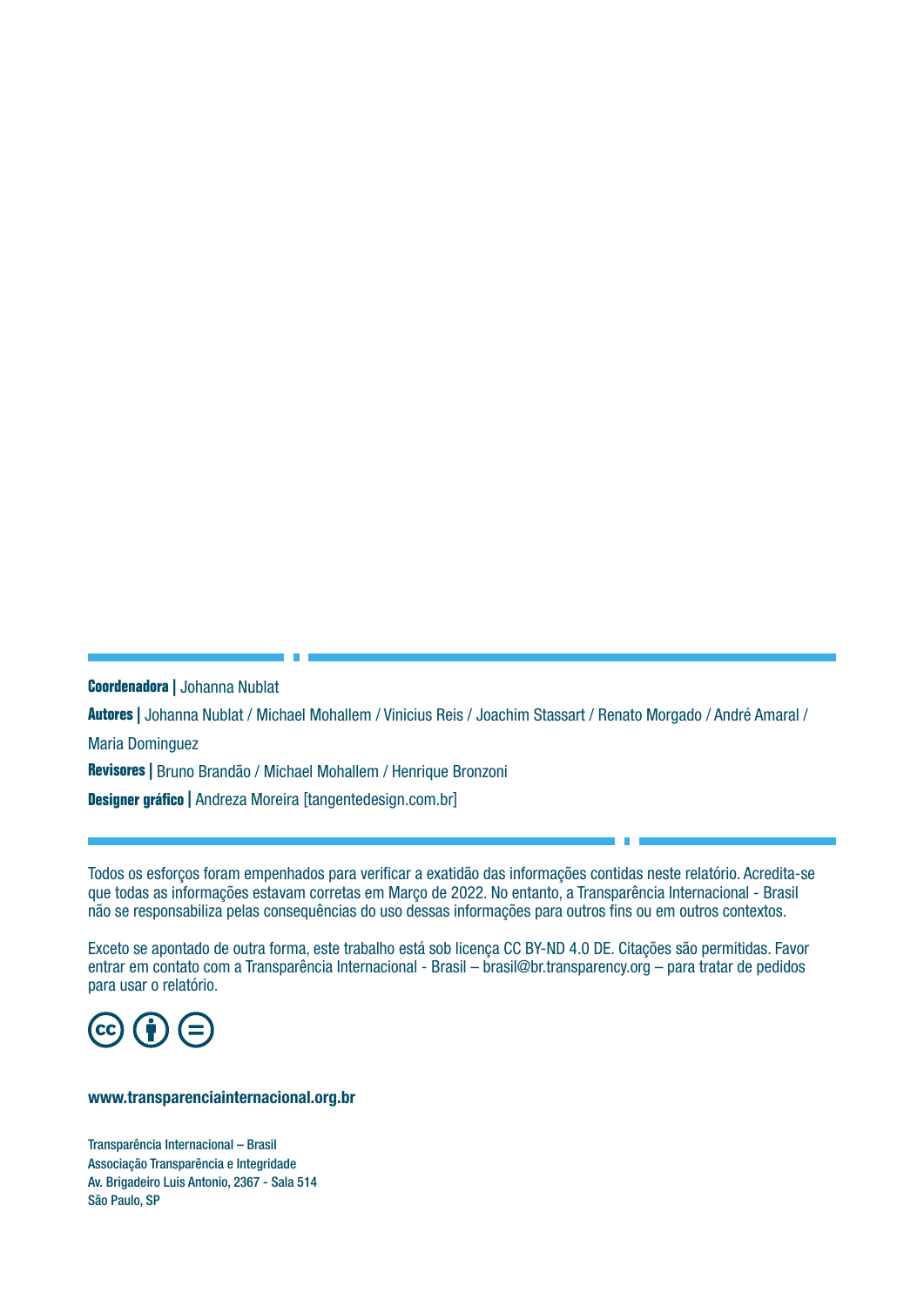**Coordenadora |** Johanna Nublat

**Autores |** Johanna Nublat / Michael Mohallem / Vinicius Reis / Joachim Stassart / Renato Morgado / André Amaral / Maria Dominguez

**Revisores |** Bruno Brandão / Michael Mohallem / Henrique Bronzoni

**Designer gráfico |** Andreza Moreira [tangentedesign.com.br]

Todos os esforços foram empenhados para verificar a exatidão das informações contidas neste relatório. Acredita-se que todas as informações estavam corretas em Março de 2022. No entanto, a Transparência Internacional - Brasil não se responsabiliza pelas consequências do uso dessas informações para outros fins ou em outros contextos.

Exceto se apontado de outra forma, este trabalho está sob licença CC BY-ND 4.0 DE. Citações são permitidas. Favor entrar em contato com a Transparência Internacional - Brasil – brasil@br.transparency.org – para tratar de pedidos para usar o relatório.



#### [www.transparenciainternacional.org.br](https://www.transparenciainternacional.org.br/home/destaques)

Transparência Internacional – Brasil Associação Transparência e Integridade Av. Brigadeiro Luis Antonio, 2367 - Sala 514 São Paulo, SP